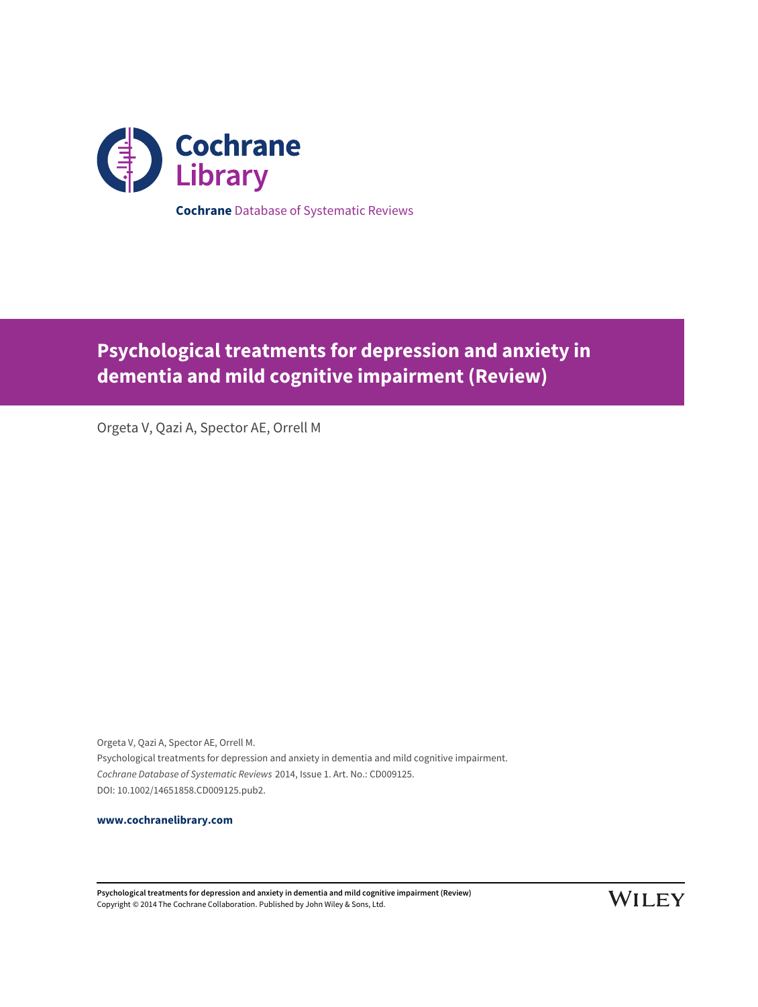

**Psychological treatments for depression and anxiety in dementia and mild cognitive impairment (Review)**

Orgeta V, Qazi A, Spector AE, Orrell M

Orgeta V, Qazi A, Spector AE, Orrell M. Psychological treatments for depression and anxiety in dementia and mild cognitive impairment. Cochrane Database of Systematic Reviews 2014, Issue 1. Art. No.: CD009125. DOI: 10.1002/14651858.CD009125.pub2.

**[www.cochranelibrary.com](http://www.cochranelibrary.com)**

**Psychological treatments for depression and anxiety in dementia and mild cognitive impairment (Review)** Copyright © 2014 The Cochrane Collaboration. Published by John Wiley & Sons, Ltd.

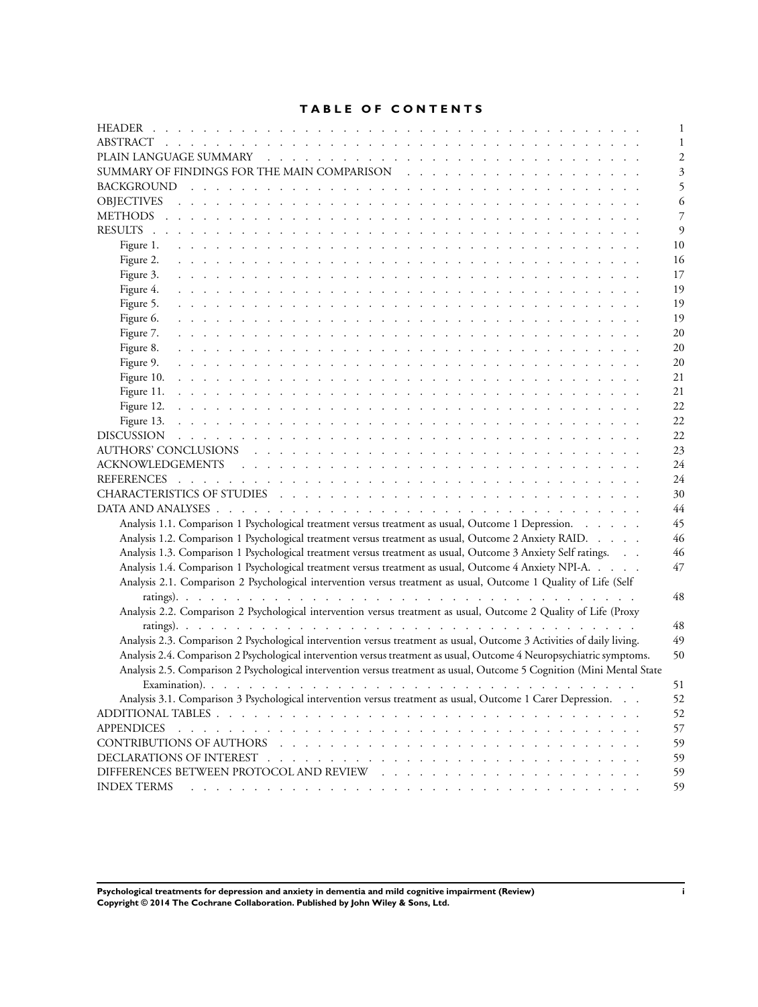### **TABLE OF CONTENTS**

| HEADER.<br>1                                                                                                                                                                                                                                              |
|-----------------------------------------------------------------------------------------------------------------------------------------------------------------------------------------------------------------------------------------------------------|
| 1                                                                                                                                                                                                                                                         |
| 2                                                                                                                                                                                                                                                         |
| 3                                                                                                                                                                                                                                                         |
| <b>BACKGROUND</b><br>and a constitution of the constitution of the constitution of the constitution of the constitution of the constitution of the constitution of the constitution of the constitution of the constitution of the constitution of        |
| <b>OBJECTIVES</b><br>and the contract of the contract of the contract of the contract of the contract of the contract of the contract of the contract of the contract of the contract of the contract of the contract of the contract of the contra<br>6  |
| 7                                                                                                                                                                                                                                                         |
| 9                                                                                                                                                                                                                                                         |
| Figure 1.<br>10<br>فالمتحال والمتحال والمتحالة والمتحال والمتحالة والمتحالة والمتحالة والمتحالة والمتحالة والمتحالة والمتحالة والمتحالة                                                                                                                   |
| Figure 2.<br>16                                                                                                                                                                                                                                           |
| Figure 3.<br>17<br><u>. In the second contract of the second contract of the second contract of the second contract of the second con</u>                                                                                                                 |
| Figure 4.<br>19                                                                                                                                                                                                                                           |
| Figure 5.<br>19                                                                                                                                                                                                                                           |
| Figure 6.<br>19                                                                                                                                                                                                                                           |
| Figure 7.<br>20                                                                                                                                                                                                                                           |
| Figure 8.<br>20                                                                                                                                                                                                                                           |
| Figure 9.<br>20                                                                                                                                                                                                                                           |
| Figure 10.<br>21<br>a constitution de la constitution de la constitution de la constitution de la constitution de la constitution                                                                                                                         |
| Figure 11.<br>21<br><u>. In the second contract of the second contract of the second contract of the second contract of the second contract of the second contract of the second contract of the second contract of the second contract of the secon</u>  |
| Figure 12.<br>22<br>and the company of the company of the company of the company of the company of the company of the company of the company of the company of the company of the company of the company of the company of the company of the comp        |
| 22                                                                                                                                                                                                                                                        |
| <b>DISCUSSION</b><br>22<br><u>. In the second terms of the second terms of the second terms of the second terms of the second</u>                                                                                                                         |
| 23                                                                                                                                                                                                                                                        |
| 24                                                                                                                                                                                                                                                        |
| 24                                                                                                                                                                                                                                                        |
| 30                                                                                                                                                                                                                                                        |
| 44                                                                                                                                                                                                                                                        |
| Analysis 1.1. Comparison 1 Psychological treatment versus treatment as usual, Outcome 1 Depression.<br>45                                                                                                                                                 |
| Analysis 1.2. Comparison 1 Psychological treatment versus treatment as usual, Outcome 2 Anxiety RAID.<br>46                                                                                                                                               |
| Analysis 1.3. Comparison 1 Psychological treatment versus treatment as usual, Outcome 3 Anxiety Self ratings.<br>46                                                                                                                                       |
| Analysis 1.4. Comparison 1 Psychological treatment versus treatment as usual, Outcome 4 Anxiety NPI-A.<br>47                                                                                                                                              |
| Analysis 2.1. Comparison 2 Psychological intervention versus treatment as usual, Outcome 1 Quality of Life (Self                                                                                                                                          |
| 48                                                                                                                                                                                                                                                        |
| Analysis 2.2. Comparison 2 Psychological intervention versus treatment as usual, Outcome 2 Quality of Life (Proxy                                                                                                                                         |
| 48                                                                                                                                                                                                                                                        |
| Analysis 2.3. Comparison 2 Psychological intervention versus treatment as usual, Outcome 3 Activities of daily living.<br>49                                                                                                                              |
| Analysis 2.4. Comparison 2 Psychological intervention versus treatment as usual, Outcome 4 Neuropsychiatric symptoms.<br>50                                                                                                                               |
| Analysis 2.5. Comparison 2 Psychological intervention versus treatment as usual, Outcome 5 Cognition (Mini Mental State                                                                                                                                   |
| 51                                                                                                                                                                                                                                                        |
| Analysis 3.1. Comparison 3 Psychological intervention versus treatment as usual, Outcome 1 Carer Depression.<br>52                                                                                                                                        |
| ADDITIONAL TABLES.<br>والمتعاونة والمتعاونة والمتعاونة والمتعاونة والمتعاونة والمتعاونة والمتعاونة والمتعاونة والمتعاونة<br>52                                                                                                                            |
| 57<br><b>APPENDICES</b><br>a constitution de la constitution de la constitution de la constitution de la constitution de la constitution                                                                                                                  |
| 59                                                                                                                                                                                                                                                        |
| 59                                                                                                                                                                                                                                                        |
| 59                                                                                                                                                                                                                                                        |
| <b>INDEX TERMS</b><br>59<br>and a constitution of the constitution of the constitution of the constitution of the constitution of the constitution of the constitution of the constitution of the constitution of the constitution of the constitution of |

**Psychological treatments for depression and anxiety in dementia and mild cognitive impairment (Review) i Copyright © 2014 The Cochrane Collaboration. Published by John Wiley & Sons, Ltd.**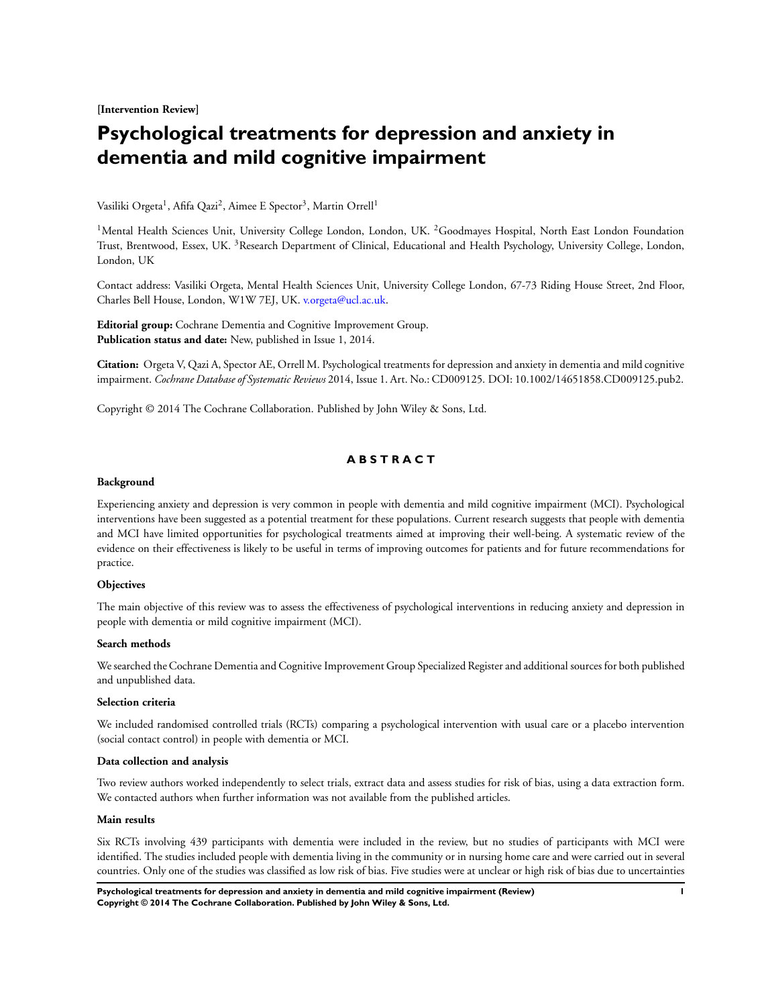**[Intervention Review]**

# **Psychological treatments for depression and anxiety in dementia and mild cognitive impairment**

Vasiliki Orgeta<sup>1</sup>, Afifa Qazi<sup>2</sup>, Aimee E Spector<sup>3</sup>, Martin Orrell<sup>1</sup>

<sup>1</sup>Mental Health Sciences Unit, University College London, London, UK. <sup>2</sup>Goodmayes Hospital, North East London Foundation Trust, Brentwood, Essex, UK. <sup>3</sup>Research Department of Clinical, Educational and Health Psychology, University College, London, London, UK

Contact address: Vasiliki Orgeta, Mental Health Sciences Unit, University College London, 67-73 Riding House Street, 2nd Floor, Charles Bell House, London, W1W 7EJ, UK. [v.orgeta@ucl.ac.uk](mailto:v.orgeta@ucl.ac.uk).

**Editorial group:** Cochrane Dementia and Cognitive Improvement Group. **Publication status and date:** New, published in Issue 1, 2014.

**Citation:** Orgeta V, Qazi A, Spector AE, Orrell M. Psychological treatments for depression and anxiety in dementia and mild cognitive impairment. *Cochrane Database of Systematic Reviews* 2014, Issue 1. Art. No.: CD009125. DOI: 10.1002/14651858.CD009125.pub2.

Copyright © 2014 The Cochrane Collaboration. Published by John Wiley & Sons, Ltd.

### **A B S T R A C T**

#### **Background**

Experiencing anxiety and depression is very common in people with dementia and mild cognitive impairment (MCI). Psychological interventions have been suggested as a potential treatment for these populations. Current research suggests that people with dementia and MCI have limited opportunities for psychological treatments aimed at improving their well-being. A systematic review of the evidence on their effectiveness is likely to be useful in terms of improving outcomes for patients and for future recommendations for practice.

#### **Objectives**

The main objective of this review was to assess the effectiveness of psychological interventions in reducing anxiety and depression in people with dementia or mild cognitive impairment (MCI).

#### **Search methods**

We searched the Cochrane Dementia and Cognitive Improvement Group Specialized Register and additional sources for both published and unpublished data.

### **Selection criteria**

We included randomised controlled trials (RCTs) comparing a psychological intervention with usual care or a placebo intervention (social contact control) in people with dementia or MCI.

#### **Data collection and analysis**

Two review authors worked independently to select trials, extract data and assess studies for risk of bias, using a data extraction form. We contacted authors when further information was not available from the published articles.

#### **Main results**

Six RCTs involving 439 participants with dementia were included in the review, but no studies of participants with MCI were identified. The studies included people with dementia living in the community or in nursing home care and were carried out in several countries. Only one of the studies was classified as low risk of bias. Five studies were at unclear or high risk of bias due to uncertainties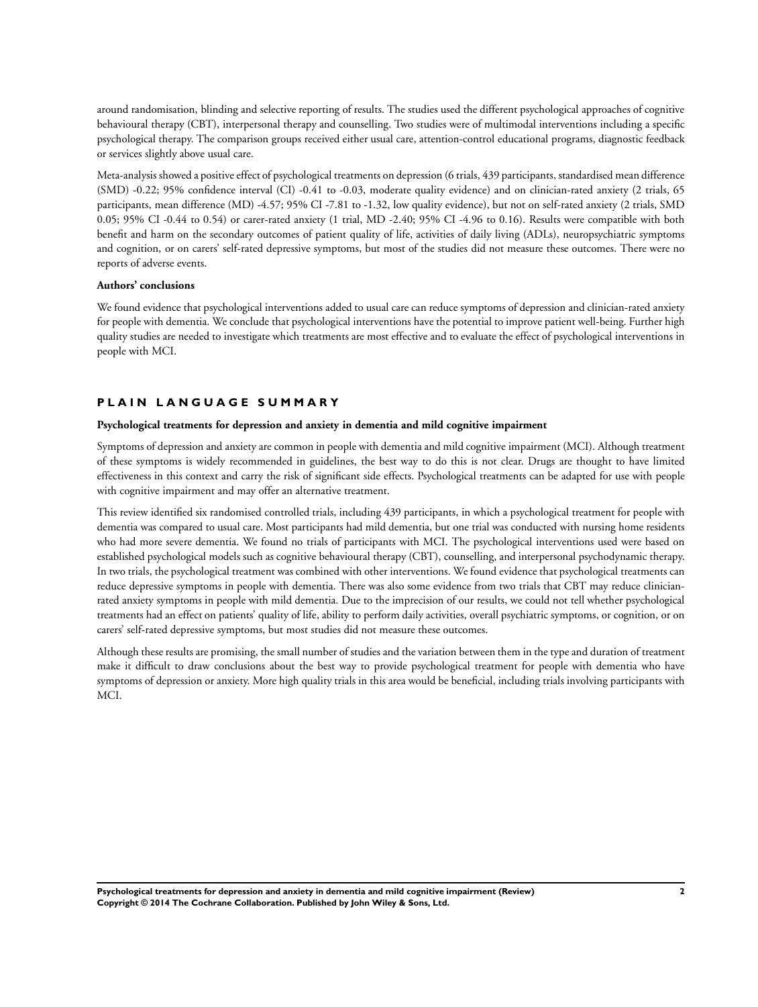around randomisation, blinding and selective reporting of results. The studies used the different psychological approaches of cognitive behavioural therapy (CBT), interpersonal therapy and counselling. Two studies were of multimodal interventions including a specific psychological therapy. The comparison groups received either usual care, attention-control educational programs, diagnostic feedback or services slightly above usual care.

Meta-analysis showed a positive effect of psychological treatments on depression (6 trials, 439 participants, standardised mean difference (SMD) -0.22; 95% confidence interval (CI) -0.41 to -0.03, moderate quality evidence) and on clinician-rated anxiety (2 trials, 65 participants, mean difference (MD) -4.57; 95% CI -7.81 to -1.32, low quality evidence), but not on self-rated anxiety (2 trials, SMD 0.05; 95% CI -0.44 to 0.54) or carer-rated anxiety (1 trial, MD -2.40; 95% CI -4.96 to 0.16). Results were compatible with both benefit and harm on the secondary outcomes of patient quality of life, activities of daily living (ADLs), neuropsychiatric symptoms and cognition, or on carers' self-rated depressive symptoms, but most of the studies did not measure these outcomes. There were no reports of adverse events.

#### **Authors' conclusions**

We found evidence that psychological interventions added to usual care can reduce symptoms of depression and clinician-rated anxiety for people with dementia. We conclude that psychological interventions have the potential to improve patient well-being. Further high quality studies are needed to investigate which treatments are most effective and to evaluate the effect of psychological interventions in people with MCI.

### **P L A I N L A N G U A G E S U M M A R Y**

### **Psychological treatments for depression and anxiety in dementia and mild cognitive impairment**

Symptoms of depression and anxiety are common in people with dementia and mild cognitive impairment (MCI). Although treatment of these symptoms is widely recommended in guidelines, the best way to do this is not clear. Drugs are thought to have limited effectiveness in this context and carry the risk of significant side effects. Psychological treatments can be adapted for use with people with cognitive impairment and may offer an alternative treatment.

This review identified six randomised controlled trials, including 439 participants, in which a psychological treatment for people with dementia was compared to usual care. Most participants had mild dementia, but one trial was conducted with nursing home residents who had more severe dementia. We found no trials of participants with MCI. The psychological interventions used were based on established psychological models such as cognitive behavioural therapy (CBT), counselling, and interpersonal psychodynamic therapy. In two trials, the psychological treatment was combined with other interventions. We found evidence that psychological treatments can reduce depressive symptoms in people with dementia. There was also some evidence from two trials that CBT may reduce clinicianrated anxiety symptoms in people with mild dementia. Due to the imprecision of our results, we could not tell whether psychological treatments had an effect on patients' quality of life, ability to perform daily activities, overall psychiatric symptoms, or cognition, or on carers' self-rated depressive symptoms, but most studies did not measure these outcomes.

Although these results are promising, the small number of studies and the variation between them in the type and duration of treatment make it difficult to draw conclusions about the best way to provide psychological treatment for people with dementia who have symptoms of depression or anxiety. More high quality trials in this area would be beneficial, including trials involving participants with MCI.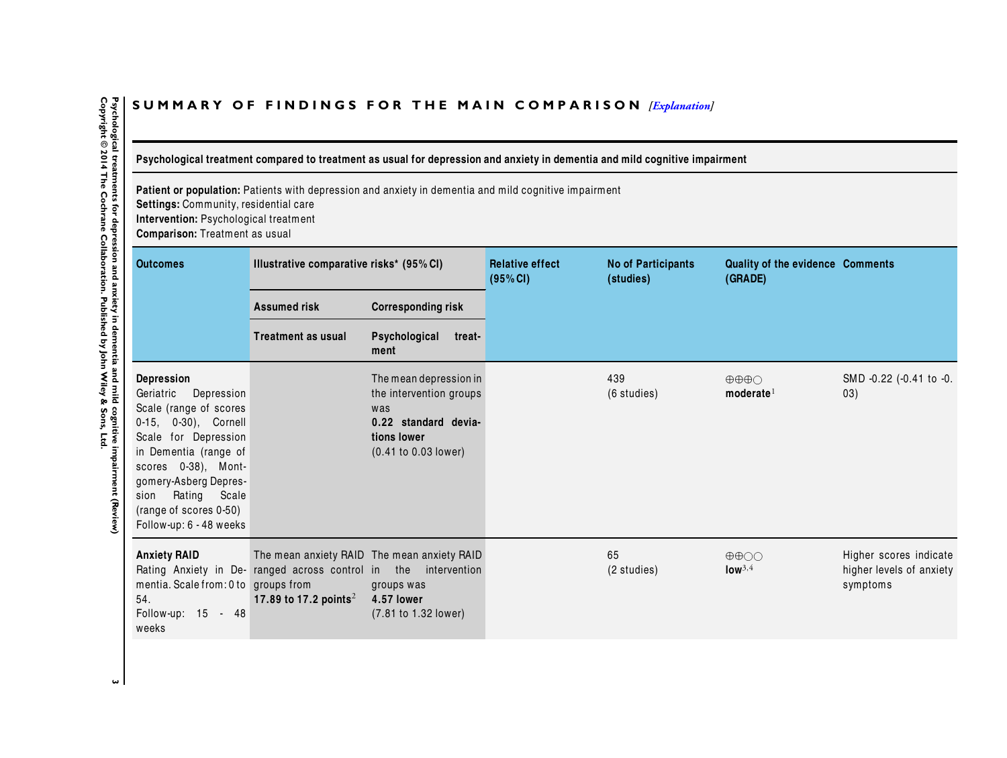# <span id="page-4-0"></span>SUMMARY OF FINDINGS FOR THE MAIN COMPARISON *[\[Explanation\]](http://www.thecochranelibrary.com/view/0/SummaryFindings.html)*

Psychological treatment compared to treatment as usual for depression and anxiety in dementia and mild cognitive impairment

**Patient or population:** Patients with depression and anxiety in dementia and mild cognitive impairment

**Settings:** Community, residential care

**Intervention:** Psychological treatment

**Comparison:** Treatment as usual

| <b>Outcomes</b>                                                                                                                                                                                                                                                       | Illustrative comparative risks* (95% CI) |                                                                                                                                                                           | <b>Relative effect</b><br>(95% CI) | <b>No of Participants</b><br>(studies) | Quality of the evidence Comments<br>(GRADE)             |                                                                |
|-----------------------------------------------------------------------------------------------------------------------------------------------------------------------------------------------------------------------------------------------------------------------|------------------------------------------|---------------------------------------------------------------------------------------------------------------------------------------------------------------------------|------------------------------------|----------------------------------------|---------------------------------------------------------|----------------------------------------------------------------|
|                                                                                                                                                                                                                                                                       | <b>Assumed risk</b>                      | <b>Corresponding risk</b>                                                                                                                                                 |                                    |                                        |                                                         |                                                                |
|                                                                                                                                                                                                                                                                       | <b>Treatment as usual</b>                | Psychological<br>treat-<br>ment                                                                                                                                           |                                    |                                        |                                                         |                                                                |
| Depression<br>Geriatric<br>Depression<br>Scale (range of scores<br>0-15, 0-30), Cornell<br>Scale for Depression<br>in Dementia (range of<br>scores 0-38), Mont-<br>gomery-Asberg Depres-<br>Rating Scale<br>sion<br>(range of scores 0-50)<br>Follow-up: 6 - 48 weeks |                                          | The mean depression in<br>the intervention groups<br>was<br>0.22 standard devia-<br>tions lower<br>$(0.41 \text{ to } 0.03 \text{ lower})$                                |                                    | 439<br>(6 studies)                     | $\oplus \oplus \oplus \cap$<br>moderate <sup>1</sup>    | SMD -0.22 (-0.41 to -0.<br>03)                                 |
| <b>Anxiety RAID</b><br>mentia. Scale from: 0 to groups from<br>54.<br>Follow-up: 15 - 48<br>weeks                                                                                                                                                                     | 17.89 to 17.2 points <sup>2</sup>        | The mean anxiety RAID The mean anxiety RAID<br>Rating Anxiety in De- ranged across control in the intervention<br>groups was<br><b>4.57 lower</b><br>(7.81 to 1.32 lower) |                                    | 65<br>(2 studies)                      | $\oplus \oplus \bigcirc \bigcirc$<br>low <sup>3,4</sup> | Higher scores indicate<br>higher levels of anxiety<br>symptoms |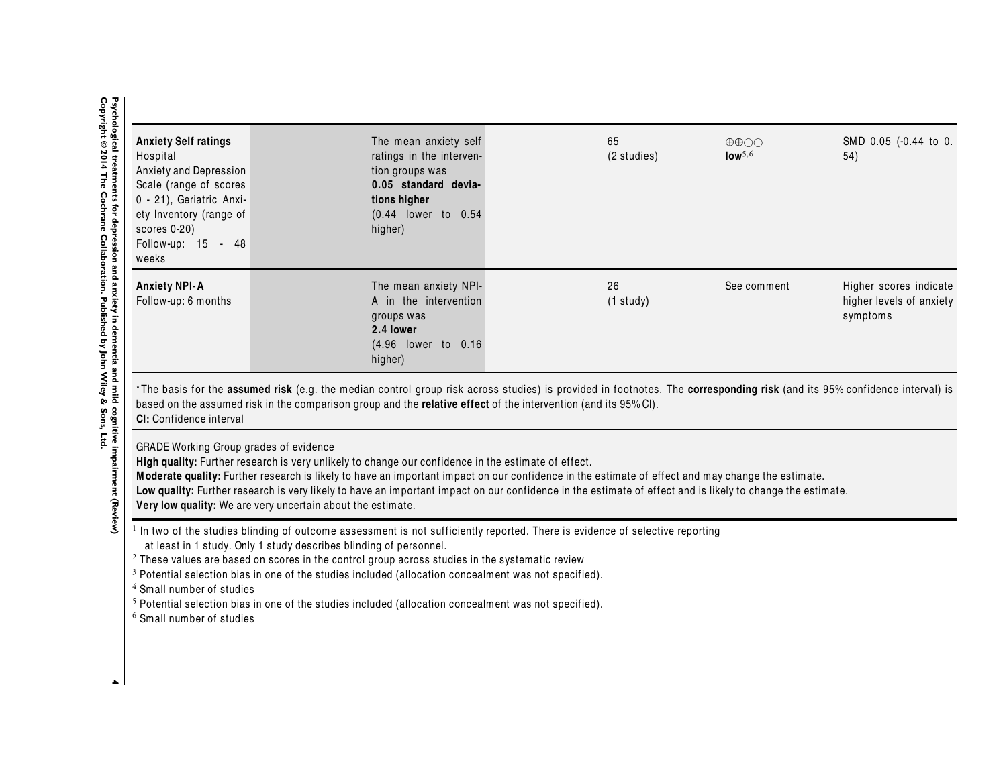| Hospital<br>Anxiety and Depression<br>Scale (range of scores<br>0 - 21), Geriatric Anxi-<br>ety Inventory (range of<br>scores 0-20)<br>Follow-up: 15 - 48<br>weeks | The mean anxiety self<br>ratings in the interven-<br>tion groups was<br>0.05 standard devia-<br>tions higher<br>(0.44 lower to 0.54<br>higher)                                                                                                                                                                                                                                                                         | 65<br>(2 studies) | $\oplus \oplus \bigcirc \bigcirc$<br>low <sup>5,6</sup> | SMD 0.05 (-0.44 to 0.<br>54)                                   |
|--------------------------------------------------------------------------------------------------------------------------------------------------------------------|------------------------------------------------------------------------------------------------------------------------------------------------------------------------------------------------------------------------------------------------------------------------------------------------------------------------------------------------------------------------------------------------------------------------|-------------------|---------------------------------------------------------|----------------------------------------------------------------|
| <b>Anxiety NPI-A</b><br>Follow-up: 6 months                                                                                                                        | The mean anxiety NPI-<br>A in the intervention<br>groups was<br>2.4 lower<br>(4.96 lower to 0.16<br>higher)                                                                                                                                                                                                                                                                                                            | 26<br>$(1$ study) | See comment                                             | Higher scores indicate<br>higher levels of anxiety<br>symptoms |
| CI: Confidence interval                                                                                                                                            | *The basis for the assumed risk (e.g. the median control group risk across studies) is provided in footnotes. The corresponding risk (and its 95% confidence interval) is<br>based on the assumed risk in the comparison group and the relative effect of the intervention (and its 95%CI).                                                                                                                            |                   |                                                         |                                                                |
| <b>GRADE Working Group grades of evidence</b><br>Very low quality: We are very uncertain about the estimate.                                                       | High quality: Further research is very unlikely to change our confidence in the estimate of effect.<br>Moderate quality: Further research is likely to have an important impact on our confidence in the estimate of effect and may change the estimate.<br>Low quality: Further research is very likely to have an important impact on our confidence in the estimate of effect and is likely to change the estimate. |                   |                                                         |                                                                |

 $\vert$  4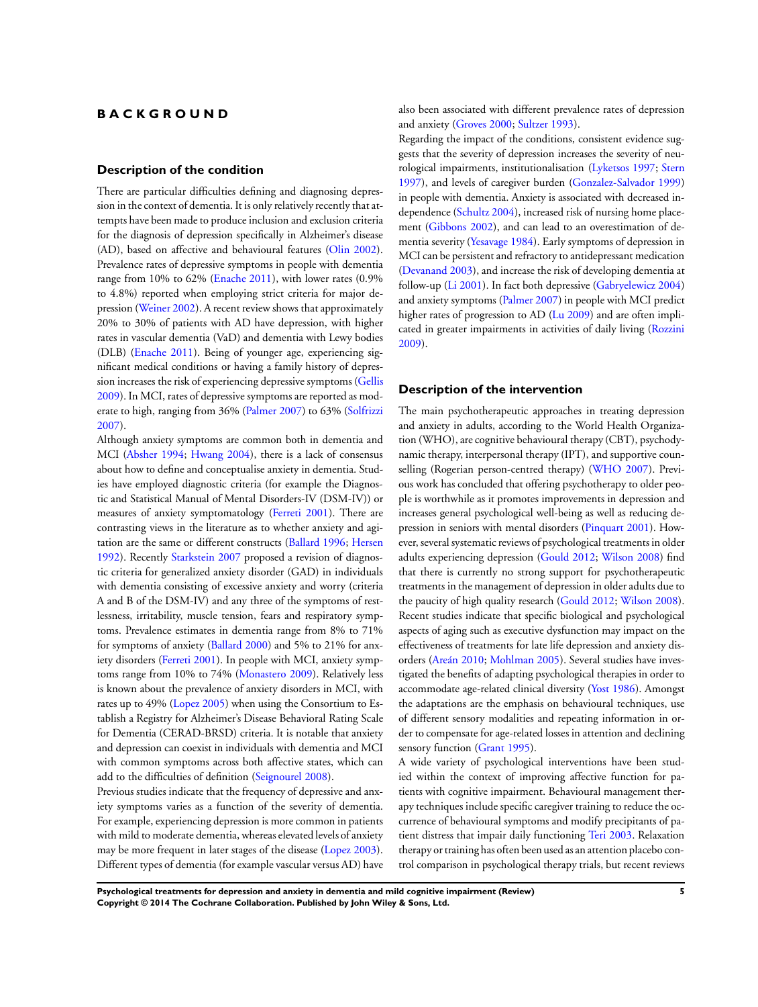### **B A C K G R O U N D**

### **Description of the condition**

There are particular difficulties defining and diagnosing depression in the context of dementia. It is only relatively recently that attempts have been made to produce inclusion and exclusion criteria for the diagnosis of depression specifically in Alzheimer's disease (AD), based on affective and behavioural features ([Olin 2002](#page-25-0)). Prevalence rates of depressive symptoms in people with dementia range from 10% to 62% ([Enache 2011\)](#page-25-0), with lower rates (0.9% to 4.8%) reported when employing strict criteria for major depression ([Weiner 2002\)](#page-25-0). A recent review shows that approximately 20% to 30% of patients with AD have depression, with higher rates in vascular dementia (VaD) and dementia with Lewy bodies (DLB) [\(Enache 2011](#page-25-0)). Being of younger age, experiencing significant medical conditions or having a family history of depression increases the risk of experiencing depressive symptoms [\(Gellis](#page-25-0) [2009](#page-25-0)). In MCI, rates of depressive symptoms are reported as moderate to high, ranging from 36% [\(Palmer 2007](#page-25-0)) to 63% [\(Solfrizzi](#page-25-0) [2007](#page-25-0)).

Although anxiety symptoms are common both in dementia and MCI ([Absher 1994;](#page-25-0) [Hwang 2004\)](#page-25-0), there is a lack of consensus about how to define and conceptualise anxiety in dementia. Studies have employed diagnostic criteria (for example the Diagnostic and Statistical Manual of Mental Disorders-IV (DSM-IV)) or measures of anxiety symptomatology [\(Ferreti 2001](#page-25-0)). There are contrasting views in the literature as to whether anxiety and agitation are the same or different constructs ([Ballard 1996;](#page-25-0) [Hersen](#page-25-0) [1992](#page-25-0)). Recently [Starkstein 2007](#page-25-0) proposed a revision of diagnostic criteria for generalized anxiety disorder (GAD) in individuals with dementia consisting of excessive anxiety and worry (criteria A and B of the DSM-IV) and any three of the symptoms of restlessness, irritability, muscle tension, fears and respiratory symptoms. Prevalence estimates in dementia range from 8% to 71% for symptoms of anxiety ([Ballard 2000\)](#page-25-0) and 5% to 21% for anxiety disorders [\(Ferreti 2001](#page-25-0)). In people with MCI, anxiety symptoms range from 10% to 74% ([Monastero 2009\)](#page-25-0). Relatively less is known about the prevalence of anxiety disorders in MCI, with rates up to 49% [\(Lopez 2005](#page-25-0)) when using the Consortium to Establish a Registry for Alzheimer's Disease Behavioral Rating Scale for Dementia (CERAD-BRSD) criteria. It is notable that anxiety and depression can coexist in individuals with dementia and MCI with common symptoms across both affective states, which can add to the difficulties of definition ([Seignourel 2008\)](#page-25-0).

Previous studies indicate that the frequency of depressive and anxiety symptoms varies as a function of the severity of dementia. For example, experiencing depression is more common in patients with mild to moderate dementia, whereas elevated levels of anxiety may be more frequent in later stages of the disease ([Lopez 2003](#page-25-0)). Different types of dementia (for example vascular versus AD) have also been associated with different prevalence rates of depression and anxiety [\(Groves 2000;](#page-25-0) [Sultzer 1993\)](#page-25-0).

Regarding the impact of the conditions, consistent evidence suggests that the severity of depression increases the severity of neurological impairments, institutionalisation [\(Lyketsos 1997](#page-25-0); [Stern](#page-25-0) [1997](#page-25-0)), and levels of caregiver burden ([Gonzalez-Salvador 1999](#page-25-0)) in people with dementia. Anxiety is associated with decreased independence ([Schultz 2004](#page-25-0)), increased risk of nursing home placement ([Gibbons 2002\)](#page-25-0), and can lead to an overestimation of dementia severity ([Yesavage 1984](#page-25-0)). Early symptoms of depression in MCI can be persistent and refractory to antidepressant medication [\(Devanand 2003\)](#page-25-0), and increase the risk of developing dementia at follow-up ([Li 2001](#page-25-0)). In fact both depressive ([Gabryelewicz 2004](#page-25-0)) and anxiety symptoms ([Palmer 2007\)](#page-25-0) in people with MCI predict higher rates of progression to AD [\(Lu 2009\)](#page-25-0) and are often implicated in greater impairments in activities of daily living [\(Rozzini](#page-25-0) [2009](#page-25-0)).

#### **Description of the intervention**

The main psychotherapeutic approaches in treating depression and anxiety in adults, according to the World Health Organization (WHO), are cognitive behavioural therapy (CBT), psychodynamic therapy, interpersonal therapy (IPT), and supportive counselling (Rogerian person-centred therapy) [\(WHO 2007\)](#page-25-0). Previous work has concluded that offering psychotherapy to older people is worthwhile as it promotes improvements in depression and increases general psychological well-being as well as reducing depression in seniors with mental disorders ([Pinquart 2001\)](#page-25-0). However, several systematic reviews of psychological treatments in older adults experiencing depression ([Gould 2012](#page-25-0); [Wilson 2008\)](#page-25-0) find that there is currently no strong support for psychotherapeutic treatments in the management of depression in older adults due to the paucity of high quality research [\(Gould 2012](#page-25-0); [Wilson 2008](#page-25-0)). Recent studies indicate that specific biological and psychological aspects of aging such as executive dysfunction may impact on the effectiveness of treatments for late life depression and anxiety disorders ([Areán 2010;](#page-25-0) [Mohlman 2005](#page-25-0)). Several studies have investigated the benefits of adapting psychological therapies in order to accommodate age-related clinical diversity ([Yost 1986](#page-25-0)). Amongst the adaptations are the emphasis on behavioural techniques, use of different sensory modalities and repeating information in order to compensate for age-related losses in attention and declining sensory function ([Grant 1995\)](#page-25-0).

A wide variety of psychological interventions have been studied within the context of improving affective function for patients with cognitive impairment. Behavioural management therapy techniques include specific caregiver training to reduce the occurrence of behavioural symptoms and modify precipitants of patient distress that impair daily functioning [Teri 2003.](#page-25-0) Relaxation therapy or training has often been used as an attention placebo control comparison in psychological therapy trials, but recent reviews

**Psychological treatments for depression and anxiety in dementia and mild cognitive impairment (Review) 5 Copyright © 2014 The Cochrane Collaboration. Published by John Wiley & Sons, Ltd.**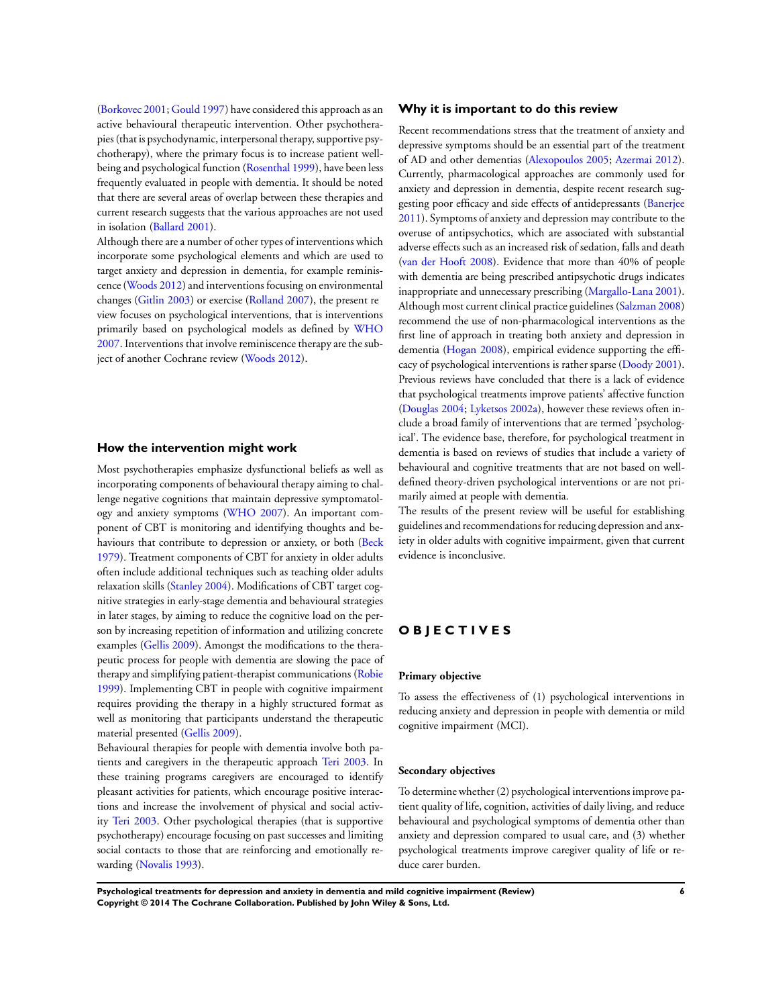[\(Borkovec 2001;](#page-25-0) [Gould 1997\)](#page-25-0) have considered this approach as an active behavioural therapeutic intervention. Other psychotherapies (that is psychodynamic, interpersonal therapy, supportive psychotherapy), where the primary focus is to increase patient wellbeing and psychological function ([Rosenthal 1999\)](#page-25-0), have been less frequently evaluated in people with dementia. It should be noted that there are several areas of overlap between these therapies and current research suggests that the various approaches are not used in isolation [\(Ballard 2001](#page-25-0)).

Although there are a number of other types of interventions which incorporate some psychological elements and which are used to target anxiety and depression in dementia, for example reminiscence ([Woods 2012](#page-25-0)) and interventions focusing on environmental changes [\(Gitlin 2003\)](#page-25-0) or exercise ([Rolland 2007](#page-25-0)), the present re view focuses on psychological interventions, that is interventions primarily based on psychological models as defined by [WHO](#page-25-0) [2007](#page-25-0). Interventions that involve reminiscence therapy are the subject of another Cochrane review [\(Woods 2012\)](#page-25-0).

#### **How the intervention might work**

Most psychotherapies emphasize dysfunctional beliefs as well as incorporating components of behavioural therapy aiming to challenge negative cognitions that maintain depressive symptomatology and anxiety symptoms [\(WHO 2007](#page-25-0)). An important component of CBT is monitoring and identifying thoughts and behaviours that contribute to depression or anxiety, or both [\(Beck](#page-25-0) [1979](#page-25-0)). Treatment components of CBT for anxiety in older adults often include additional techniques such as teaching older adults relaxation skills ([Stanley 2004\)](#page-25-0). Modifications of CBT target cognitive strategies in early-stage dementia and behavioural strategies in later stages, by aiming to reduce the cognitive load on the person by increasing repetition of information and utilizing concrete examples ([Gellis 2009](#page-25-0)). Amongst the modifications to the therapeutic process for people with dementia are slowing the pace of therapy and simplifying patient-therapist communications ([Robie](#page-25-0) [1999](#page-25-0)). Implementing CBT in people with cognitive impairment requires providing the therapy in a highly structured format as well as monitoring that participants understand the therapeutic material presented ([Gellis 2009](#page-25-0)).

Behavioural therapies for people with dementia involve both patients and caregivers in the therapeutic approach [Teri 2003](#page-25-0). In these training programs caregivers are encouraged to identify pleasant activities for patients, which encourage positive interactions and increase the involvement of physical and social activity [Teri 2003](#page-25-0). Other psychological therapies (that is supportive psychotherapy) encourage focusing on past successes and limiting social contacts to those that are reinforcing and emotionally rewarding [\(Novalis 1993\)](#page-25-0).

#### **Why it is important to do this review**

Recent recommendations stress that the treatment of anxiety and depressive symptoms should be an essential part of the treatment of AD and other dementias ([Alexopoulos 2005;](#page-25-0) [Azermai 2012](#page-25-0)). Currently, pharmacological approaches are commonly used for anxiety and depression in dementia, despite recent research suggesting poor efficacy and side effects of antidepressants ([Banerjee](#page-25-0) [2011](#page-25-0)). Symptoms of anxiety and depression may contribute to the overuse of antipsychotics, which are associated with substantial adverse effects such as an increased risk of sedation, falls and death [\(van der Hooft 2008](#page-25-0)). Evidence that more than 40% of people with dementia are being prescribed antipsychotic drugs indicates inappropriate and unnecessary prescribing [\(Margallo-Lana 2001](#page-25-0)). Although most current clinical practice guidelines ([Salzman 2008](#page-25-0)) recommend the use of non-pharmacological interventions as the first line of approach in treating both anxiety and depression in dementia ([Hogan 2008](#page-25-0)), empirical evidence supporting the efficacy of psychological interventions is rather sparse ([Doody 2001](#page-25-0)). Previous reviews have concluded that there is a lack of evidence that psychological treatments improve patients' affective function [\(Douglas 2004;](#page-25-0) [Lyketsos 2002a\)](#page-25-0), however these reviews often include a broad family of interventions that are termed 'psychological'. The evidence base, therefore, for psychological treatment in dementia is based on reviews of studies that include a variety of behavioural and cognitive treatments that are not based on welldefined theory-driven psychological interventions or are not primarily aimed at people with dementia.

The results of the present review will be useful for establishing guidelines and recommendations for reducing depression and anxiety in older adults with cognitive impairment, given that current evidence is inconclusive.

#### **O B J E C T I V E S**

#### **Primary objective**

To assess the effectiveness of (1) psychological interventions in reducing anxiety and depression in people with dementia or mild cognitive impairment (MCI).

#### **Secondary objectives**

To determine whether (2) psychological interventions improve patient quality of life, cognition, activities of daily living, and reduce behavioural and psychological symptoms of dementia other than anxiety and depression compared to usual care, and (3) whether psychological treatments improve caregiver quality of life or reduce carer burden.

**Psychological treatments for depression and anxiety in dementia and mild cognitive impairment (Review) 6 Copyright © 2014 The Cochrane Collaboration. Published by John Wiley & Sons, Ltd.**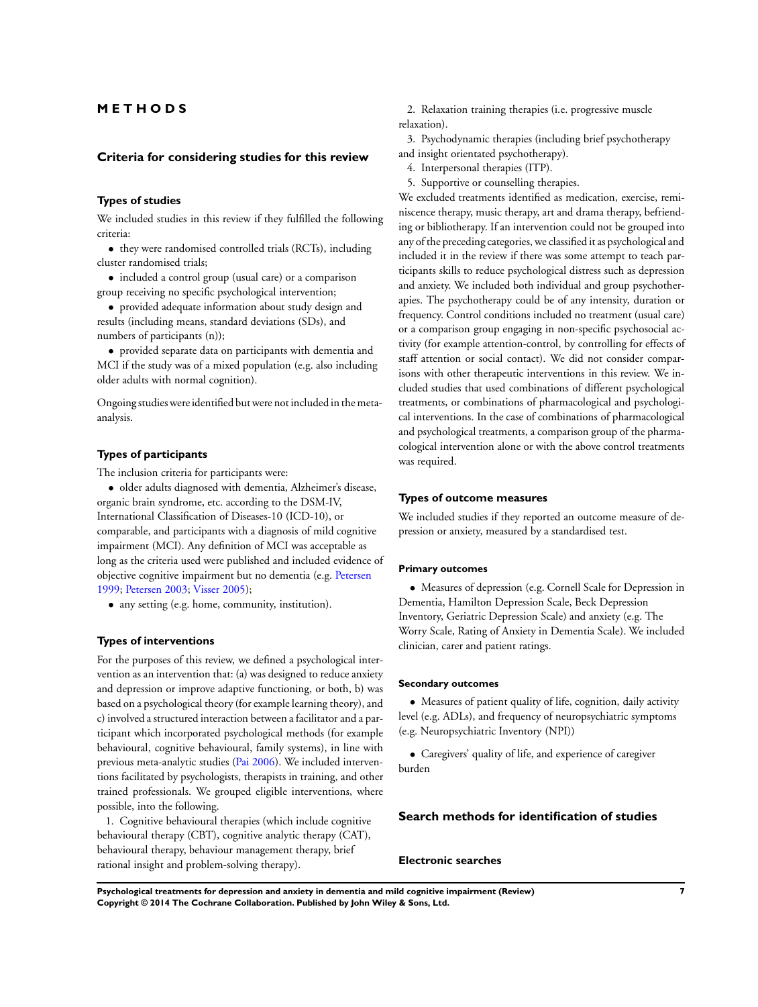### **M E T H O D S**

#### **Criteria for considering studies for this review**

#### **Types of studies**

We included studies in this review if they fulfilled the following criteria:

• they were randomised controlled trials (RCTs), including cluster randomised trials;

• included a control group (usual care) or a comparison group receiving no specific psychological intervention;

• provided adequate information about study design and results (including means, standard deviations (SDs), and numbers of participants (n));

• provided separate data on participants with dementia and MCI if the study was of a mixed population (e.g. also including older adults with normal cognition).

Ongoing studies were identified but were not included in the metaanalysis.

#### **Types of participants**

The inclusion criteria for participants were:

• older adults diagnosed with dementia, Alzheimer's disease, organic brain syndrome, etc. according to the DSM-IV, International Classification of Diseases-10 (ICD-10), or comparable, and participants with a diagnosis of mild cognitive impairment (MCI). Any definition of MCI was acceptable as long as the criteria used were published and included evidence of objective cognitive impairment but no dementia (e.g. [Petersen](#page-25-0) [1999](#page-25-0); [Petersen 2003](#page-25-0); [Visser 2005\)](#page-25-0);

• any setting (e.g. home, community, institution).

#### **Types of interventions**

For the purposes of this review, we defined a psychological intervention as an intervention that: (a) was designed to reduce anxiety and depression or improve adaptive functioning, or both, b) was based on a psychological theory (for example learning theory), and c) involved a structured interaction between a facilitator and a participant which incorporated psychological methods (for example behavioural, cognitive behavioural, family systems), in line with previous meta-analytic studies [\(Pai 2006](#page-25-0)). We included interventions facilitated by psychologists, therapists in training, and other trained professionals. We grouped eligible interventions, where possible, into the following.

1. Cognitive behavioural therapies (which include cognitive behavioural therapy (CBT), cognitive analytic therapy (CAT), behavioural therapy, behaviour management therapy, brief rational insight and problem-solving therapy).

2. Relaxation training therapies (i.e. progressive muscle relaxation).

3. Psychodynamic therapies (including brief psychotherapy and insight orientated psychotherapy).

- 4. Interpersonal therapies (ITP).
- 5. Supportive or counselling therapies.

We excluded treatments identified as medication, exercise, reminiscence therapy, music therapy, art and drama therapy, befriending or bibliotherapy. If an intervention could not be grouped into any of the preceding categories, we classified it as psychological and included it in the review if there was some attempt to teach participants skills to reduce psychological distress such as depression and anxiety. We included both individual and group psychotherapies. The psychotherapy could be of any intensity, duration or frequency. Control conditions included no treatment (usual care) or a comparison group engaging in non-specific psychosocial activity (for example attention-control, by controlling for effects of staff attention or social contact). We did not consider comparisons with other therapeutic interventions in this review. We included studies that used combinations of different psychological treatments, or combinations of pharmacological and psychological interventions. In the case of combinations of pharmacological and psychological treatments, a comparison group of the pharmacological intervention alone or with the above control treatments was required.

#### **Types of outcome measures**

We included studies if they reported an outcome measure of depression or anxiety, measured by a standardised test.

#### **Primary outcomes**

• Measures of depression (e.g. Cornell Scale for Depression in Dementia, Hamilton Depression Scale, Beck Depression Inventory, Geriatric Depression Scale) and anxiety (e.g. The Worry Scale, Rating of Anxiety in Dementia Scale). We included clinician, carer and patient ratings.

#### **Secondary outcomes**

• Measures of patient quality of life, cognition, daily activity level (e.g. ADLs), and frequency of neuropsychiatric symptoms (e.g. Neuropsychiatric Inventory (NPI))

• Caregivers' quality of life, and experience of caregiver burden

### **Search methods for identification of studies**

**Electronic searches**

**Psychological treatments for depression and anxiety in dementia and mild cognitive impairment (Review) 7 Copyright © 2014 The Cochrane Collaboration. Published by John Wiley & Sons, Ltd.**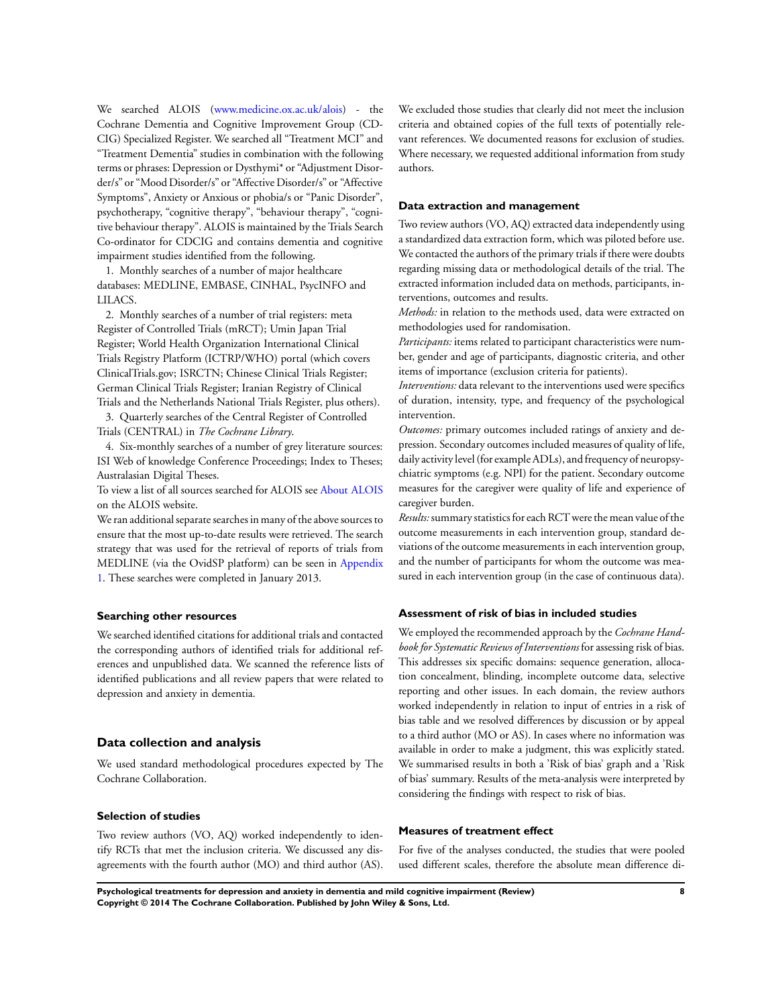We searched ALOIS [\(www.medicine.ox.ac.uk/alois](http://www.medicine.ox.ac.uk/alois)) - the Cochrane Dementia and Cognitive Improvement Group (CD-CIG) Specialized Register. We searched all "Treatment MCI" and "Treatment Dementia" studies in combination with the following terms or phrases: Depression or Dysthymi\* or "Adjustment Disorder/s" or "Mood Disorder/s" or "Affective Disorder/s" or "Affective Symptoms", Anxiety or Anxious or phobia/s or "Panic Disorder", psychotherapy, "cognitive therapy", "behaviour therapy", "cognitive behaviour therapy". ALOIS is maintained by the Trials Search Co-ordinator for CDCIG and contains dementia and cognitive impairment studies identified from the following.

1. Monthly searches of a number of major healthcare databases: MEDLINE, EMBASE, CINHAL, PsycINFO and LILACS.

2. Monthly searches of a number of trial registers: meta Register of Controlled Trials (mRCT); Umin Japan Trial Register; World Health Organization International Clinical Trials Registry Platform (ICTRP/WHO) portal (which covers ClinicalTrials.gov; ISRCTN; Chinese Clinical Trials Register; German Clinical Trials Register; Iranian Registry of Clinical Trials and the Netherlands National Trials Register, plus others).

3. Quarterly searches of the Central Register of Controlled Trials (CENTRAL) in *The Cochrane Library*.

4. Six-monthly searches of a number of grey literature sources: ISI Web of knowledge Conference Proceedings; Index to Theses; Australasian Digital Theses.

To view a list of all sources searched for ALOIS see [About ALOIS](http://www.medicine.ox.ac.uk/alois/content/about-alois) on the ALOIS website.

We ran additional separate searches in many of the above sources to ensure that the most up-to-date results were retrieved. The search strategy that was used for the retrieval of reports of trials from MEDLINE (via the OvidSP platform) can be seen in [Appendix](#page-58-0) [1.](#page-58-0) These searches were completed in January 2013.

#### **Searching other resources**

We searched identified citations for additional trials and contacted the corresponding authors of identified trials for additional references and unpublished data. We scanned the reference lists of identified publications and all review papers that were related to depression and anxiety in dementia.

#### **Data collection and analysis**

We used standard methodological procedures expected by The Cochrane Collaboration.

#### **Selection of studies**

Two review authors (VO, AQ) worked independently to identify RCTs that met the inclusion criteria. We discussed any disagreements with the fourth author (MO) and third author (AS). We excluded those studies that clearly did not meet the inclusion criteria and obtained copies of the full texts of potentially relevant references. We documented reasons for exclusion of studies. Where necessary, we requested additional information from study authors.

#### **Data extraction and management**

Two review authors (VO, AQ) extracted data independently using a standardized data extraction form, which was piloted before use. We contacted the authors of the primary trials if there were doubts regarding missing data or methodological details of the trial. The extracted information included data on methods, participants, interventions, outcomes and results.

*Methods:* in relation to the methods used, data were extracted on methodologies used for randomisation.

*Participants:* items related to participant characteristics were number, gender and age of participants, diagnostic criteria, and other items of importance (exclusion criteria for patients).

*Interventions:* data relevant to the interventions used were specifics of duration, intensity, type, and frequency of the psychological intervention.

*Outcomes:* primary outcomes included ratings of anxiety and depression. Secondary outcomes included measures of quality of life, daily activity level (for example ADLs), and frequency of neuropsychiatric symptoms (e.g. NPI) for the patient. Secondary outcome measures for the caregiver were quality of life and experience of caregiver burden.

*Results:*summary statisticsfor each RCT were the mean value of the outcome measurements in each intervention group, standard deviations of the outcome measurements in each intervention group, and the number of participants for whom the outcome was measured in each intervention group (in the case of continuous data).

#### **Assessment of risk of bias in included studies**

We employed the recommended approach by the *Cochrane Handbook for Systematic Reviews of Interventions* for assessing risk of bias. This addresses six specific domains: sequence generation, allocation concealment, blinding, incomplete outcome data, selective reporting and other issues. In each domain, the review authors worked independently in relation to input of entries in a risk of bias table and we resolved differences by discussion or by appeal to a third author (MO or AS). In cases where no information was available in order to make a judgment, this was explicitly stated. We summarised results in both a 'Risk of bias' graph and a 'Risk of bias' summary. Results of the meta-analysis were interpreted by considering the findings with respect to risk of bias.

#### **Measures of treatment effect**

For five of the analyses conducted, the studies that were pooled used different scales, therefore the absolute mean difference di-

**Psychological treatments for depression and anxiety in dementia and mild cognitive impairment (Review) 8 Copyright © 2014 The Cochrane Collaboration. Published by John Wiley & Sons, Ltd.**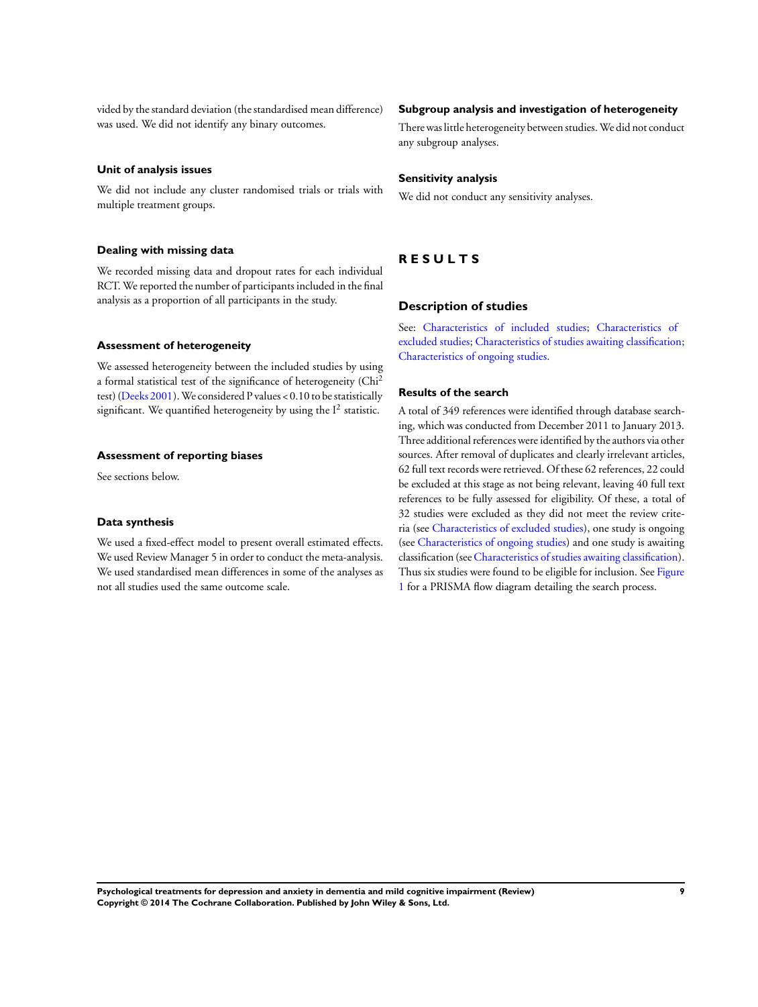vided by the standard deviation (the standardised mean difference) was used. We did not identify any binary outcomes.

#### **Unit of analysis issues**

We did not include any cluster randomised trials or trials with multiple treatment groups.

#### **Dealing with missing data**

We recorded missing data and dropout rates for each individual RCT. We reported the number of participants included in the final analysis as a proportion of all participants in the study.

#### **Assessment of heterogeneity**

We assessed heterogeneity between the included studies by using a formal statistical test of the significance of heterogeneity (Chi<sup>2</sup> test) [\(Deeks 2001](#page-25-0)).We considered P values < 0.10 to be statistically significant. We quantified heterogeneity by using the  ${\rm I}^2$  statistic.

### **Assessment of reporting biases**

See sections below.

#### **Data synthesis**

We used a fixed-effect model to present overall estimated effects. We used Review Manager 5 in order to conduct the meta-analysis. We used standardised mean differences in some of the analyses as not all studies used the same outcome scale.

#### **Subgroup analysis and investigation of heterogeneity**

There was little heterogeneity between studies.We did not conduct any subgroup analyses.

#### **Sensitivity analysis**

We did not conduct any sensitivity analyses.

### **R E S U L T S**

#### **Description of studies**

See: [Characteristics of included studies](#page-32-0); [Characteristics of](#page-40-0) [excluded studies](#page-40-0); [Characteristics of studies awaiting classification;](#page-43-0) [Characteristics of ongoing studies.](#page-43-0)

#### **Results of the search**

A total of 349 references were identified through database searching, which was conducted from December 2011 to January 2013. Three additional references were identified by the authors via other sources. After removal of duplicates and clearly irrelevant articles, 62 full text records were retrieved. Of these 62 references, 22 could be excluded at this stage as not being relevant, leaving 40 full text references to be fully assessed for eligibility. Of these, a total of 32 studies were excluded as they did not meet the review criteria (see [Characteristics of excluded studies\)](#page-40-0), one study is ongoing (see [Characteristics of ongoing studies](#page-43-0)) and one study is awaiting classification (see[Characteristics of studies awaiting classification](#page-43-0)). Thus six studies were found to be eligible for inclusion. See [Figure](#page-11-0) [1](#page-11-0) for a PRISMA flow diagram detailing the search process.

**Psychological treatments for depression and anxiety in dementia and mild cognitive impairment (Review) 9 Copyright © 2014 The Cochrane Collaboration. Published by John Wiley & Sons, Ltd.**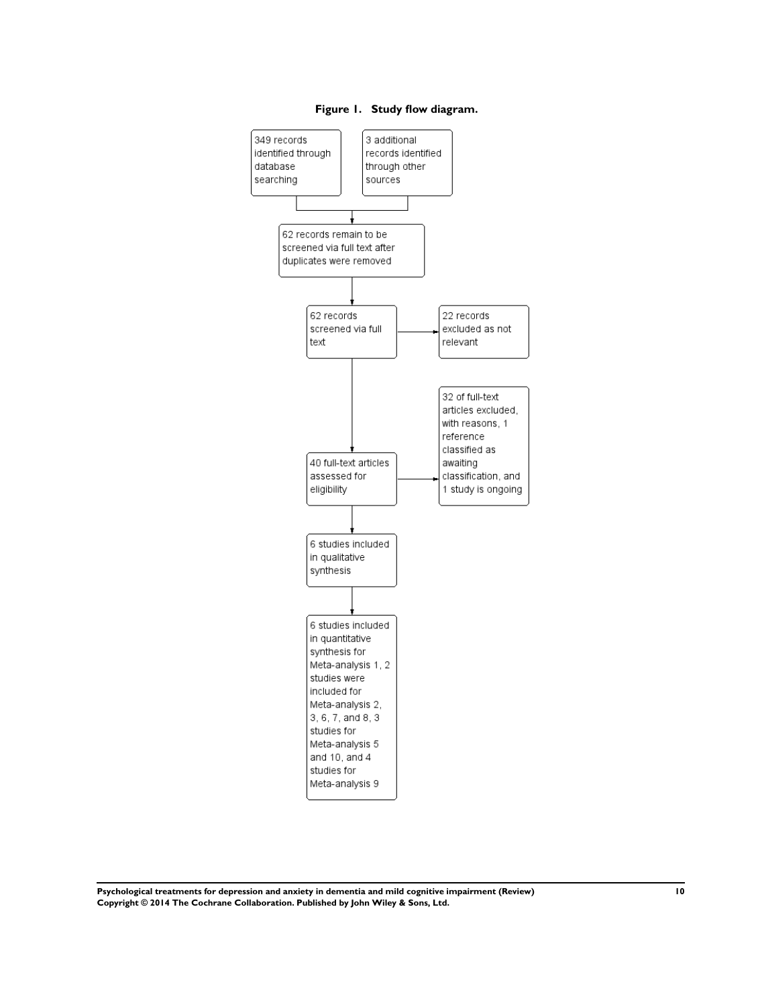<span id="page-11-0"></span>

**Figure 1. Study flow diagram.**

**Psychological treatments for depression and anxiety in dementia and mild cognitive impairment (Review) 10 Copyright © 2014 The Cochrane Collaboration. Published by John Wiley & Sons, Ltd.**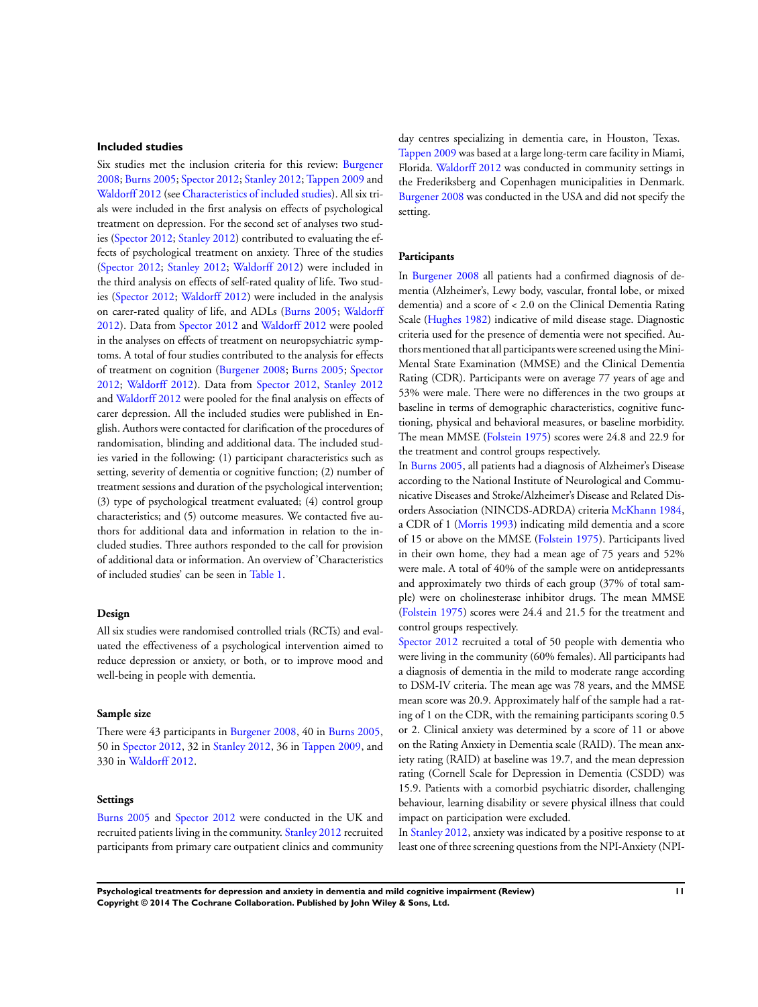#### **Included studies**

Six studies met the inclusion criteria for this review: [Burgener](#page-25-0) [2008](#page-25-0); [Burns 2005](#page-25-0); [Spector 2012](#page-25-0); [Stanley 2012;](#page-25-0) [Tappen 2009](#page-25-0) and [Waldorff 2012](#page-25-0) (see [Characteristics of included studies\)](#page-32-0). All six trials were included in the first analysis on effects of psychological treatment on depression. For the second set of analyses two studies ([Spector 2012;](#page-25-0) [Stanley 2012](#page-25-0)) contributed to evaluating the effects of psychological treatment on anxiety. Three of the studies [\(Spector 2012](#page-25-0); [Stanley 2012;](#page-25-0) [Waldorff 2012\)](#page-25-0) were included in the third analysis on effects of self-rated quality of life. Two studies ([Spector 2012](#page-25-0); [Waldorff 2012](#page-25-0)) were included in the analysis on carer-rated quality of life, and ADLs [\(Burns 2005](#page-25-0); [Waldorff](#page-25-0) [2012](#page-25-0)). Data from [Spector 2012](#page-25-0) and [Waldorff 2012](#page-25-0) were pooled in the analyses on effects of treatment on neuropsychiatric symptoms. A total of four studies contributed to the analysis for effects of treatment on cognition [\(Burgener 2008;](#page-25-0) [Burns 2005](#page-25-0); [Spector](#page-25-0) [2012](#page-25-0); [Waldorff 2012](#page-25-0)). Data from [Spector 2012](#page-25-0), [Stanley 2012](#page-25-0) and [Waldorff 2012](#page-25-0) were pooled for the final analysis on effects of carer depression. All the included studies were published in English. Authors were contacted for clarification of the procedures of randomisation, blinding and additional data. The included studies varied in the following: (1) participant characteristics such as setting, severity of dementia or cognitive function; (2) number of treatment sessions and duration of the psychological intervention; (3) type of psychological treatment evaluated; (4) control group characteristics; and (5) outcome measures. We contacted five authors for additional data and information in relation to the included studies. Three authors responded to the call for provision of additional data or information. An overview of 'Characteristics of included studies' can be seen in [Table 1](#page-53-0).

#### **Design**

All six studies were randomised controlled trials (RCTs) and evaluated the effectiveness of a psychological intervention aimed to reduce depression or anxiety, or both, or to improve mood and well-being in people with dementia.

#### **Sample size**

There were 43 participants in [Burgener 2008](#page-25-0), 40 in [Burns 2005,](#page-25-0) 50 in [Spector 2012,](#page-25-0) 32 in [Stanley 2012,](#page-25-0) 36 in [Tappen 2009,](#page-25-0) and 330 in [Waldorff 2012](#page-25-0).

#### **Settings**

[Burns 2005](#page-25-0) and [Spector 2012](#page-25-0) were conducted in the UK and recruited patients living in the community. [Stanley 2012](#page-25-0) recruited participants from primary care outpatient clinics and community day centres specializing in dementia care, in Houston, Texas. [Tappen 2009](#page-25-0) was based at a large long-term care facility in Miami, Florida. [Waldorff 2012](#page-25-0) was conducted in community settings in the Frederiksberg and Copenhagen municipalities in Denmark. [Burgener 2008](#page-25-0) was conducted in the USA and did not specify the setting.

#### **Participants**

In [Burgener 2008](#page-25-0) all patients had a confirmed diagnosis of dementia (Alzheimer's, Lewy body, vascular, frontal lobe, or mixed dementia) and a score of < 2.0 on the Clinical Dementia Rating Scale ([Hughes 1982](#page-25-0)) indicative of mild disease stage. Diagnostic criteria used for the presence of dementia were not specified. Authors mentioned that all participants were screened using the Mini-Mental State Examination (MMSE) and the Clinical Dementia Rating (CDR). Participants were on average 77 years of age and 53% were male. There were no differences in the two groups at baseline in terms of demographic characteristics, cognitive functioning, physical and behavioral measures, or baseline morbidity. The mean MMSE ([Folstein 1975](#page-25-0)) scores were 24.8 and 22.9 for the treatment and control groups respectively.

In [Burns 2005,](#page-25-0) all patients had a diagnosis of Alzheimer's Disease according to the National Institute of Neurological and Communicative Diseases and Stroke/Alzheimer's Disease and Related Disorders Association (NINCDS-ADRDA) criteria [McKhann 1984,](#page-25-0) a CDR of 1 ([Morris 1993\)](#page-25-0) indicating mild dementia and a score of 15 or above on the MMSE ([Folstein 1975\)](#page-25-0). Participants lived in their own home, they had a mean age of 75 years and 52% were male. A total of 40% of the sample were on antidepressants and approximately two thirds of each group (37% of total sample) were on cholinesterase inhibitor drugs. The mean MMSE [\(Folstein 1975](#page-25-0)) scores were 24.4 and 21.5 for the treatment and control groups respectively.

[Spector 2012](#page-25-0) recruited a total of 50 people with dementia who were living in the community (60% females). All participants had a diagnosis of dementia in the mild to moderate range according to DSM-IV criteria. The mean age was 78 years, and the MMSE mean score was 20.9. Approximately half of the sample had a rating of 1 on the CDR, with the remaining participants scoring 0.5 or 2. Clinical anxiety was determined by a score of 11 or above on the Rating Anxiety in Dementia scale (RAID). The mean anxiety rating (RAID) at baseline was 19.7, and the mean depression rating (Cornell Scale for Depression in Dementia (CSDD) was 15.9. Patients with a comorbid psychiatric disorder, challenging behaviour, learning disability or severe physical illness that could impact on participation were excluded.

In [Stanley 2012,](#page-25-0) anxiety was indicated by a positive response to at least one of three screening questions from the NPI-Anxiety (NPI-

**Psychological treatments for depression and anxiety in dementia and mild cognitive impairment (Review) 11 Copyright © 2014 The Cochrane Collaboration. Published by John Wiley & Sons, Ltd.**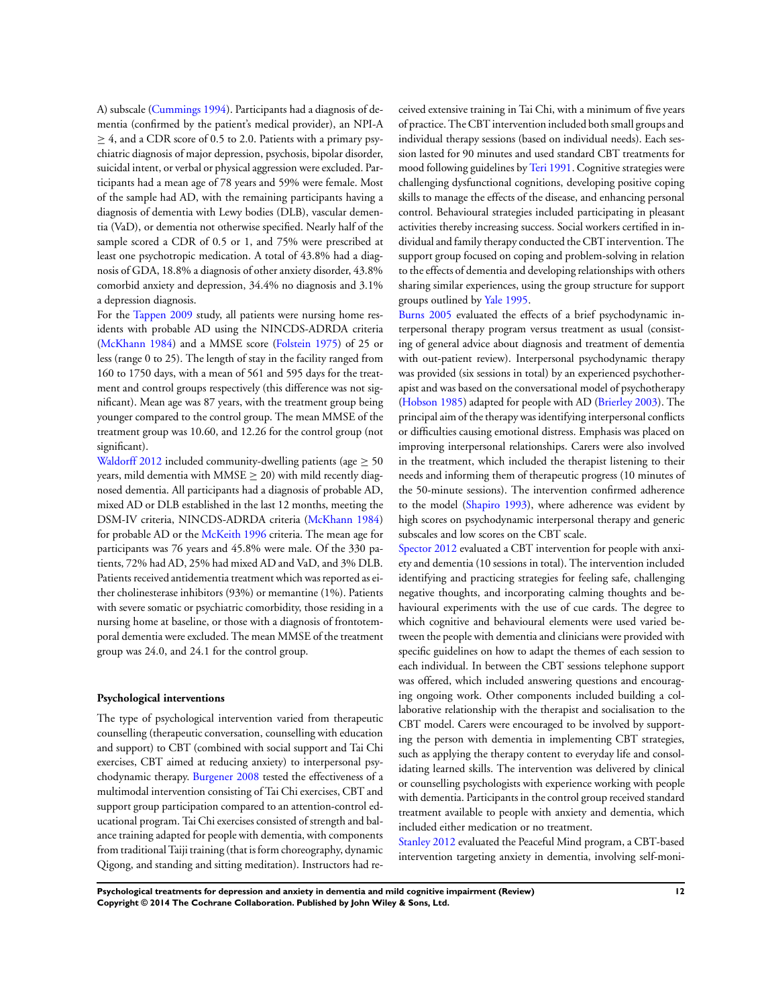A) subscale [\(Cummings 1994\)](#page-25-0). Participants had a diagnosis of dementia (confirmed by the patient's medical provider), an NPI-A  $\geq 4$ , and a CDR score of 0.5 to 2.0. Patients with a primary psychiatric diagnosis of major depression, psychosis, bipolar disorder, suicidal intent, or verbal or physical aggression were excluded. Participants had a mean age of 78 years and 59% were female. Most of the sample had AD, with the remaining participants having a diagnosis of dementia with Lewy bodies (DLB), vascular dementia (VaD), or dementia not otherwise specified. Nearly half of the sample scored a CDR of 0.5 or 1, and 75% were prescribed at least one psychotropic medication. A total of 43.8% had a diagnosis of GDA, 18.8% a diagnosis of other anxiety disorder, 43.8% comorbid anxiety and depression, 34.4% no diagnosis and 3.1% a depression diagnosis.

For the [Tappen 2009](#page-25-0) study, all patients were nursing home residents with probable AD using the NINCDS-ADRDA criteria [\(McKhann 1984\)](#page-25-0) and a MMSE score [\(Folstein 1975\)](#page-25-0) of 25 or less (range 0 to 25). The length of stay in the facility ranged from 160 to 1750 days, with a mean of 561 and 595 days for the treatment and control groups respectively (this difference was not significant). Mean age was 87 years, with the treatment group being younger compared to the control group. The mean MMSE of the treatment group was 10.60, and 12.26 for the control group (not significant).

[Waldorff 2012](#page-25-0) included community-dwelling patients (age  $\geq$  50 years, mild dementia with MMSE  $\geq$  20) with mild recently diagnosed dementia. All participants had a diagnosis of probable AD, mixed AD or DLB established in the last 12 months, meeting the DSM-IV criteria, NINCDS-ADRDA criteria ([McKhann 1984](#page-25-0)) for probable AD or the [McKeith 1996](#page-25-0) criteria. The mean age for participants was 76 years and 45.8% were male. Of the 330 patients, 72% had AD, 25% had mixed AD and VaD, and 3% DLB. Patients received antidementia treatment which was reported as either cholinesterase inhibitors (93%) or memantine (1%). Patients with severe somatic or psychiatric comorbidity, those residing in a nursing home at baseline, or those with a diagnosis of frontotemporal dementia were excluded. The mean MMSE of the treatment group was 24.0, and 24.1 for the control group.

#### **Psychological interventions**

The type of psychological intervention varied from therapeutic counselling (therapeutic conversation, counselling with education and support) to CBT (combined with social support and Tai Chi exercises, CBT aimed at reducing anxiety) to interpersonal psychodynamic therapy. [Burgener 2008](#page-25-0) tested the effectiveness of a multimodal intervention consisting of Tai Chi exercises, CBT and support group participation compared to an attention-control educational program. Tai Chi exercises consisted of strength and balance training adapted for people with dementia, with components from traditional Taiji training (that is form choreography, dynamic Qigong, and standing and sitting meditation). Instructors had re-

ceived extensive training in Tai Chi, with a minimum of five years of practice. The CBT intervention included both small groups and individual therapy sessions (based on individual needs). Each session lasted for 90 minutes and used standard CBT treatments for mood following guidelines by [Teri 1991.](#page-25-0) Cognitive strategies were challenging dysfunctional cognitions, developing positive coping skills to manage the effects of the disease, and enhancing personal control. Behavioural strategies included participating in pleasant activities thereby increasing success. Social workers certified in individual and family therapy conducted the CBT intervention. The support group focused on coping and problem-solving in relation to the effects of dementia and developing relationships with others sharing similar experiences, using the group structure for support groups outlined by [Yale 1995](#page-25-0).

[Burns 2005](#page-25-0) evaluated the effects of a brief psychodynamic interpersonal therapy program versus treatment as usual (consisting of general advice about diagnosis and treatment of dementia with out-patient review). Interpersonal psychodynamic therapy was provided (six sessions in total) by an experienced psychotherapist and was based on the conversational model of psychotherapy [\(Hobson 1985](#page-25-0)) adapted for people with AD [\(Brierley 2003\)](#page-25-0). The principal aim of the therapy was identifying interpersonal conflicts or difficulties causing emotional distress. Emphasis was placed on improving interpersonal relationships. Carers were also involved in the treatment, which included the therapist listening to their needs and informing them of therapeutic progress (10 minutes of the 50-minute sessions). The intervention confirmed adherence to the model [\(Shapiro 1993](#page-25-0)), where adherence was evident by high scores on psychodynamic interpersonal therapy and generic subscales and low scores on the CBT scale.

[Spector 2012](#page-25-0) evaluated a CBT intervention for people with anxiety and dementia (10 sessions in total). The intervention included identifying and practicing strategies for feeling safe, challenging negative thoughts, and incorporating calming thoughts and behavioural experiments with the use of cue cards. The degree to which cognitive and behavioural elements were used varied between the people with dementia and clinicians were provided with specific guidelines on how to adapt the themes of each session to each individual. In between the CBT sessions telephone support was offered, which included answering questions and encouraging ongoing work. Other components included building a collaborative relationship with the therapist and socialisation to the CBT model. Carers were encouraged to be involved by supporting the person with dementia in implementing CBT strategies, such as applying the therapy content to everyday life and consolidating learned skills. The intervention was delivered by clinical or counselling psychologists with experience working with people with dementia. Participants in the control group received standard treatment available to people with anxiety and dementia, which included either medication or no treatment.

[Stanley 2012](#page-25-0) evaluated the Peaceful Mind program, a CBT-based intervention targeting anxiety in dementia, involving self-moni-

**Psychological treatments for depression and anxiety in dementia and mild cognitive impairment (Review) 12 Copyright © 2014 The Cochrane Collaboration. Published by John Wiley & Sons, Ltd.**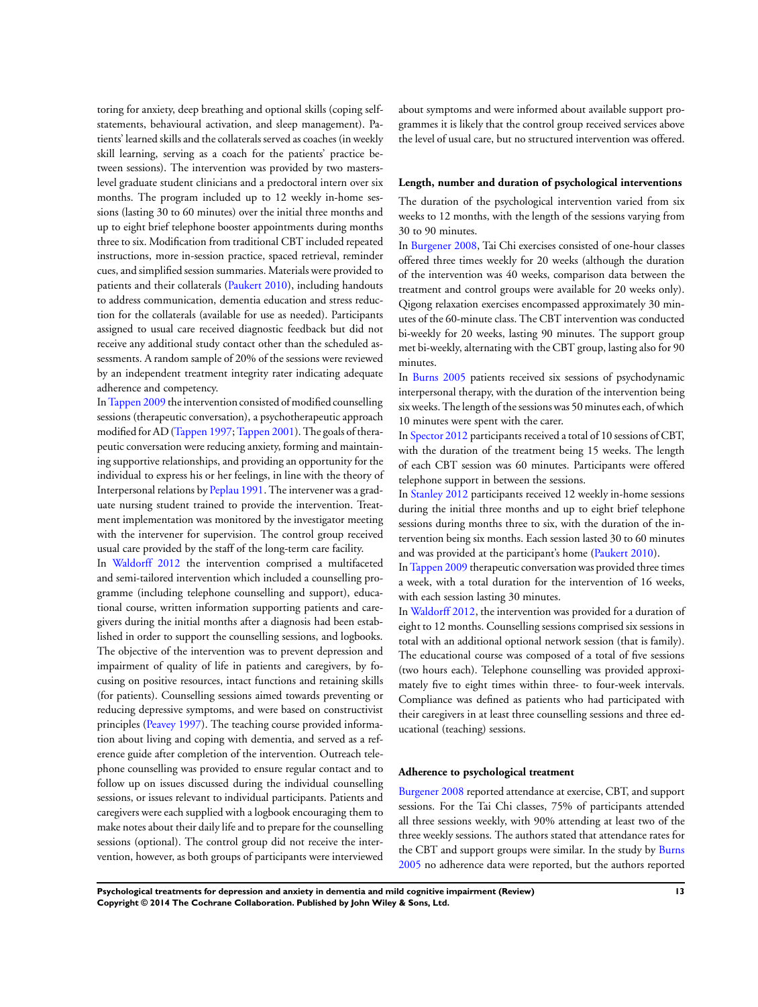toring for anxiety, deep breathing and optional skills (coping selfstatements, behavioural activation, and sleep management). Patients' learned skills and the collaterals served as coaches (in weekly skill learning, serving as a coach for the patients' practice between sessions). The intervention was provided by two masterslevel graduate student clinicians and a predoctoral intern over six months. The program included up to 12 weekly in-home sessions (lasting 30 to 60 minutes) over the initial three months and up to eight brief telephone booster appointments during months three to six. Modification from traditional CBT included repeated instructions, more in-session practice, spaced retrieval, reminder cues, and simplified session summaries. Materials were provided to patients and their collaterals [\(Paukert 2010\)](#page-25-0), including handouts to address communication, dementia education and stress reduction for the collaterals (available for use as needed). Participants assigned to usual care received diagnostic feedback but did not receive any additional study contact other than the scheduled assessments. A random sample of 20% of the sessions were reviewed by an independent treatment integrity rater indicating adequate adherence and competency.

In[Tappen 2009](#page-25-0) the intervention consisted of modified counselling sessions (therapeutic conversation), a psychotherapeutic approach modified for AD (Tappen 1997; Tappen 2001). The goals of therapeutic conversation were reducing anxiety, forming and maintaining supportive relationships, and providing an opportunity for the individual to express his or her feelings, in line with the theory of Interpersonal relations by [Peplau 1991](#page-25-0). The intervener was a graduate nursing student trained to provide the intervention. Treatment implementation was monitored by the investigator meeting with the intervener for supervision. The control group received usual care provided by the staff of the long-term care facility.

In [Waldorff 2012](#page-25-0) the intervention comprised a multifaceted and semi-tailored intervention which included a counselling programme (including telephone counselling and support), educational course, written information supporting patients and caregivers during the initial months after a diagnosis had been established in order to support the counselling sessions, and logbooks. The objective of the intervention was to prevent depression and impairment of quality of life in patients and caregivers, by focusing on positive resources, intact functions and retaining skills (for patients). Counselling sessions aimed towards preventing or reducing depressive symptoms, and were based on constructivist principles [\(Peavey 1997](#page-25-0)). The teaching course provided information about living and coping with dementia, and served as a reference guide after completion of the intervention. Outreach telephone counselling was provided to ensure regular contact and to follow up on issues discussed during the individual counselling sessions, or issues relevant to individual participants. Patients and caregivers were each supplied with a logbook encouraging them to make notes about their daily life and to prepare for the counselling sessions (optional). The control group did not receive the intervention, however, as both groups of participants were interviewed

about symptoms and were informed about available support programmes it is likely that the control group received services above the level of usual care, but no structured intervention was offered.

#### **Length, number and duration of psychological interventions**

The duration of the psychological intervention varied from six weeks to 12 months, with the length of the sessions varying from 30 to 90 minutes.

In [Burgener 2008](#page-25-0), Tai Chi exercises consisted of one-hour classes offered three times weekly for 20 weeks (although the duration of the intervention was 40 weeks, comparison data between the treatment and control groups were available for 20 weeks only). Qigong relaxation exercises encompassed approximately 30 minutes of the 60-minute class. The CBT intervention was conducted bi-weekly for 20 weeks, lasting 90 minutes. The support group met bi-weekly, alternating with the CBT group, lasting also for 90 minutes.

In [Burns 2005](#page-25-0) patients received six sessions of psychodynamic interpersonal therapy, with the duration of the intervention being six weeks. The length of the sessions was 50 minutes each, of which 10 minutes were spent with the carer.

In [Spector 2012](#page-25-0) participants received a total of 10 sessions of CBT, with the duration of the treatment being 15 weeks. The length of each CBT session was 60 minutes. Participants were offered telephone support in between the sessions.

In [Stanley 2012](#page-25-0) participants received 12 weekly in-home sessions during the initial three months and up to eight brief telephone sessions during months three to six, with the duration of the intervention being six months. Each session lasted 30 to 60 minutes and was provided at the participant's home [\(Paukert 2010\)](#page-25-0).

In [Tappen 2009](#page-25-0) therapeutic conversation was provided three times a week, with a total duration for the intervention of 16 weeks, with each session lasting 30 minutes.

In [Waldorff 2012,](#page-25-0) the intervention was provided for a duration of eight to 12 months. Counselling sessions comprised six sessions in total with an additional optional network session (that is family). The educational course was composed of a total of five sessions (two hours each). Telephone counselling was provided approximately five to eight times within three- to four-week intervals. Compliance was defined as patients who had participated with their caregivers in at least three counselling sessions and three educational (teaching) sessions.

#### **Adherence to psychological treatment**

[Burgener 2008](#page-25-0) reported attendance at exercise, CBT, and support sessions. For the Tai Chi classes, 75% of participants attended all three sessions weekly, with 90% attending at least two of the three weekly sessions. The authors stated that attendance rates for the CBT and support groups were similar. In the study by [Burns](#page-25-0) [2005](#page-25-0) no adherence data were reported, but the authors reported

**Psychological treatments for depression and anxiety in dementia and mild cognitive impairment (Review) 13 Copyright © 2014 The Cochrane Collaboration. Published by John Wiley & Sons, Ltd.**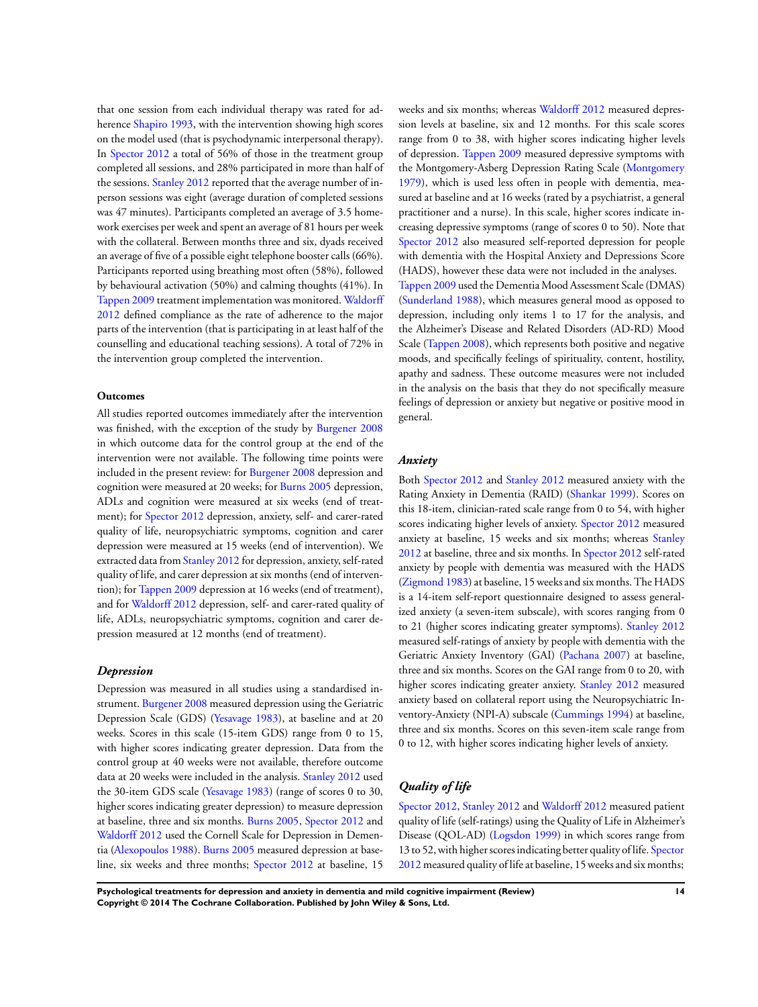that one session from each individual therapy was rated for adherence [Shapiro 1993,](#page-25-0) with the intervention showing high scores on the model used (that is psychodynamic interpersonal therapy). In [Spector 2012](#page-25-0) a total of 56% of those in the treatment group completed all sessions, and 28% participated in more than half of the sessions. [Stanley 2012](#page-25-0) reported that the average number of inperson sessions was eight (average duration of completed sessions was 47 minutes). Participants completed an average of 3.5 homework exercises per week and spent an average of 81 hours per week with the collateral. Between months three and six, dyads received an average of five of a possible eight telephone booster calls (66%). Participants reported using breathing most often (58%), followed by behavioural activation (50%) and calming thoughts (41%). In [Tappen 2009](#page-25-0) treatment implementation was monitored. [Waldorff](#page-25-0) [2012](#page-25-0) defined compliance as the rate of adherence to the major parts of the intervention (that is participating in at least half of the counselling and educational teaching sessions). A total of 72% in the intervention group completed the intervention.

#### **Outcomes**

All studies reported outcomes immediately after the intervention was finished, with the exception of the study by [Burgener 2008](#page-25-0) in which outcome data for the control group at the end of the intervention were not available. The following time points were included in the present review: for [Burgener 2008](#page-25-0) depression and cognition were measured at 20 weeks; for [Burns 2005](#page-25-0) depression, ADLs and cognition were measured at six weeks (end of treatment); for [Spector 2012](#page-25-0) depression, anxiety, self- and carer-rated quality of life, neuropsychiatric symptoms, cognition and carer depression were measured at 15 weeks (end of intervention). We extracted data from [Stanley 2012](#page-25-0) for depression, anxiety, self-rated quality of life, and carer depression at six months (end of intervention); for [Tappen 2009](#page-25-0) depression at 16 weeks (end of treatment), and for [Waldorff 2012](#page-25-0) depression, self- and carer-rated quality of life, ADLs, neuropsychiatric symptoms, cognition and carer depression measured at 12 months (end of treatment).

#### *Depression*

Depression was measured in all studies using a standardised instrument. [Burgener 2008](#page-25-0) measured depression using the Geriatric Depression Scale (GDS) [\(Yesavage 1983\)](#page-25-0), at baseline and at 20 weeks. Scores in this scale (15-item GDS) range from 0 to 15, with higher scores indicating greater depression. Data from the control group at 40 weeks were not available, therefore outcome data at 20 weeks were included in the analysis. [Stanley 2012](#page-25-0) used the 30-item GDS scale ([Yesavage 1983\)](#page-25-0) (range of scores 0 to 30, higher scores indicating greater depression) to measure depression at baseline, three and six months. [Burns 2005](#page-25-0), [Spector 2012](#page-25-0) and [Waldorff 2012](#page-25-0) used the Cornell Scale for Depression in Dementia ([Alexopoulos 1988](#page-25-0)). [Burns 2005](#page-25-0) measured depression at baseline, six weeks and three months; [Spector 2012](#page-25-0) at baseline, 15

weeks and six months; whereas [Waldorff 2012](#page-25-0) measured depression levels at baseline, six and 12 months. For this scale scores range from 0 to 38, with higher scores indicating higher levels of depression. [Tappen 2009](#page-25-0) measured depressive symptoms with the Montgomery-Asberg Depression Rating Scale [\(Montgomery](#page-25-0) [1979](#page-25-0)), which is used less often in people with dementia, measured at baseline and at 16 weeks (rated by a psychiatrist, a general practitioner and a nurse). In this scale, higher scores indicate increasing depressive symptoms (range of scores 0 to 50). Note that [Spector 2012](#page-25-0) also measured self-reported depression for people with dementia with the Hospital Anxiety and Depressions Score (HADS), however these data were not included in the analyses. [Tappen 2009](#page-25-0) used the Dementia Mood Assessment Scale (DMAS) [\(Sunderland 1988](#page-25-0)), which measures general mood as opposed to depression, including only items 1 to 17 for the analysis, and the Alzheimer's Disease and Related Disorders (AD-RD) Mood Scale ([Tappen 2008](#page-25-0)), which represents both positive and negative moods, and specifically feelings of spirituality, content, hostility, apathy and sadness. These outcome measures were not included in the analysis on the basis that they do not specifically measure feelings of depression or anxiety but negative or positive mood in general.

### *Anxiety*

Both [Spector 2012](#page-25-0) and [Stanley 2012](#page-25-0) measured anxiety with the Rating Anxiety in Dementia (RAID) [\(Shankar 1999](#page-25-0)). Scores on this 18-item, clinician-rated scale range from 0 to 54, with higher scores indicating higher levels of anxiety. [Spector 2012](#page-25-0) measured anxiety at baseline, 15 weeks and six months; whereas [Stanley](#page-25-0) [2012](#page-25-0) at baseline, three and six months. In [Spector 2012](#page-25-0) self-rated anxiety by people with dementia was measured with the HADS [\(Zigmond 1983](#page-25-0)) at baseline, 15 weeks and six months. The HADS is a 14-item self-report questionnaire designed to assess generalized anxiety (a seven-item subscale), with scores ranging from 0 to 21 (higher scores indicating greater symptoms). [Stanley 2012](#page-25-0) measured self-ratings of anxiety by people with dementia with the Geriatric Anxiety Inventory (GAI) ([Pachana 2007](#page-25-0)) at baseline, three and six months. Scores on the GAI range from 0 to 20, with higher scores indicating greater anxiety. [Stanley 2012](#page-25-0) measured anxiety based on collateral report using the Neuropsychiatric Inventory-Anxiety (NPI-A) subscale ([Cummings 1994\)](#page-25-0) at baseline, three and six months. Scores on this seven-item scale range from 0 to 12, with higher scores indicating higher levels of anxiety.

### *Quality of life*

[Spector 2012](#page-25-0), [Stanley 2012](#page-25-0) and [Waldorff 2012](#page-25-0) measured patient quality of life (self-ratings) using the Quality of Life in Alzheimer's Disease (QOL-AD) ([Logsdon 1999](#page-25-0)) in which scores range from 13 to 52, with higher scores indicating better quality of life. [Spector](#page-25-0) [2012](#page-25-0) measured quality of life at baseline, 15 weeks and six months;

**Psychological treatments for depression and anxiety in dementia and mild cognitive impairment (Review) 14 Copyright © 2014 The Cochrane Collaboration. Published by John Wiley & Sons, Ltd.**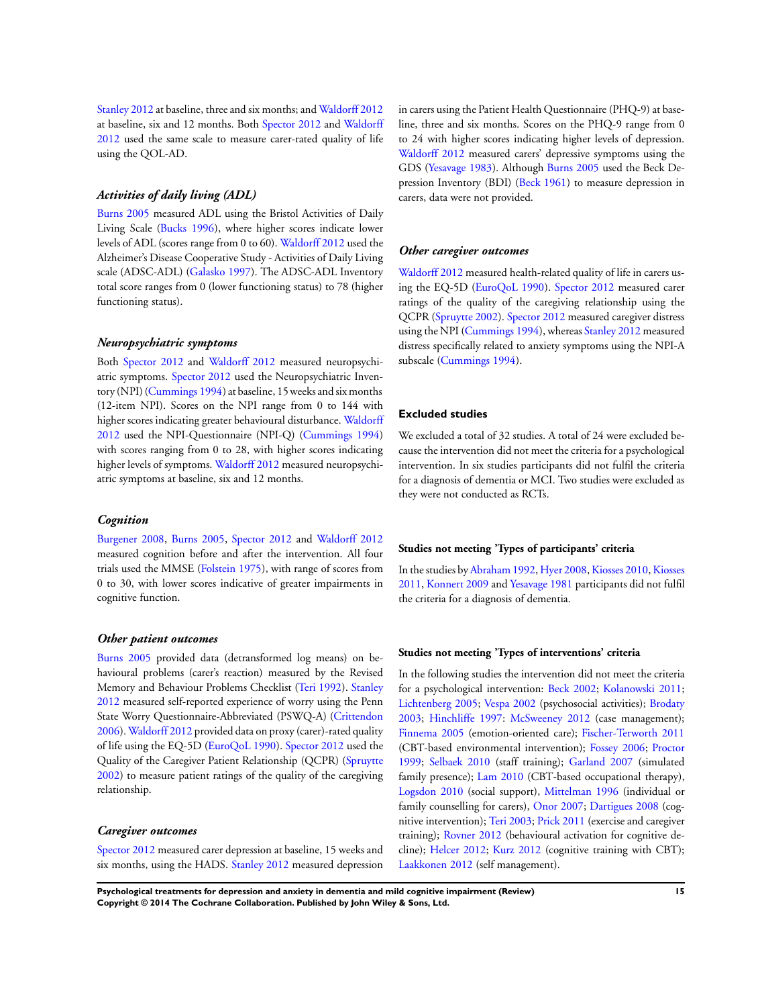[Stanley 2012](#page-25-0) at baseline, three and six months; and [Waldorff 2012](#page-25-0) at baseline, six and 12 months. Both [Spector 2012](#page-25-0) and [Waldorff](#page-25-0) [2012](#page-25-0) used the same scale to measure carer-rated quality of life using the QOL-AD.

### *Activities of daily living (ADL)*

[Burns 2005](#page-25-0) measured ADL using the Bristol Activities of Daily Living Scale ([Bucks 1996](#page-25-0)), where higher scores indicate lower levels of ADL (scores range from 0 to 60). [Waldorff 2012](#page-25-0) used the Alzheimer's Disease Cooperative Study - Activities of Daily Living scale (ADSC-ADL) [\(Galasko 1997](#page-25-0)). The ADSC-ADL Inventory total score ranges from 0 (lower functioning status) to 78 (higher functioning status).

#### *Neuropsychiatric symptoms*

Both [Spector 2012](#page-25-0) and [Waldorff 2012](#page-25-0) measured neuropsychiatric symptoms. [Spector 2012](#page-25-0) used the Neuropsychiatric Inventory (NPI) ([Cummings 1994\)](#page-25-0) at baseline, 15 weeks and six months (12-item NPI). Scores on the NPI range from 0 to 144 with higher scores indicating greater behavioural disturbance. [Waldorff](#page-25-0) [2012](#page-25-0) used the NPI-Questionnaire (NPI-Q) [\(Cummings 1994](#page-25-0)) with scores ranging from 0 to 28, with higher scores indicating higher levels of symptoms. [Waldorff 2012](#page-25-0) measured neuropsychiatric symptoms at baseline, six and 12 months.

#### *Cognition*

[Burgener 2008](#page-25-0), [Burns 2005,](#page-25-0) [Spector 2012](#page-25-0) and [Waldorff 2012](#page-25-0) measured cognition before and after the intervention. All four trials used the MMSE ([Folstein 1975\)](#page-25-0), with range of scores from 0 to 30, with lower scores indicative of greater impairments in cognitive function.

#### *Other patient outcomes*

[Burns 2005](#page-25-0) provided data (detransformed log means) on behavioural problems (carer's reaction) measured by the Revised Memory and Behaviour Problems Checklist [\(Teri 1992\)](#page-25-0). [Stanley](#page-25-0) [2012](#page-25-0) measured self-reported experience of worry using the Penn State Worry Questionnaire-Abbreviated (PSWQ-A) [\(Crittendon](#page-25-0) [2006](#page-25-0)). [Waldorff 2012](#page-25-0) provided data on proxy (carer)-rated quality of life using the EQ-5D ([EuroQoL 1990](#page-25-0)). [Spector 2012](#page-25-0) used the Quality of the Caregiver Patient Relationship (QCPR) ([Spruytte](#page-25-0) [2002](#page-25-0)) to measure patient ratings of the quality of the caregiving relationship.

#### *Caregiver outcomes*

[Spector 2012](#page-25-0) measured carer depression at baseline, 15 weeks and six months, using the HADS. [Stanley 2012](#page-25-0) measured depression in carers using the Patient Health Questionnaire (PHQ-9) at baseline, three and six months. Scores on the PHQ-9 range from 0 to 24 with higher scores indicating higher levels of depression. [Waldorff 2012](#page-25-0) measured carers' depressive symptoms using the GDS ([Yesavage 1983\)](#page-25-0). Although [Burns 2005](#page-25-0) used the Beck Depression Inventory (BDI) ([Beck 1961](#page-25-0)) to measure depression in carers, data were not provided.

#### *Other caregiver outcomes*

[Waldorff 2012](#page-25-0) measured health-related quality of life in carers using the EQ-5D ([EuroQoL 1990\)](#page-25-0). [Spector 2012](#page-25-0) measured carer ratings of the quality of the caregiving relationship using the QCPR [\(Spruytte 2002](#page-25-0)). [Spector 2012](#page-25-0) measured caregiver distress using the NPI [\(Cummings 1994\)](#page-25-0), whereas [Stanley 2012](#page-25-0) measured distress specifically related to anxiety symptoms using the NPI-A subscale [\(Cummings 1994](#page-25-0)).

#### **Excluded studies**

We excluded a total of 32 studies. A total of 24 were excluded because the intervention did not meet the criteria for a psychological intervention. In six studies participants did not fulfil the criteria for a diagnosis of dementia or MCI. Two studies were excluded as they were not conducted as RCTs.

#### **Studies not meeting 'Types of participants' criteria**

In the studies by [Abraham 1992,](#page-25-0) [Hyer 2008](#page-25-0), Kiosses 2010, Kiosses [2011](#page-25-0), [Konnert 2009](#page-25-0) and [Yesavage 1981](#page-25-0) participants did not fulfil the criteria for a diagnosis of dementia.

#### **Studies not meeting 'Types of interventions' criteria**

In the following studies the intervention did not meet the criteria for a psychological intervention: [Beck 2002;](#page-25-0) [Kolanowski 2011;](#page-25-0) [Lichtenberg 2005;](#page-25-0) [Vespa 2002](#page-25-0) (psychosocial activities); [Brodaty](#page-25-0) [2003](#page-25-0); [Hinchliffe 1997:](#page-25-0) [McSweeney 2012](#page-25-0) (case management); [Finnema 2005](#page-25-0) (emotion-oriented care); [Fischer-Terworth 2011](#page-25-0) (CBT-based environmental intervention); [Fossey 2006](#page-25-0); [Proctor](#page-25-0) [1999](#page-25-0); [Selbaek 2010](#page-25-0) (staff training); [Garland 2007](#page-25-0) (simulated family presence); [Lam 2010](#page-25-0) (CBT-based occupational therapy), [Logsdon 2010](#page-25-0) (social support), [Mittelman 1996](#page-25-0) (individual or family counselling for carers), [Onor 2007;](#page-25-0) [Dartigues 2008](#page-25-0) (cognitive intervention); [Teri 2003](#page-25-0); [Prick 2011](#page-25-0) (exercise and caregiver training); [Rovner 2012](#page-25-0) (behavioural activation for cognitive decline); [Helcer 2012](#page-25-0); [Kurz 2012](#page-25-0) (cognitive training with CBT); [Laakkonen 2012](#page-25-0) (self management).

**Psychological treatments for depression and anxiety in dementia and mild cognitive impairment (Review) 15 Copyright © 2014 The Cochrane Collaboration. Published by John Wiley & Sons, Ltd.**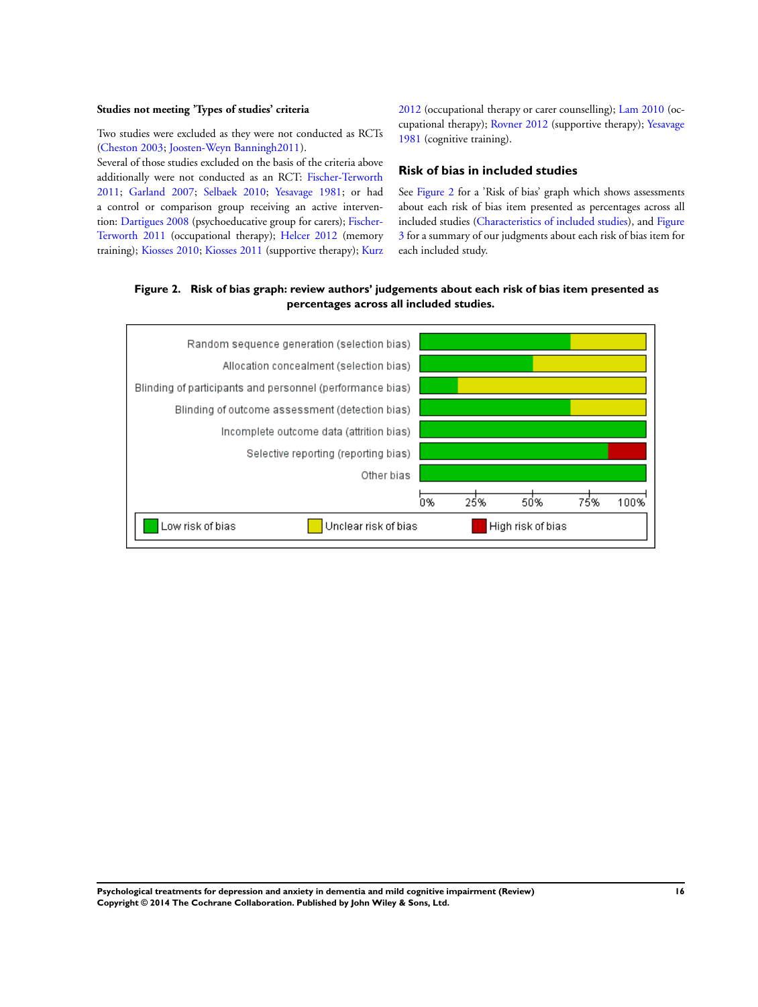### **Studies not meeting 'Types of studies' criteria**

Two studies were excluded as they were not conducted as RCTs [\(Cheston 2003;](#page-25-0) [Joosten-Weyn Banningh2011](#page-25-0)).

Several of those studies excluded on the basis of the criteria above additionally were not conducted as an RCT: [Fischer-Terworth](#page-25-0) [2011](#page-25-0); [Garland 2007;](#page-25-0) [Selbaek 2010](#page-25-0); [Yesavage 1981;](#page-25-0) or had a control or comparison group receiving an active intervention: [Dartigues 2008](#page-25-0) (psychoeducative group for carers); [Fischer-](#page-25-0)[Terworth 2011](#page-25-0) (occupational therapy); [Helcer 2012](#page-25-0) (memory training); [Kiosses 2010;](#page-25-0) [Kiosses 2011](#page-25-0) (supportive therapy); [Kurz](#page-25-0) [2012](#page-25-0) (occupational therapy or carer counselling); [Lam 2010](#page-25-0) (occupational therapy); [Rovner 2012](#page-25-0) (supportive therapy); [Yesavage](#page-25-0) [1981](#page-25-0) (cognitive training).

#### **Risk of bias in included studies**

See Figure 2 for a 'Risk of bias' graph which shows assessments about each risk of bias item presented as percentages across all included studies ([Characteristics of included studies](#page-32-0)), and [Figure](#page-18-0) [3](#page-18-0) for a summary of our judgments about each risk of bias item for each included study.

### **Figure 2. Risk of bias graph: review authors' judgements about each risk of bias item presented as percentages across all included studies.**



**Psychological treatments for depression and anxiety in dementia and mild cognitive impairment (Review) 16 Copyright © 2014 The Cochrane Collaboration. Published by John Wiley & Sons, Ltd.**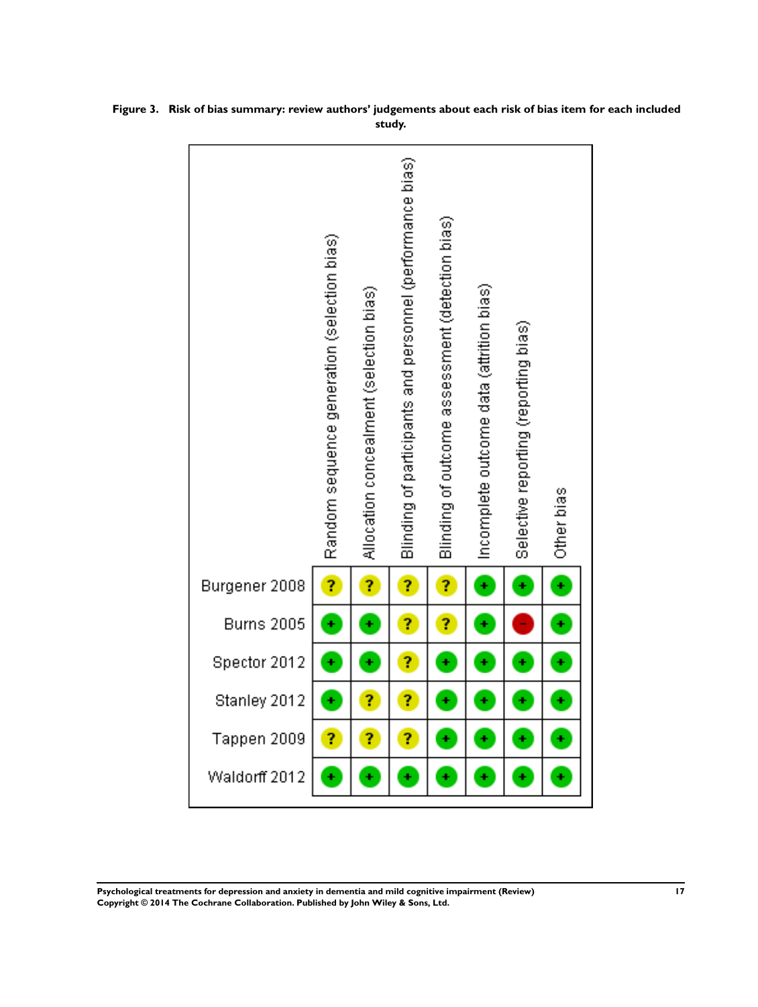|                   | Random sequence generation (selection bias) | Allocation concealment (selection bias) | Blinding of participants and personnel (performance bias) | Blinding of outcome assessment (detection bias) | (ncomplete outcome data (attrition bias | Selective reporting (reporting bias) | Other bias     |
|-------------------|---------------------------------------------|-----------------------------------------|-----------------------------------------------------------|-------------------------------------------------|-----------------------------------------|--------------------------------------|----------------|
| Burgener 2008     | ?                                           | ?                                       | ?                                                         | ?                                               | ¥                                       | Ŧ                                    | $\color{red}+$ |
| <b>Burns 2005</b> | ÷                                           | ÷                                       | ?                                                         | ?                                               | ÷                                       |                                      | ÷              |
| Spector 2012      | ÷                                           | ÷                                       | 7                                                         | ÷                                               | ÷                                       | ÷                                    | ¥              |
| Stanley 2012      | ÷                                           | ?                                       | ?                                                         | ÷                                               | ÷                                       | ÷                                    | ÷              |
| Tappen 2009       | Ĩ,                                          | ?                                       | 7                                                         | ÷                                               | ÷                                       | ÷                                    | ÷              |
| Waldorff 2012     | ÷                                           | ÷                                       | ÷                                                         | ¥                                               | ÷                                       | $\color{red}+$                       | ¥              |

<span id="page-18-0"></span>**Figure 3. Risk of bias summary: review authors' judgements about each risk of bias item for each included study.**

**Psychological treatments for depression and anxiety in dementia and mild cognitive impairment (Review) 17 Copyright © 2014 The Cochrane Collaboration. Published by John Wiley & Sons, Ltd.**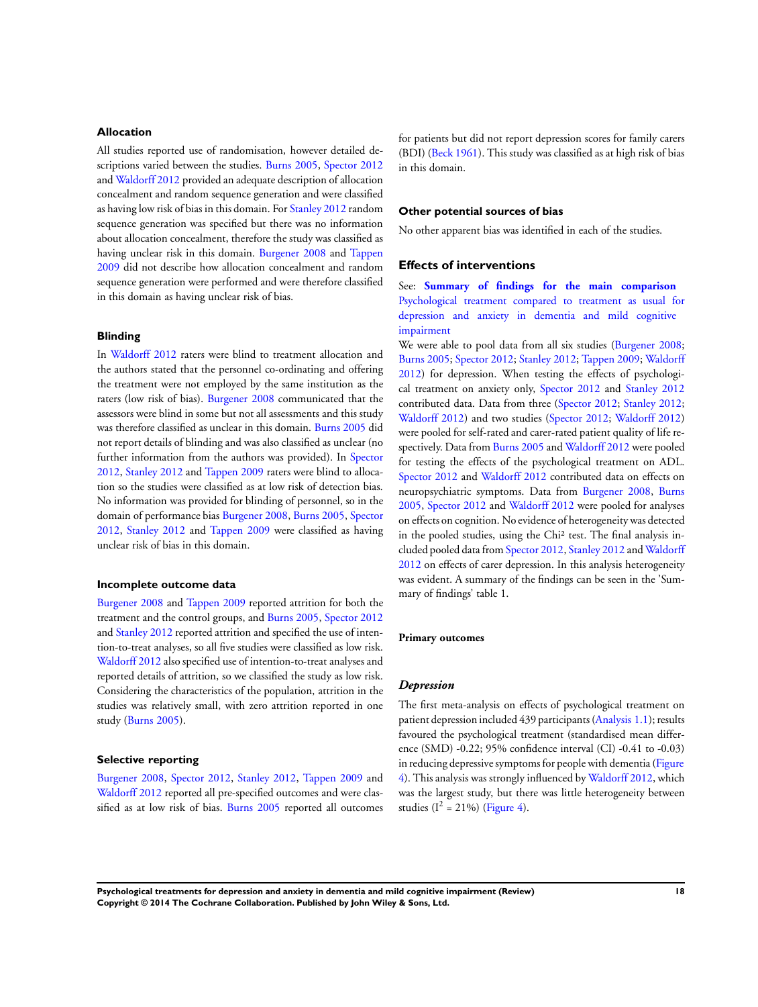### **Allocation**

All studies reported use of randomisation, however detailed descriptions varied between the studies. [Burns 2005,](#page-25-0) [Spector 2012](#page-25-0) and [Waldorff 2012](#page-25-0) provided an adequate description of allocation concealment and random sequence generation and were classified as having low risk of bias in this domain. For [Stanley 2012](#page-25-0) random sequence generation was specified but there was no information about allocation concealment, therefore the study was classified as having unclear risk in this domain. [Burgener 2008](#page-25-0) and [Tappen](#page-25-0) [2009](#page-25-0) did not describe how allocation concealment and random sequence generation were performed and were therefore classified in this domain as having unclear risk of bias.

#### **Blinding**

In [Waldorff 2012](#page-25-0) raters were blind to treatment allocation and the authors stated that the personnel co-ordinating and offering the treatment were not employed by the same institution as the raters (low risk of bias). [Burgener 2008](#page-25-0) communicated that the assessors were blind in some but not all assessments and this study was therefore classified as unclear in this domain. [Burns 2005](#page-25-0) did not report details of blinding and was also classified as unclear (no further information from the authors was provided). In [Spector](#page-25-0) [2012](#page-25-0), [Stanley 2012](#page-25-0) and [Tappen 2009](#page-25-0) raters were blind to allocation so the studies were classified as at low risk of detection bias. No information was provided for blinding of personnel, so in the domain of performance bias [Burgener 2008](#page-25-0), [Burns 2005,](#page-25-0) [Spector](#page-25-0) [2012](#page-25-0), [Stanley 2012](#page-25-0) and [Tappen 2009](#page-25-0) were classified as having unclear risk of bias in this domain.

#### **Incomplete outcome data**

[Burgener 2008](#page-25-0) and [Tappen 2009](#page-25-0) reported attrition for both the treatment and the control groups, and [Burns 2005,](#page-25-0) [Spector 2012](#page-25-0) and [Stanley 2012](#page-25-0) reported attrition and specified the use of intention-to-treat analyses, so all five studies were classified as low risk. [Waldorff 2012](#page-25-0) also specified use of intention-to-treat analyses and reported details of attrition, so we classified the study as low risk. Considering the characteristics of the population, attrition in the studies was relatively small, with zero attrition reported in one study [\(Burns 2005](#page-25-0)).

#### **Selective reporting**

[Burgener 2008](#page-25-0), [Spector 2012](#page-25-0), [Stanley 2012,](#page-25-0) [Tappen 2009](#page-25-0) and [Waldorff 2012](#page-25-0) reported all pre-specified outcomes and were classified as at low risk of bias. [Burns 2005](#page-25-0) reported all outcomes

for patients but did not report depression scores for family carers (BDI) [\(Beck 1961\)](#page-25-0). This study was classified as at high risk of bias in this domain.

#### **Other potential sources of bias**

No other apparent bias was identified in each of the studies.

#### **Effects of interventions**

See: **[Summary of findings for the main comparison](#page-4-0)** [Psychological treatment compared to treatment as usual for](#page-4-0) [depression and anxiety in dementia and mild cognitive](#page-4-0) [impairment](#page-4-0)

We were able to pool data from all six studies [\(Burgener 2008;](#page-25-0) [Burns 2005;](#page-25-0) [Spector 2012;](#page-25-0) [Stanley 2012](#page-25-0); [Tappen 2009](#page-25-0); [Waldorff](#page-25-0) [2012](#page-25-0)) for depression. When testing the effects of psychological treatment on anxiety only, [Spector 2012](#page-25-0) and [Stanley 2012](#page-25-0) contributed data. Data from three ([Spector 2012](#page-25-0); [Stanley 2012;](#page-25-0) [Waldorff 2012\)](#page-25-0) and two studies ([Spector 2012](#page-25-0); [Waldorff 2012](#page-25-0)) were pooled for self-rated and carer-rated patient quality of life respectively. Data from [Burns 2005](#page-25-0) and [Waldorff 2012](#page-25-0) were pooled for testing the effects of the psychological treatment on ADL. [Spector 2012](#page-25-0) and [Waldorff 2012](#page-25-0) contributed data on effects on neuropsychiatric symptoms. Data from [Burgener 2008,](#page-25-0) [Burns](#page-25-0) [2005](#page-25-0), [Spector 2012](#page-25-0) and [Waldorff 2012](#page-25-0) were pooled for analyses on effects on cognition. No evidence of heterogeneity was detected in the pooled studies, using the Chi<sup>2</sup> test. The final analysis in-cluded pooled data from [Spector 2012](#page-25-0), [Stanley 2012](#page-25-0) and [Waldorff](#page-25-0) [2012](#page-25-0) on effects of carer depression. In this analysis heterogeneity was evident. A summary of the findings can be seen in the 'Summary of findings' table 1.

#### **Primary outcomes**

#### *Depression*

The first meta-analysis on effects of psychological treatment on patient depression included 439 participants [\(Analysis 1.1\)](#page-46-0); results favoured the psychological treatment (standardised mean difference (SMD) -0.22; 95% confidence interval (CI) -0.41 to -0.03) in reducing depressive symptoms for people with dementia ([Figure](#page-20-0) [4\)](#page-20-0). This analysis was strongly influenced by [Waldorff 2012](#page-25-0), which was the largest study, but there was little heterogeneity between studies ( $I^2 = 21\%$ ) [\(Figure 4](#page-20-0)).

**Psychological treatments for depression and anxiety in dementia and mild cognitive impairment (Review) 18 Copyright © 2014 The Cochrane Collaboration. Published by John Wiley & Sons, Ltd.**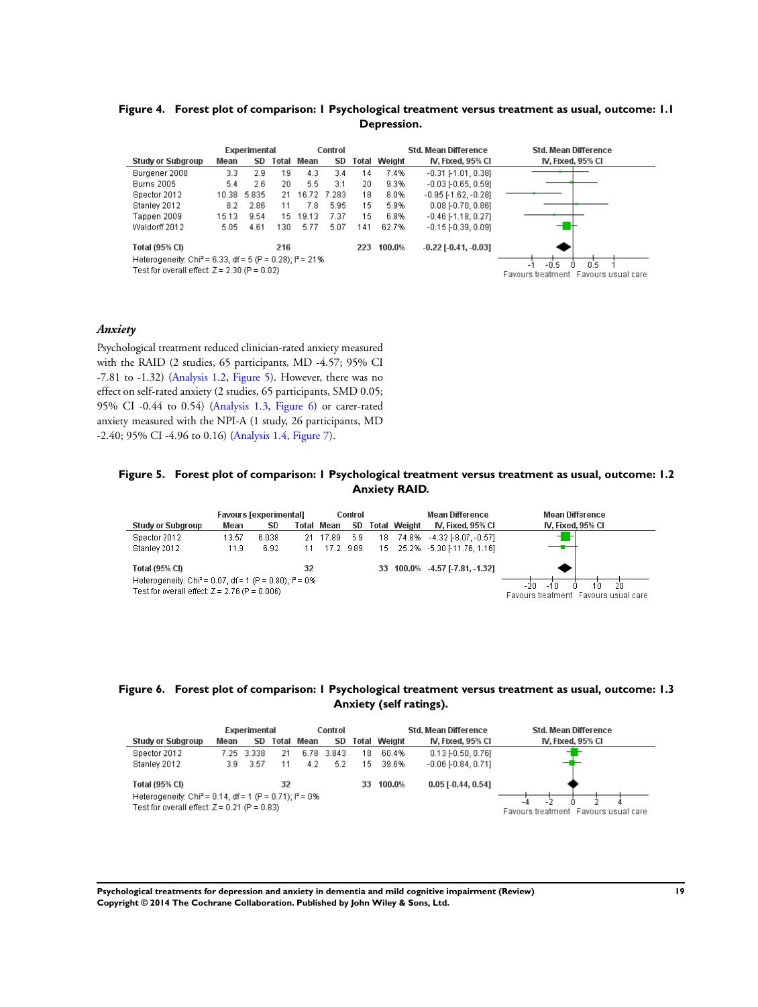### <span id="page-20-0"></span>**Figure 4. Forest plot of comparison: 1 Psychological treatment versus treatment as usual, outcome: 1.1 Depression.**

|                                                                       |       | Experimental |       |       | Control |     |                     | <b>Std. Mean Difference</b>   | <b>Std. Mean Difference</b>          |
|-----------------------------------------------------------------------|-------|--------------|-------|-------|---------|-----|---------------------|-------------------------------|--------------------------------------|
| <b>Study or Subgroup</b>                                              | Mean  | SD.          | Total | Mean  | SD      |     | <b>Total Weight</b> | IV, Fixed, 95% Cl             | IV, Fixed, 95% CI                    |
| Burgener 2008                                                         | 3.3   | 2.9          | 19    | 4.3   | 3.4     | 14  | 7.4%                | $-0.31$ $[-1.01, 0.38]$       |                                      |
| <b>Burns 2005</b>                                                     | 5.4   | 2.6          | 20    | 5.5   | 3.1     | 20  | 9.3%                | $-0.03$ [ $-0.65$ , $0.59$ ]  |                                      |
| Spector 2012                                                          | 10.38 | 5.835        | 21    | 16.72 | 7.283   | 18  | 8.0%                | $-0.95$ $-1.62$ . $-0.281$    |                                      |
| Stanley 2012                                                          | 8.2   | 2.86         | 11    | 7.8   | 5.95    | 15  | 5.9%                | $0.08$ [ $-0.70, 0.86$ ]      |                                      |
| Tappen 2009                                                           | 15.13 | 9.54         | 15    | 19.13 | 7.37    | 15  | 6.8%                | $-0.46$ $-1.18$ , $0.271$     |                                      |
| Waldorff 2012                                                         | 5.05  | 4.61         | 130   | 5.77  | 5.07    | 141 | 62.7%               | $-0.15$ $[-0.39, 0.09]$       |                                      |
| Total (95% CI)                                                        |       |              | 216   |       |         | 223 | 100.0%              | $-0.22$ [ $-0.41$ , $-0.03$ ] |                                      |
| Heterogeneity: Chi <sup>2</sup> = 6.33, df = 5 (P = 0.28); $P = 21\%$ |       |              |       |       |         |     |                     |                               | -0.5<br>0.5<br>$-1$                  |
| Test for overall effect: $Z = 2.30$ (P = 0.02)                        |       |              |       |       |         |     |                     |                               | Favours treatment Favours usual care |

#### *Anxiety*

Psychological treatment reduced clinician-rated anxiety measured with the RAID (2 studies, 65 participants, MD -4.57; 95% CI -7.81 to -1.32) [\(Analysis 1.2,](#page-47-0) Figure 5). However, there was no effect on self-rated anxiety (2 studies, 65 participants, SMD 0.05; 95% CI -0.44 to 0.54) ([Analysis 1.3,](#page-47-0) Figure 6) or carer-rated anxiety measured with the NPI-A (1 study, 26 participants, MD -2.40; 95% CI -4.96 to 0.16) ([Analysis 1.4,](#page-48-0) [Figure 7\)](#page-21-0).

### **Figure 5. Forest plot of comparison: 1 Psychological treatment versus treatment as usual, outcome: 1.2 Anxiety RAID.**

|                                                                                                                         |       | <b>Favours lexperimentall</b> |    |            | Control |     |                     | <b>Mean Difference</b>        | <b>Mean Difference</b>                                            |
|-------------------------------------------------------------------------------------------------------------------------|-------|-------------------------------|----|------------|---------|-----|---------------------|-------------------------------|-------------------------------------------------------------------|
| <b>Study or Subgroup</b>                                                                                                | Mean  | SD                            |    | Total Mean | SD      |     | <b>Total Weight</b> | IV. Fixed. 95% CI             | IV. Fixed. 95% CI                                                 |
| Spector 2012                                                                                                            | 13.57 | 6.038                         |    | 21 17.89   | 5.9     | 18  |                     | 74.8% -4.32 -8.07. -0.571     |                                                                   |
| Stanley 2012                                                                                                            | 11.9  | 6.92                          | 11 | 17.2 9.89  |         |     |                     | 15 25.2% -5.30 1-11.76, 1.161 |                                                                   |
| Total (95% CI)                                                                                                          |       |                               | 32 |            |         | 33. |                     | 100.0% -4.57 [-7.81, -1.32]   |                                                                   |
| Heterogeneity: Chi <sup>2</sup> = 0.07, df = 1 (P = 0.80); $P = 0\%$<br>Test for overall effect: $Z = 2.76$ (P = 0.006) |       |                               |    |            |         |     |                     |                               | 20<br>-20.<br>$-10$<br>10<br>Favours treatment Favours usual care |

### **Figure 6. Forest plot of comparison: 1 Psychological treatment versus treatment as usual, outcome: 1.3 Anxiety (self ratings).**

|                                                                                                                        | Experimental<br>Control |            |    |            |            |    |                     | <b>Std. Mean Difference</b> | <b>Std. Mean Difference</b>          |
|------------------------------------------------------------------------------------------------------------------------|-------------------------|------------|----|------------|------------|----|---------------------|-----------------------------|--------------------------------------|
| Study or Subgroup                                                                                                      | Mean                    | SD         |    | Total Mean | SD         |    | <b>Total Weight</b> | IV, Fixed, 95% CI           | IV. Fixed. 95% CI                    |
| Spector 2012                                                                                                           |                         | 7.25 3.338 | 21 |            | 6.78 3.843 | 18 | 60.4%               | $0.13$ $[-0.50, 0.76]$      |                                      |
| Stanley 2012                                                                                                           | 3.9                     | -3.57      |    | 4.2        | 5.2        | 15 | 39.6%               | $-0.06$ $-0.84$ , $0.711$   | --                                   |
| Total (95% CI)                                                                                                         |                         |            | 32 |            |            |    | 33 100.0%           | $0.05$ [ $-0.44$ , $0.54$ ] |                                      |
| Heterogeneity: Chi <sup>2</sup> = 0.14, df = 1 (P = 0.71); $P = 0\%$<br>Test for overall effect: $Z = 0.21$ (P = 0.83) |                         |            |    |            |            |    |                     |                             | Favours treatment Favours usual care |

**Psychological treatments for depression and anxiety in dementia and mild cognitive impairment (Review) 19 Copyright © 2014 The Cochrane Collaboration. Published by John Wiley & Sons, Ltd.**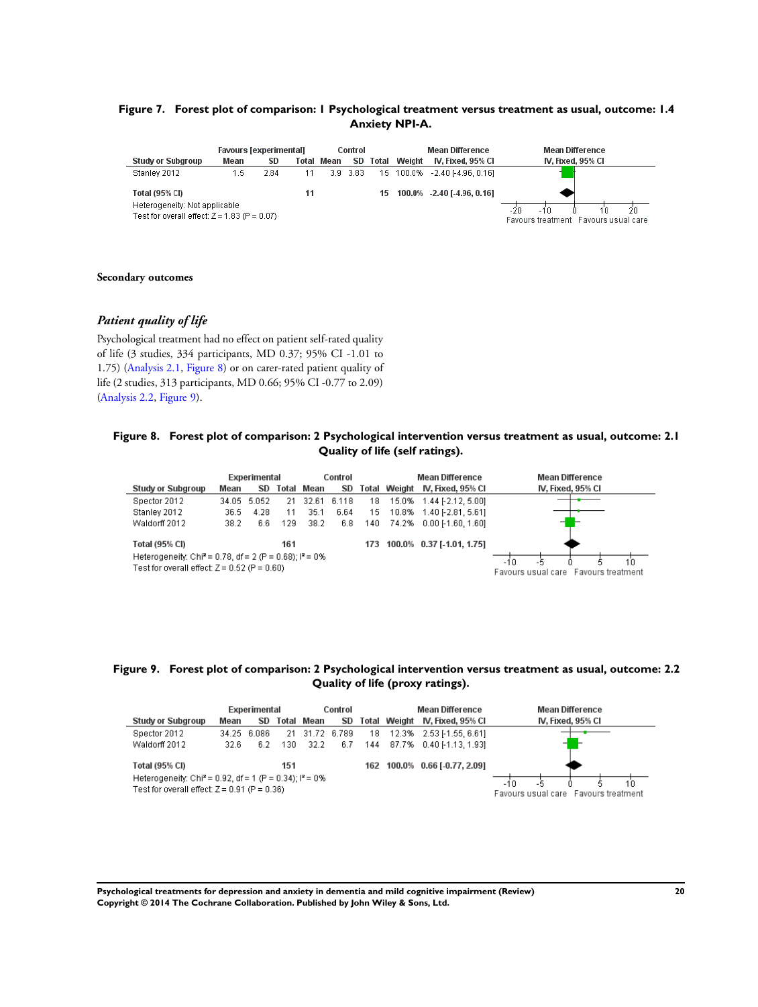### <span id="page-21-0"></span>**Figure 7. Forest plot of comparison: 1 Psychological treatment versus treatment as usual, outcome: 1.4 Anxiety NPI-A.**

|                                                                                 | <b>Favours [experimental]</b> |      |    |            | Control |       |        | <b>Mean Difference</b>     | <b>Mean Difference</b>                                   |
|---------------------------------------------------------------------------------|-------------------------------|------|----|------------|---------|-------|--------|----------------------------|----------------------------------------------------------|
| <b>Study or Subgroup</b>                                                        | Mean                          | SD   |    | Total Mean | SD      | Total | Weight | IV. Fixed. 95% CI          | IV, Fixed, 95% CI                                        |
| Stanley 2012                                                                    | 1.5                           | 2.84 |    | 3.9        | -3.83   | 15.   |        | 100.0% - 2.40 F4.96, 0.161 |                                                          |
| <b>Total (95% CI)</b>                                                           |                               |      | 11 |            |         | 15    |        | 100.0% -2.40 [-4.96, 0.16] |                                                          |
| Heterogeneity: Not applicable<br>Test for overall effect: $Z = 1.83$ (P = 0.07) |                               |      |    |            |         |       |        |                            | 20<br>-20<br>-10<br>Favours treatment Favours usual care |

#### **Secondary outcomes**

### *Patient quality of life*

Psychological treatment had no effect on patient self-rated quality of life (3 studies, 334 participants, MD 0.37; 95% CI -1.01 to 1.75) [\(Analysis 2.1,](#page-49-0) Figure 8) or on carer-rated patient quality of life (2 studies, 313 participants, MD 0.66; 95% CI -0.77 to 2.09) [\(Analysis 2.2,](#page-49-0) Figure 9).

### **Figure 8. Forest plot of comparison: 2 Psychological intervention versus treatment as usual, outcome: 2.1 Quality of life (self ratings).**

|                                                                      |      | Experimental |     |            | Control |     |                     | <b>Mean Difference</b>    | <b>Mean Difference</b>               |
|----------------------------------------------------------------------|------|--------------|-----|------------|---------|-----|---------------------|---------------------------|--------------------------------------|
| <b>Study or Subgroup</b>                                             | Mean | SD           |     | Total Mean | SD      |     | <b>Total Weight</b> | IV, Fixed, 95% CI         | IV, Fixed, 95% CI                    |
| Spector 2012                                                         |      | 34.05 5.052  | 21  | -32.61     | 6.118   | 18  | 15.0%               | 1.44 [-2.12, 5.00]        |                                      |
| Stanley 2012                                                         | 36.5 | 4.28         | 11  | 35.1       | 6.64    | 15. | 10.8%               | 1.40 [-2.81, 5.61]        |                                      |
| Waldorff 2012                                                        | 38.2 | 6.6          | 129 | 38.2       | 6.8     | 140 |                     | 74.2% 0.00 [-1.60, 1.60]  |                                      |
| Total (95% CI)                                                       |      |              | 161 |            |         | 173 |                     | 100.0% 0.37 [ 1.01, 1.75] |                                      |
| Heterogeneity: Chi <sup>2</sup> = 0.78, df = 2 (P = 0.68); $P = 0\%$ |      |              |     |            |         |     |                     |                           | 1'n<br>-5.<br>$-10$                  |
| Test for overall effect: $Z = 0.52$ (P = 0.60)                       |      |              |     |            |         |     |                     |                           | Favours usual care Favours treatment |

### **Figure 9. Forest plot of comparison: 2 Psychological intervention versus treatment as usual, outcome: 2.2 Quality of life (proxy ratings).**

|                                                                                                                        | Experimental<br>Control |             |       |                |     |       |        | <b>Mean Difference</b>    | <b>Mean Difference</b>                     |
|------------------------------------------------------------------------------------------------------------------------|-------------------------|-------------|-------|----------------|-----|-------|--------|---------------------------|--------------------------------------------|
| Study or Subgroup                                                                                                      | Mean                    | SD          | Total | Mean           | SD. | Total | Weight | IV, Fixed, 95% CI         | IV, Fixed, 95% CI                          |
| Spector 2012                                                                                                           |                         | 34.25 6.086 |       | 21 31.72 6.789 |     | 18    |        | 12.3% 2.53 [-1.55, 6.61]  |                                            |
| Waldorff 2012                                                                                                          | 32.6                    | 6.2         | -130  | 32.2           | 6.7 | 144   |        | 87.7% 0.40 F1.13.1.931    |                                            |
| <b>Total (95% CI)</b>                                                                                                  |                         |             | 151   |                |     | 162   |        | 100.0% 0.66 [ 0.77, 2.09] |                                            |
| Heterogeneity: Chi <sup>2</sup> = 0.92, df = 1 (P = 0.34); $P = 0\%$<br>Test for overall effect: $Z = 0.91$ (P = 0.36) |                         |             |       |                |     |       |        |                           | 10<br>Favours usual care Favours treatment |

**Psychological treatments for depression and anxiety in dementia and mild cognitive impairment (Review) 20 Copyright © 2014 The Cochrane Collaboration. Published by John Wiley & Sons, Ltd.**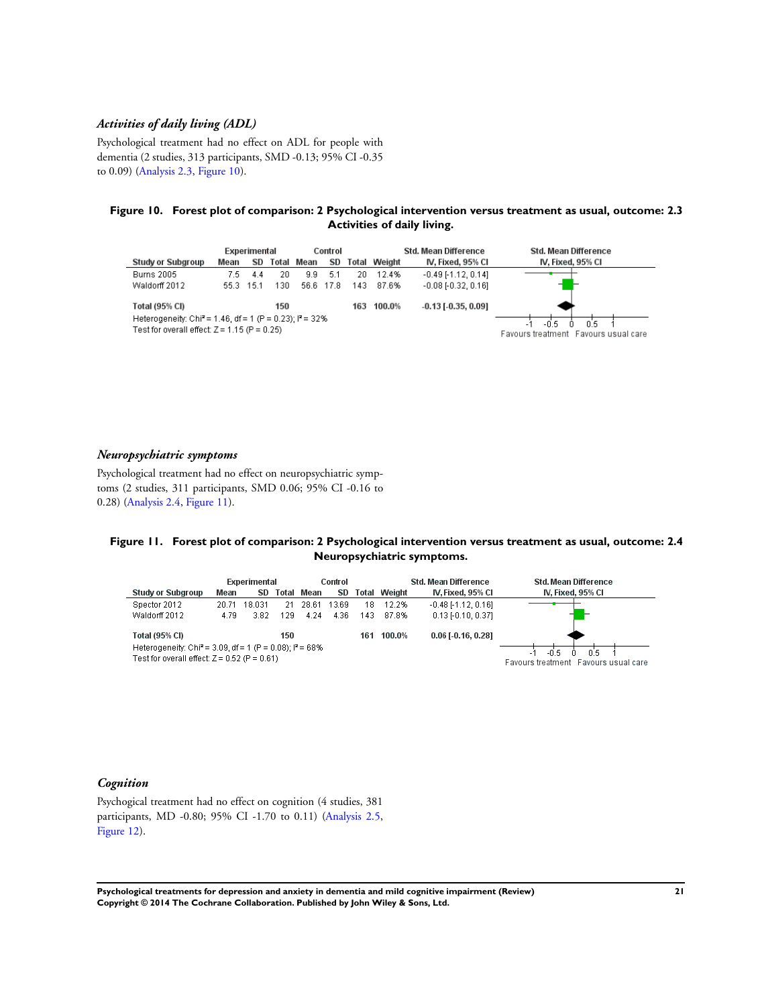### *Activities of daily living (ADL)*

Psychological treatment had no effect on ADL for people with dementia (2 studies, 313 participants, SMD -0.13; 95% CI -0.35 to 0.09) [\(Analysis 2.3](#page-50-0), Figure 10).

### **Figure 10. Forest plot of comparison: 2 Psychological intervention versus treatment as usual, outcome: 2.3 Activities of daily living.**

|                                                                                                                         |       | Experimental |       |      | Control   |      |              | Std. Mean Difference      | <b>Std. Mean Difference</b>                         |
|-------------------------------------------------------------------------------------------------------------------------|-------|--------------|-------|------|-----------|------|--------------|---------------------------|-----------------------------------------------------|
| <b>Study or Subgroup</b>                                                                                                | Mean  | <b>SD</b>    | Total | Mean | SD        |      | Total Weight | IV. Fixed, 95% CI         | IV. Fixed, 95% CI                                   |
| <b>Burns 2005</b>                                                                                                       | 7.5   | 4.4          | 20    | 99   | 5.1       | 20   | 12.4%        | $-0.49$ $[-1.12, 0.14]$   |                                                     |
| Waldorff 2012                                                                                                           | 55.3. | 15.1         | 130.  |      | 56.6 17.8 | 143. | 87.6%        | $-0.08$ $[-0.32, 0.16]$   |                                                     |
| Total (95% CI)                                                                                                          |       |              | 150   |      |           | 163  | 100.0%       | $-0.13$ [ $-0.35, 0.09$ ] |                                                     |
| Heterogeneity: Chi <sup>2</sup> = 1.46, df = 1 (P = 0.23); $P = 32\%$<br>Test for overall effect: $Z = 1.15$ (P = 0.25) |       |              |       |      |           |      |              |                           | 0.5<br>-0.5<br>Favours treatment Favours usual care |

#### *Neuropsychiatric symptoms*

Psychological treatment had no effect on neuropsychiatric symptoms (2 studies, 311 participants, SMD 0.06; 95% CI -0.16 to 0.28) ([Analysis 2.4,](#page-51-0) Figure 11).

### **Figure 11. Forest plot of comparison: 2 Psychological intervention versus treatment as usual, outcome: 2.4 Neuropsychiatric symptoms.**

|                                                                       | Experimental<br>Control |        |     |            |       |       |            | Std. Mean Difference        | <b>Std. Mean Difference</b>           |
|-----------------------------------------------------------------------|-------------------------|--------|-----|------------|-------|-------|------------|-----------------------------|---------------------------------------|
| Study or Subgroup                                                     | Mean                    | SD.    |     | Total Mean | SD.   | Total | Weight     | IV. Fixed, 95% CI           | IV, Fixed, 95% CI                     |
| Spector 2012                                                          | 20.71                   | 18.031 |     | 21 28.61   | 13.69 | 18    | 12.2%      | $-0.48$ [-1.12, 0.16]       |                                       |
| Waldorff 2012                                                         | 4.79                    | 3.82   | 129 | 4.24       | 4.36  | 143.  | 87.8%      | $0.13$ [-0.10, 0.37]        |                                       |
| Total (95% CI)                                                        |                         |        | 150 |            |       |       | 161 100.0% | $0.06$ [ $-0.16$ , $0.28$ ] |                                       |
| Heterogeneity: Chi <sup>2</sup> = 3.09, df = 1 (P = 0.08); $P = 68\%$ |                         |        |     |            |       |       |            |                             | n s<br>-0.5                           |
| Test for overall effect: $Z = 0.52$ (P = 0.61)                        |                         |        |     |            |       |       |            |                             | Eavours treatment. Eavours usual care |

### *Cognition*

Psychogical treatment had no effect on cognition (4 studies, 381 participants, MD -0.80; 95% CI -1.70 to 0.11) ([Analysis 2.5,](#page-52-0) [Figure 12](#page-23-0)).

**Psychological treatments for depression and anxiety in dementia and mild cognitive impairment (Review) 21 Copyright © 2014 The Cochrane Collaboration. Published by John Wiley & Sons, Ltd.**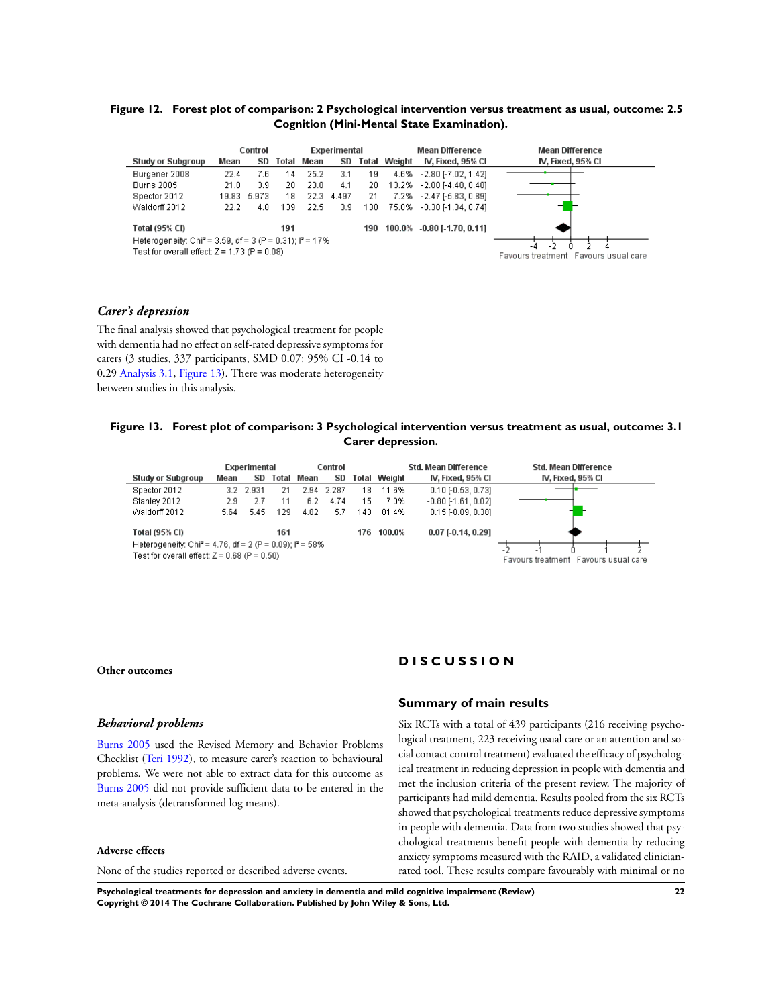### <span id="page-23-0"></span>**Figure 12. Forest plot of comparison: 2 Psychological intervention versus treatment as usual, outcome: 2.5 Cognition (Mini-Mental State Examination).**

|                                                                                                                         |       | Control |       |      | Experimental |     |                                      | Mean Difference            | <b>Mean Difference</b> |
|-------------------------------------------------------------------------------------------------------------------------|-------|---------|-------|------|--------------|-----|--------------------------------------|----------------------------|------------------------|
| <b>Study or Subgroup</b>                                                                                                | Mean  | SD      | Total | Mean | SD           |     | <b>Total Weight</b>                  | IV, Fixed, 95% CI          | IV, Fixed, 95% CI      |
| Burgener 2008                                                                                                           | 22.4  | 7.6     | 14    | 25.2 | 3.1          | 19  | 4.6%                                 | $-2.80$ $[-7.02, 1.42]$    |                        |
| <b>Burns 2005</b>                                                                                                       | 21.8  | 3.9     | 20    | 23.8 | 4.1          | 20  |                                      | 13.2% -2.00 F4.48, 0.481   |                        |
| Spector 2012                                                                                                            | 19.83 | 5.973   | 18    | 22.3 | 4.497        | 21  |                                      | 7.2% -2.47 [-5.83, 0.89]   |                        |
| Waldorff 2012                                                                                                           | 22.2  | 4.8     | 139   | 22.5 | 3.9          | 130 |                                      | 75.0% -0.30 [-1.34, 0.74]  |                        |
| Total (95% CI)                                                                                                          |       |         | 191   |      |              | 190 |                                      | 100.0% -0.80 [-1.70, 0.11] |                        |
| Heterogeneity: Chi <sup>2</sup> = 3.59, df = 3 (P = 0.31); $P = 17\%$<br>Test for overall effect: $Z = 1.73$ (P = 0.08) |       |         |       |      |              |     | Favours treatment Favours usual care |                            |                        |

#### *Carer's depression*

The final analysis showed that psychological treatment for people with dementia had no effect on self-rated depressive symptoms for carers (3 studies, 337 participants, SMD 0.07; 95% CI -0.14 to 0.29 [Analysis 3.1](#page-53-0), Figure 13). There was moderate heterogeneity between studies in this analysis.

### **Figure 13. Forest plot of comparison: 3 Psychological intervention versus treatment as usual, outcome: 3.1 Carer depression.**

|                                                                       |      | Experimental |     |            | Control |      |                                      | Std. Mean Difference        | <b>Std. Mean Difference</b> |
|-----------------------------------------------------------------------|------|--------------|-----|------------|---------|------|--------------------------------------|-----------------------------|-----------------------------|
| <b>Study or Subgroup</b>                                              | Mean | SD           |     | Total Mean | SD      |      | <b>Total Weight</b>                  | IV, Fixed, 95% CI           | IV, Fixed, 95% CI           |
| Spector 2012                                                          |      | 3.2 2.931    | 21  | 2.94.      | 2.287   | 18.  | 11.6%                                | $0.10$ [ $-0.53$ , $0.73$ ] |                             |
| Stanley 2012                                                          | 2.9  | 2.7          | 11  | 6.2        | 4.74    | 15   | 7.0%                                 | $-0.80$ [-1.61, 0.02]       |                             |
| Waldorff 2012                                                         | 5.64 | -5.45        | 129 | 4.82       | 5.7     | 143. | 81.4%                                | $0.15$ [-0.09, 0.38]        |                             |
| Total (95% CI)                                                        |      |              | 161 |            |         | 176  | 100.0%                               | 0.071-0.14, 0.291           |                             |
| Heterogeneity: Chi <sup>2</sup> = 4.76, df = 2 (P = 0.09); $P = 58\%$ |      |              |     |            |         |      |                                      |                             |                             |
| Test for overall effect: $Z = 0.68$ (P = 0.50)                        |      |              |     |            |         |      | Favours treatment Favours usual care |                             |                             |

#### **Other outcomes**

#### *Behavioral problems*

[Burns 2005](#page-25-0) used the Revised Memory and Behavior Problems Checklist [\(Teri 1992\)](#page-25-0), to measure carer's reaction to behavioural problems. We were not able to extract data for this outcome as [Burns 2005](#page-25-0) did not provide sufficient data to be entered in the meta-analysis (detransformed log means).

### **Adverse effects**

None of the studies reported or described adverse events.

### **D I S C U S S I O N**

#### **Summary of main results**

Six RCTs with a total of 439 participants (216 receiving psychological treatment, 223 receiving usual care or an attention and social contact control treatment) evaluated the efficacy of psychological treatment in reducing depression in people with dementia and met the inclusion criteria of the present review. The majority of participants had mild dementia. Results pooled from the six RCTs showed that psychological treatments reduce depressive symptoms in people with dementia. Data from two studies showed that psychological treatments benefit people with dementia by reducing anxiety symptoms measured with the RAID, a validated clinicianrated tool. These results compare favourably with minimal or no

**Psychological treatments for depression and anxiety in dementia and mild cognitive impairment (Review) 22 Copyright © 2014 The Cochrane Collaboration. Published by John Wiley & Sons, Ltd.**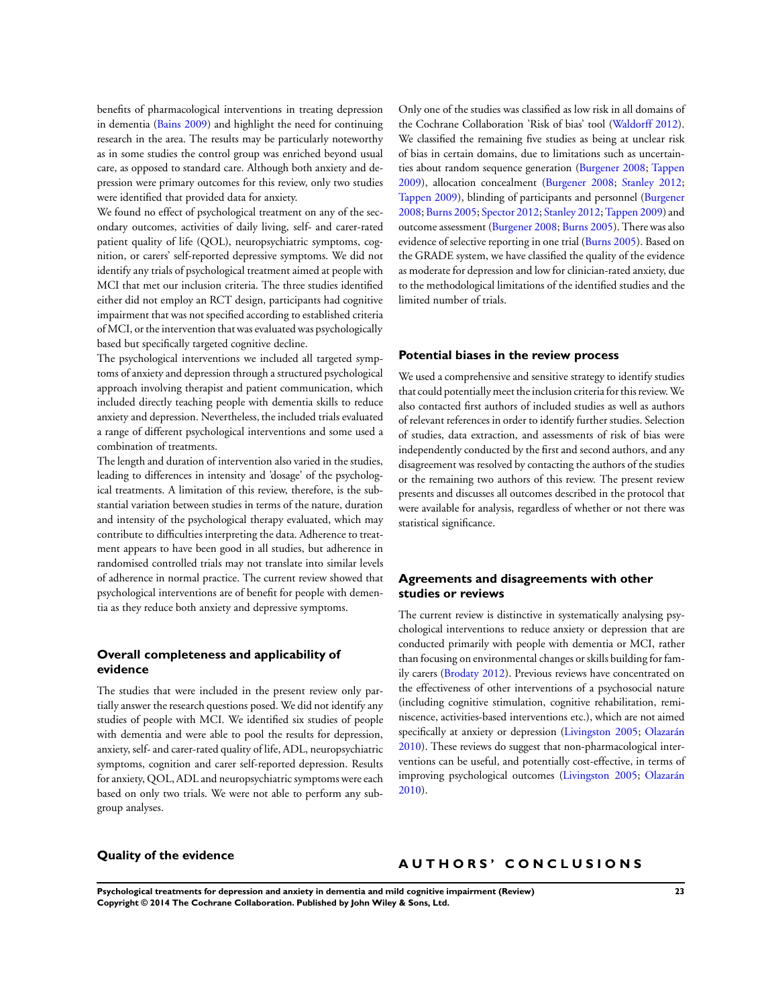benefits of pharmacological interventions in treating depression in dementia [\(Bains 2009\)](#page-25-0) and highlight the need for continuing research in the area. The results may be particularly noteworthy as in some studies the control group was enriched beyond usual care, as opposed to standard care. Although both anxiety and depression were primary outcomes for this review, only two studies were identified that provided data for anxiety.

We found no effect of psychological treatment on any of the secondary outcomes, activities of daily living, self- and carer-rated patient quality of life (QOL), neuropsychiatric symptoms, cognition, or carers' self-reported depressive symptoms. We did not identify any trials of psychological treatment aimed at people with MCI that met our inclusion criteria. The three studies identified either did not employ an RCT design, participants had cognitive impairment that was not specified according to established criteria of MCI, or the intervention that was evaluated was psychologically based but specifically targeted cognitive decline.

The psychological interventions we included all targeted symptoms of anxiety and depression through a structured psychological approach involving therapist and patient communication, which included directly teaching people with dementia skills to reduce anxiety and depression. Nevertheless, the included trials evaluated a range of different psychological interventions and some used a combination of treatments.

The length and duration of intervention also varied in the studies, leading to differences in intensity and 'dosage' of the psychological treatments. A limitation of this review, therefore, is the substantial variation between studies in terms of the nature, duration and intensity of the psychological therapy evaluated, which may contribute to difficulties interpreting the data. Adherence to treatment appears to have been good in all studies, but adherence in randomised controlled trials may not translate into similar levels of adherence in normal practice. The current review showed that psychological interventions are of benefit for people with dementia as they reduce both anxiety and depressive symptoms.

### **Overall completeness and applicability of evidence**

The studies that were included in the present review only partially answer the research questions posed. We did not identify any studies of people with MCI. We identified six studies of people with dementia and were able to pool the results for depression, anxiety, self- and carer-rated quality of life, ADL, neuropsychiatric symptoms, cognition and carer self-reported depression. Results for anxiety, QOL, ADL and neuropsychiatric symptoms were each based on only two trials. We were not able to perform any subgroup analyses.

Only one of the studies was classified as low risk in all domains of the Cochrane Collaboration 'Risk of bias' tool [\(Waldorff 2012](#page-25-0)). We classified the remaining five studies as being at unclear risk of bias in certain domains, due to limitations such as uncertainties about random sequence generation [\(Burgener 2008](#page-25-0); [Tappen](#page-25-0) [2009](#page-25-0)), allocation concealment ([Burgener 2008;](#page-25-0) [Stanley 2012;](#page-25-0) [Tappen 2009\)](#page-25-0), blinding of participants and personnel [\(Burgener](#page-25-0) [2008](#page-25-0); [Burns 2005;](#page-25-0) [Spector 2012;](#page-25-0) Stanley 2012; Tappen 2009) and outcome assessment ([Burgener 2008](#page-25-0); [Burns 2005](#page-25-0)). There was also evidence of selective reporting in one trial ([Burns 2005](#page-25-0)). Based on the GRADE system, we have classified the quality of the evidence as moderate for depression and low for clinician-rated anxiety, due to the methodological limitations of the identified studies and the limited number of trials.

#### **Potential biases in the review process**

We used a comprehensive and sensitive strategy to identify studies that could potentially meet the inclusion criteria for this review. We also contacted first authors of included studies as well as authors of relevant references in order to identify further studies. Selection of studies, data extraction, and assessments of risk of bias were independently conducted by the first and second authors, and any disagreement was resolved by contacting the authors of the studies or the remaining two authors of this review. The present review presents and discusses all outcomes described in the protocol that were available for analysis, regardless of whether or not there was statistical significance.

### **Agreements and disagreements with other studies or reviews**

The current review is distinctive in systematically analysing psychological interventions to reduce anxiety or depression that are conducted primarily with people with dementia or MCI, rather than focusing on environmental changes or skills building for family carers ([Brodaty 2012\)](#page-25-0). Previous reviews have concentrated on the effectiveness of other interventions of a psychosocial nature (including cognitive stimulation, cognitive rehabilitation, reminiscence, activities-based interventions etc.), which are not aimed specifically at anxiety or depression ([Livingston 2005;](#page-25-0) [Olazarán](#page-25-0) [2010](#page-25-0)). These reviews do suggest that non-pharmacological interventions can be useful, and potentially cost-effective, in terms of improving psychological outcomes [\(Livingston 2005](#page-25-0); [Olazarán](#page-25-0) [2010](#page-25-0)).

#### **Quality of the evidence**

### **A U T H O R S ' C O N C L U S I O N S**

**Psychological treatments for depression and anxiety in dementia and mild cognitive impairment (Review) 23 Copyright © 2014 The Cochrane Collaboration. Published by John Wiley & Sons, Ltd.**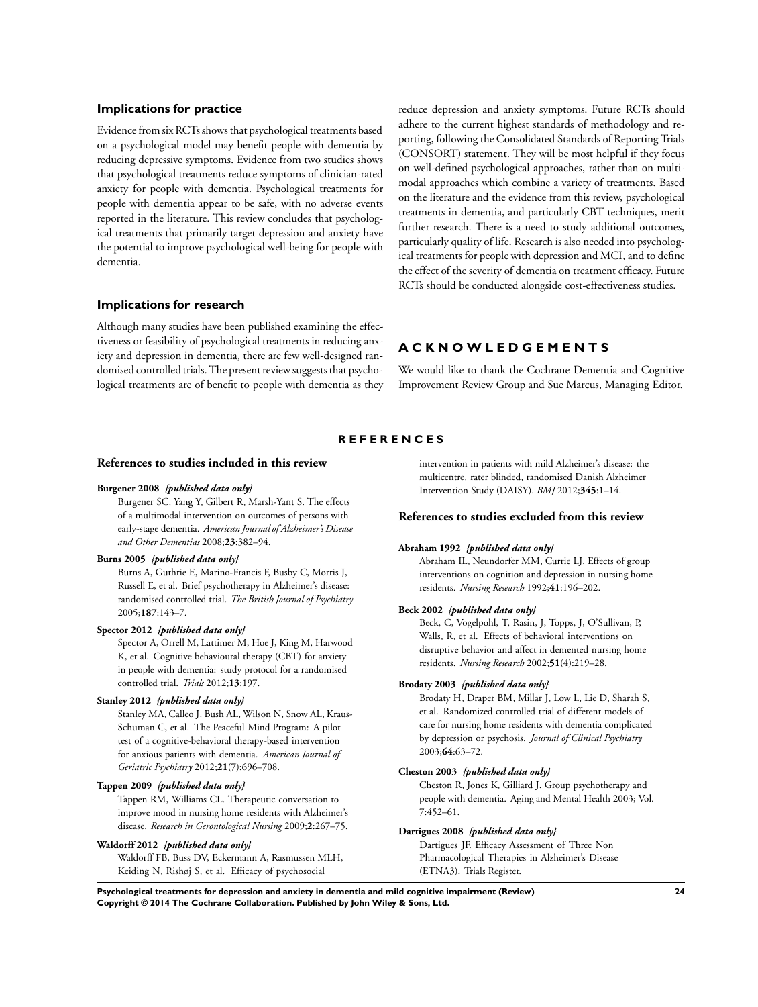#### <span id="page-25-0"></span>**Implications for practice**

Evidence from six RCTs shows that psychological treatments based on a psychological model may benefit people with dementia by reducing depressive symptoms. Evidence from two studies shows that psychological treatments reduce symptoms of clinician-rated anxiety for people with dementia. Psychological treatments for people with dementia appear to be safe, with no adverse events reported in the literature. This review concludes that psychological treatments that primarily target depression and anxiety have the potential to improve psychological well-being for people with dementia.

#### **Implications for research**

Although many studies have been published examining the effectiveness or feasibility of psychological treatments in reducing anxiety and depression in dementia, there are few well-designed randomised controlled trials. The present review suggests that psychological treatments are of benefit to people with dementia as they

reduce depression and anxiety symptoms. Future RCTs should adhere to the current highest standards of methodology and reporting, following the Consolidated Standards of Reporting Trials (CONSORT) statement. They will be most helpful if they focus on well-defined psychological approaches, rather than on multimodal approaches which combine a variety of treatments. Based on the literature and the evidence from this review, psychological treatments in dementia, and particularly CBT techniques, merit further research. There is a need to study additional outcomes, particularly quality of life. Research is also needed into psychological treatments for people with depression and MCI, and to define the effect of the severity of dementia on treatment efficacy. Future RCTs should be conducted alongside cost-effectiveness studies.

### **A C K N O W L E D G E M E N T S**

We would like to thank the Cochrane Dementia and Cognitive Improvement Review Group and Sue Marcus, Managing Editor.

### **R E F E R E N C E S**

#### **References to studies included in this review**

#### **Burgener 2008** *{published data only}*

Burgener SC, Yang Y, Gilbert R, Marsh-Yant S. The effects of a multimodal intervention on outcomes of persons with early-stage dementia. *American Journal of Alzheimer's Disease and Other Dementias* 2008;**23**:382–94.

#### **Burns 2005** *{published data only}*

Burns A, Guthrie E, Marino-Francis F, Busby C, Morris J, Russell E, et al. Brief psychotherapy in Alzheimer's disease: randomised controlled trial. *The British Journal of Psychiatry* 2005;**187**:143–7.

#### **Spector 2012** *{published data only}*

Spector A, Orrell M, Lattimer M, Hoe J, King M, Harwood K, et al. Cognitive behavioural therapy (CBT) for anxiety in people with dementia: study protocol for a randomised controlled trial. *Trials* 2012;**13**:197.

#### **Stanley 2012** *{published data only}*

Stanley MA, Calleo J, Bush AL, Wilson N, Snow AL, Kraus-Schuman C, et al. The Peaceful Mind Program: A pilot test of a cognitive-behavioral therapy-based intervention for anxious patients with dementia. *American Journal of Geriatric Psychiatry* 2012;**21**(7):696–708.

### **Tappen 2009** *{published data only}*

Tappen RM, Williams CL. Therapeutic conversation to improve mood in nursing home residents with Alzheimer's disease. *Research in Gerontological Nursing* 2009;**2**:267–75.

#### **Waldorff 2012** *{published data only}*

Waldorff FB, Buss DV, Eckermann A, Rasmussen MLH, Keiding N, Rishøj S, et al. Efficacy of psychosocial

intervention in patients with mild Alzheimer's disease: the multicentre, rater blinded, randomised Danish Alzheimer Intervention Study (DAISY). *BMJ* 2012;**345**:1–14.

### **References to studies excluded from this review**

#### **Abraham 1992** *{published data only}*

Abraham IL, Neundorfer MM, Currie LJ. Effects of group interventions on cognition and depression in nursing home residents. *Nursing Research* 1992;**41**:196–202.

#### **Beck 2002** *{published data only}*

Beck, C, Vogelpohl, T, Rasin, J, Topps, J, O'Sullivan, P, Walls, R, et al. Effects of behavioral interventions on disruptive behavior and affect in demented nursing home residents. *Nursing Research* 2002;**51**(4):219–28.

#### **Brodaty 2003** *{published data only}*

Brodaty H, Draper BM, Millar J, Low L, Lie D, Sharah S, et al. Randomized controlled trial of different models of care for nursing home residents with dementia complicated by depression or psychosis. *Journal of Clinical Psychiatry* 2003;**64**:63–72.

#### **Cheston 2003** *{published data only}*

Cheston R, Jones K, Gilliard J. Group psychotherapy and people with dementia. Aging and Mental Health 2003; Vol. 7:452–61.

#### **Dartigues 2008** *{published data only}*

Dartigues JF. Efficacy Assessment of Three Non Pharmacological Therapies in Alzheimer's Disease (ETNA3). Trials Register.

**Psychological treatments for depression and anxiety in dementia and mild cognitive impairment (Review) 24 Copyright © 2014 The Cochrane Collaboration. Published by John Wiley & Sons, Ltd.**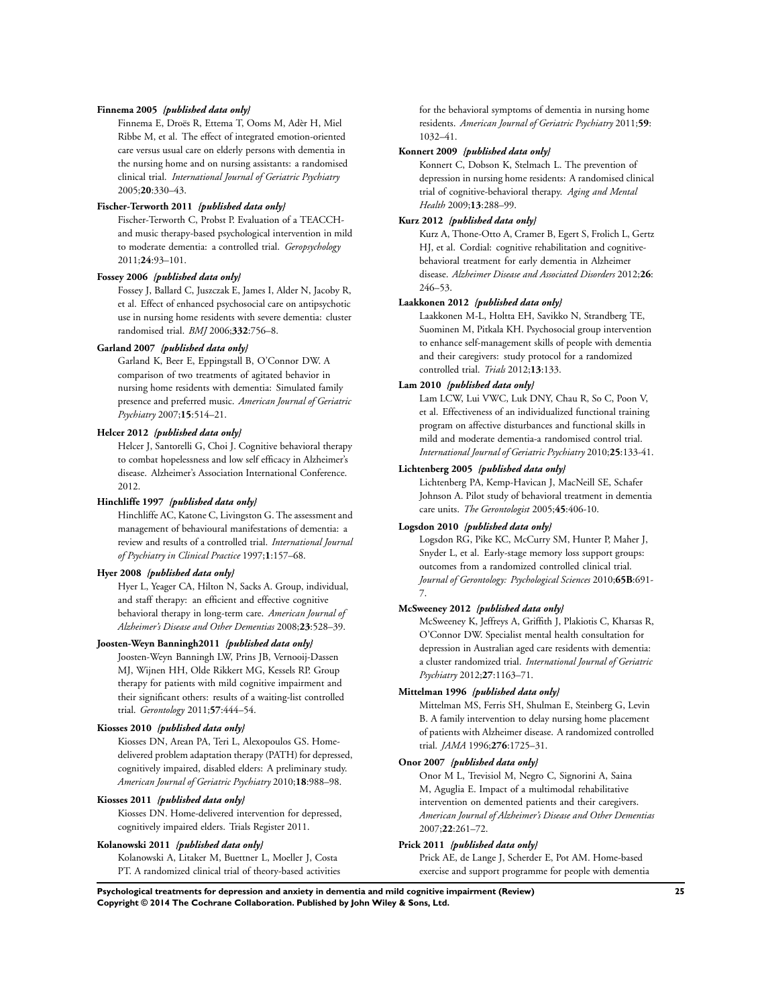#### **Finnema 2005** *{published data only}*

Finnema E, Droës R, Ettema T, Ooms M, Adèr H, Miel Ribbe M, et al. The effect of integrated emotion-oriented care versus usual care on elderly persons with dementia in the nursing home and on nursing assistants: a randomised clinical trial. *International Journal of Geriatric Psychiatry* 2005;**20**:330–43.

#### **Fischer-Terworth 2011** *{published data only}*

Fischer-Terworth C, Probst P. Evaluation of a TEACCHand music therapy-based psychological intervention in mild to moderate dementia: a controlled trial. *Geropsychology* 2011;**24**:93–101.

#### **Fossey 2006** *{published data only}*

Fossey J, Ballard C, Juszczak E, James I, Alder N, Jacoby R, et al. Effect of enhanced psychosocial care on antipsychotic use in nursing home residents with severe dementia: cluster randomised trial. *BMJ* 2006;**332**:756–8.

#### **Garland 2007** *{published data only}*

Garland K, Beer E, Eppingstall B, O'Connor DW. A comparison of two treatments of agitated behavior in nursing home residents with dementia: Simulated family presence and preferred music. *American Journal of Geriatric Psychiatry* 2007;**15**:514–21.

#### **Helcer 2012** *{published data only}*

Helcer J, Santorelli G, Choi J. Cognitive behavioral therapy to combat hopelessness and low self efficacy in Alzheimer's disease. Alzheimer's Association International Conference. 2012.

#### **Hinchliffe 1997** *{published data only}*

Hinchliffe AC, Katone C, Livingston G. The assessment and management of behavioural manifestations of dementia: a review and results of a controlled trial. *International Journal of Psychiatry in Clinical Practice* 1997;**1**:157–68.

#### **Hyer 2008** *{published data only}*

Hyer L, Yeager CA, Hilton N, Sacks A. Group, individual, and staff therapy: an efficient and effective cognitive behavioral therapy in long-term care. *American Journal of Alzheimer's Disease and Other Dementias* 2008;**23**:528–39.

#### **Joosten-Weyn Banningh2011** *{published data only}*

Joosten-Weyn Banningh LW, Prins JB, Vernooij-Dassen MJ, Wijnen HH, Olde Rikkert MG, Kessels RP. Group therapy for patients with mild cognitive impairment and their significant others: results of a waiting-list controlled trial. *Gerontology* 2011;**57**:444–54.

### **Kiosses 2010** *{published data only}*

Kiosses DN, Arean PA, Teri L, Alexopoulos GS. Homedelivered problem adaptation therapy (PATH) for depressed, cognitively impaired, disabled elders: A preliminary study. *American Journal of Geriatric Psychiatry* 2010;**18**:988–98.

#### **Kiosses 2011** *{published data only}*

Kiosses DN. Home-delivered intervention for depressed, cognitively impaired elders. Trials Register 2011.

#### **Kolanowski 2011** *{published data only}*

Kolanowski A, Litaker M, Buettner L, Moeller J, Costa PT. A randomized clinical trial of theory-based activities for the behavioral symptoms of dementia in nursing home residents. *American Journal of Geriatric Psychiatry* 2011;**59**: 1032–41.

#### **Konnert 2009** *{published data only}*

Konnert C, Dobson K, Stelmach L. The prevention of depression in nursing home residents: A randomised clinical trial of cognitive-behavioral therapy. *Aging and Mental Health* 2009;**13**:288–99.

#### **Kurz 2012** *{published data only}*

Kurz A, Thone-Otto A, Cramer B, Egert S, Frolich L, Gertz HJ, et al. Cordial: cognitive rehabilitation and cognitivebehavioral treatment for early dementia in Alzheimer disease. *Alzheimer Disease and Associated Disorders* 2012;**26**: 246–53.

#### **Laakkonen 2012** *{published data only}*

Laakkonen M-L, Holtta EH, Savikko N, Strandberg TE, Suominen M, Pitkala KH. Psychosocial group intervention to enhance self-management skills of people with dementia and their caregivers: study protocol for a randomized controlled trial. *Trials* 2012;**13**:133.

#### **Lam 2010** *{published data only}*

Lam LCW, Lui VWC, Luk DNY, Chau R, So C, Poon V, et al. Effectiveness of an individualized functional training program on affective disturbances and functional skills in mild and moderate dementia-a randomised control trial. *International Journal of Geriatric Psychiatry* 2010;**25**:133-41.

#### **Lichtenberg 2005** *{published data only}*

Lichtenberg PA, Kemp-Havican J, MacNeill SE, Schafer Johnson A. Pilot study of behavioral treatment in dementia care units. *The Gerontologist* 2005;**45**:406-10.

#### **Logsdon 2010** *{published data only}*

Logsdon RG, Pike KC, McCurry SM, Hunter P, Maher J, Snyder L, et al. Early-stage memory loss support groups: outcomes from a randomized controlled clinical trial. *Journal of Gerontology: Psychological Sciences* 2010;**65B**:691- 7.

#### **McSweeney 2012** *{published data only}*

McSweeney K, Jeffreys A, Griffith J, Plakiotis C, Kharsas R, O'Connor DW. Specialist mental health consultation for depression in Australian aged care residents with dementia: a cluster randomized trial. *International Journal of Geriatric Psychiatry* 2012;**27**:1163–71.

#### **Mittelman 1996** *{published data only}*

Mittelman MS, Ferris SH, Shulman E, Steinberg G, Levin B. A family intervention to delay nursing home placement of patients with Alzheimer disease. A randomized controlled trial. *JAMA* 1996;**276**:1725–31.

#### **Onor 2007** *{published data only}*

Onor M L, Trevisiol M, Negro C, Signorini A, Saina M, Aguglia E. Impact of a multimodal rehabilitative intervention on demented patients and their caregivers. *American Journal of Alzheimer's Disease and Other Dementias* 2007;**22**:261–72.

#### **Prick 2011** *{published data only}*

Prick AE, de Lange J, Scherder E, Pot AM. Home-based exercise and support programme for people with dementia

**Psychological treatments for depression and anxiety in dementia and mild cognitive impairment (Review) 25 Copyright © 2014 The Cochrane Collaboration. Published by John Wiley & Sons, Ltd.**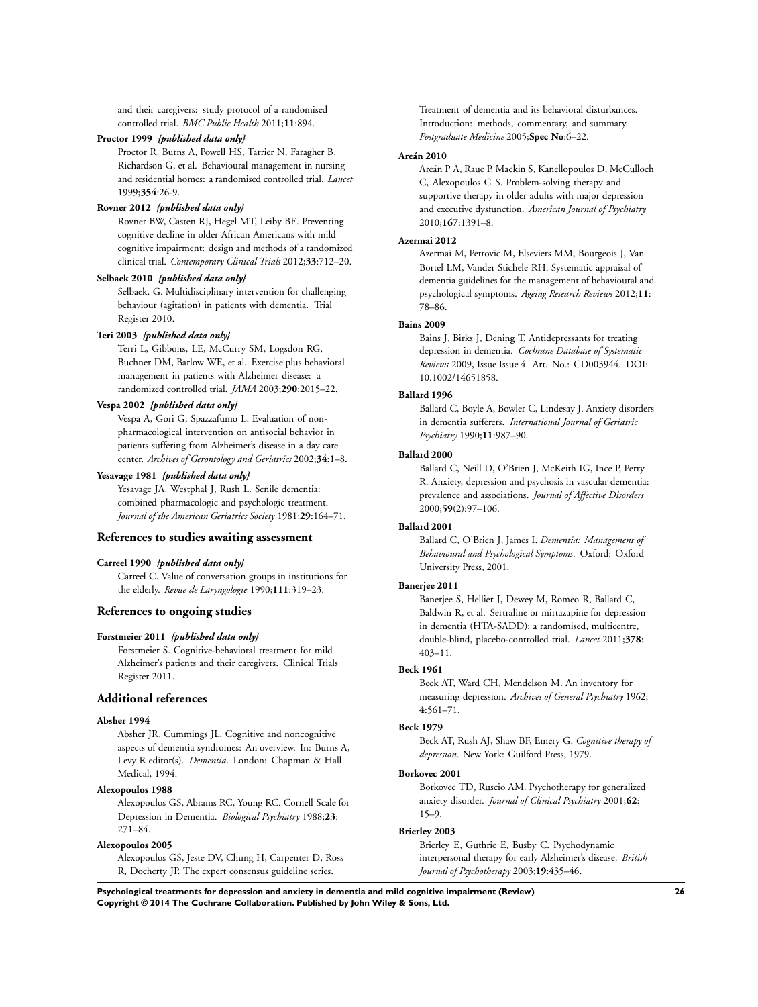and their caregivers: study protocol of a randomised controlled trial. *BMC Public Health* 2011;**11**:894.

#### **Proctor 1999** *{published data only}*

Proctor R, Burns A, Powell HS, Tarrier N, Faragher B, Richardson G, et al. Behavioural management in nursing and residential homes: a randomised controlled trial. *Lancet* 1999;**354**:26-9.

#### **Rovner 2012** *{published data only}*

Rovner BW, Casten RJ, Hegel MT, Leiby BE. Preventing cognitive decline in older African Americans with mild cognitive impairment: design and methods of a randomized clinical trial. *Contemporary Clinical Trials* 2012;**33**:712–20.

#### **Selbaek 2010** *{published data only}*

Selbaek, G. Multidisciplinary intervention for challenging behaviour (agitation) in patients with dementia. Trial Register 2010.

#### **Teri 2003** *{published data only}*

Terri L, Gibbons, LE, McCurry SM, Logsdon RG, Buchner DM, Barlow WE, et al. Exercise plus behavioral management in patients with Alzheimer disease: a randomized controlled trial. *JAMA* 2003;**290**:2015–22.

#### **Vespa 2002** *{published data only}*

Vespa A, Gori G, Spazzafumo L. Evaluation of nonpharmacological intervention on antisocial behavior in patients suffering from Alzheimer's disease in a day care center. *Archives of Gerontology and Geriatrics* 2002;**34**:1–8.

#### **Yesavage 1981** *{published data only}*

Yesavage JA, Westphal J, Rush L. Senile dementia: combined pharmacologic and psychologic treatment. *Journal of the American Geriatrics Society* 1981;**29**:164–71.

#### **References to studies awaiting assessment**

#### **Carreel 1990** *{published data only}*

Carreel C. Value of conversation groups in institutions for the elderly. *Revue de Laryngologie* 1990;**111**:319–23.

#### **References to ongoing studies**

#### **Forstmeier 2011** *{published data only}*

Forstmeier S. Cognitive-behavioral treatment for mild Alzheimer's patients and their caregivers. Clinical Trials Register 2011.

### **Additional references**

#### **Absher 1994**

Absher JR, Cummings JL. Cognitive and noncognitive aspects of dementia syndromes: An overview. In: Burns A, Levy R editor(s). *Dementia*. London: Chapman & Hall Medical, 1994.

### **Alexopoulos 1988**

Alexopoulos GS, Abrams RC, Young RC. Cornell Scale for Depression in Dementia. *Biological Psychiatry* 1988;**23**: 271–84.

#### **Alexopoulos 2005**

Alexopoulos GS, Jeste DV, Chung H, Carpenter D, Ross R, Docherty JP. The expert consensus guideline series.

Treatment of dementia and its behavioral disturbances. Introduction: methods, commentary, and summary. *Postgraduate Medicine* 2005;**Spec No**:6–22.

#### **Areán 2010**

Areán P A, Raue P, Mackin S, Kanellopoulos D, McCulloch C, Alexopoulos G S. Problem-solving therapy and supportive therapy in older adults with major depression and executive dysfunction. *American Journal of Psychiatry* 2010;**167**:1391–8.

#### **Azermai 2012**

Azermai M, Petrovic M, Elseviers MM, Bourgeois J, Van Bortel LM, Vander Stichele RH. Systematic appraisal of dementia guidelines for the management of behavioural and psychological symptoms. *Ageing Research Reviews* 2012;**11**: 78–86.

#### **Bains 2009**

Bains J, Birks J, Dening T. Antidepressants for treating depression in dementia. *Cochrane Database of Systematic Reviews* 2009, Issue Issue 4. Art. No.: CD003944. DOI: 10.1002/14651858.

#### **Ballard 1996**

Ballard C, Boyle A, Bowler C, Lindesay J. Anxiety disorders in dementia sufferers. *International Journal of Geriatric Psychiatry* 1990;**11**:987–90.

#### **Ballard 2000**

Ballard C, Neill D, O'Brien J, McKeith IG, Ince P, Perry R. Anxiety, depression and psychosis in vascular dementia: prevalence and associations. *Journal of Affective Disorders* 2000;**59**(2):97–106.

#### **Ballard 2001**

Ballard C, O'Brien J, James I. *Dementia: Management of Behavioural and Psychological Symptoms*. Oxford: Oxford University Press, 2001.

#### **Banerjee 2011**

Banerjee S, Hellier J, Dewey M, Romeo R, Ballard C, Baldwin R, et al. Sertraline or mirtazapine for depression in dementia (HTA-SADD): a randomised, multicentre, double-blind, placebo-controlled trial. *Lancet* 2011;**378**: 403–11.

#### **Beck 1961**

Beck AT, Ward CH, Mendelson M. An inventory for measuring depression. *Archives of General Psychiatry* 1962; **4**:561–71.

#### **Beck 1979**

Beck AT, Rush AJ, Shaw BF, Emery G. *Cognitive therapy of depression*. New York: Guilford Press, 1979.

#### **Borkovec 2001**

Borkovec TD, Ruscio AM. Psychotherapy for generalized anxiety disorder. *Journal of Clinical Psychiatry* 2001;**62**: 15–9.

#### **Brierley 2003**

Brierley E, Guthrie E, Busby C. Psychodynamic interpersonal therapy for early Alzheimer's disease. *British Journal of Psychotherapy* 2003;**19**:435–46.

**Psychological treatments for depression and anxiety in dementia and mild cognitive impairment (Review) 26 Copyright © 2014 The Cochrane Collaboration. Published by John Wiley & Sons, Ltd.**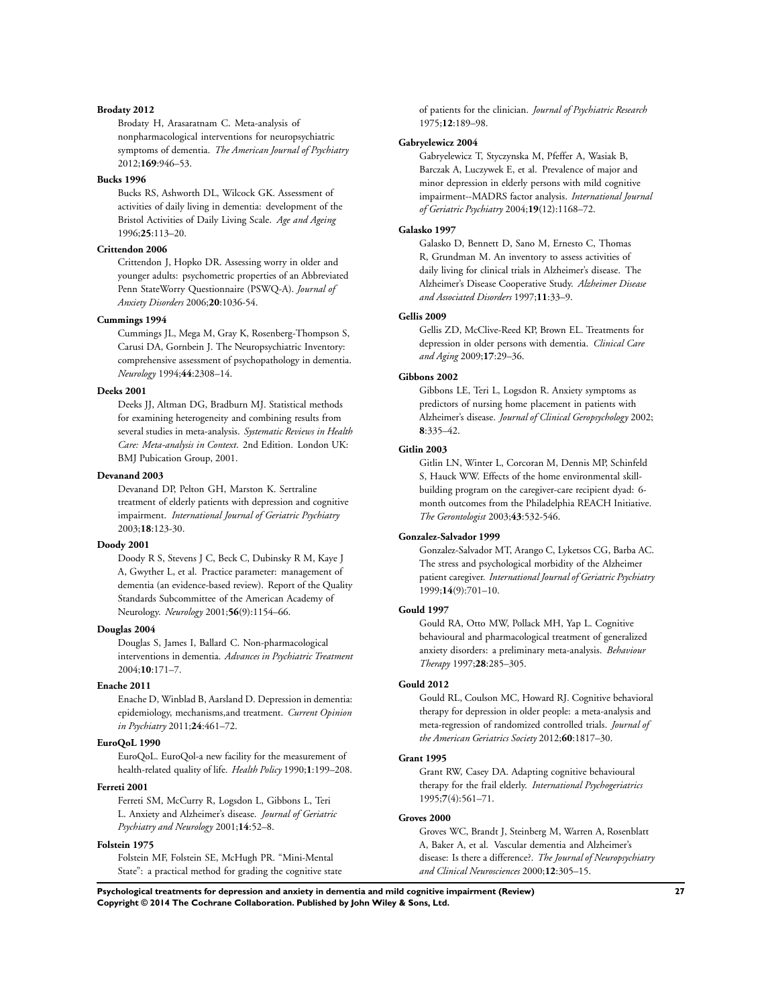#### **Brodaty 2012**

Brodaty H, Arasaratnam C. Meta-analysis of nonpharmacological interventions for neuropsychiatric symptoms of dementia. *The American Journal of Psychiatry* 2012;**169**:946–53.

### **Bucks 1996**

Bucks RS, Ashworth DL, Wilcock GK. Assessment of activities of daily living in dementia: development of the Bristol Activities of Daily Living Scale. *Age and Ageing* 1996;**25**:113–20.

### **Crittendon 2006**

Crittendon J, Hopko DR. Assessing worry in older and younger adults: psychometric properties of an Abbreviated Penn StateWorry Questionnaire (PSWQ-A). *Journal of Anxiety Disorders* 2006;**20**:1036-54.

#### **Cummings 1994**

Cummings JL, Mega M, Gray K, Rosenberg-Thompson S, Carusi DA, Gornbein J. The Neuropsychiatric Inventory: comprehensive assessment of psychopathology in dementia. *Neurology* 1994;**44**:2308–14.

#### **Deeks 2001**

Deeks JJ, Altman DG, Bradburn MJ. Statistical methods for examining heterogeneity and combining results from several studies in meta-analysis. *Systematic Reviews in Health Care: Meta-analysis in Context*. 2nd Edition. London UK: BMJ Pubication Group, 2001.

#### **Devanand 2003**

Devanand DP, Pelton GH, Marston K. Sertraline treatment of elderly patients with depression and cognitive impairment. *International Journal of Geriatric Psychiatry* 2003;**18**:123-30.

#### **Doody 2001**

Doody R S, Stevens J C, Beck C, Dubinsky R M, Kaye J A, Gwyther L, et al. Practice parameter: management of dementia (an evidence-based review). Report of the Quality Standards Subcommittee of the American Academy of Neurology. *Neurology* 2001;**56**(9):1154–66.

### **Douglas 2004**

Douglas S, James I, Ballard C. Non-pharmacological interventions in dementia. *Advances in Psychiatric Treatment* 2004;**10**:171–7.

#### **Enache 2011**

Enache D, Winblad B, Aarsland D. Depression in dementia: epidemiology, mechanisms,and treatment. *Current Opinion in Psychiatry* 2011;**24**:461–72.

#### **EuroQoL 1990**

EuroQoL. EuroQol-a new facility for the measurement of health-related quality of life. *Health Policy* 1990;**1**:199–208.

#### **Ferreti 2001**

Ferreti SM, McCurry R, Logsdon L, Gibbons L, Teri L. Anxiety and Alzheimer's disease. *Journal of Geriatric Psychiatry and Neurology* 2001;**14**:52–8.

#### **Folstein 1975**

Folstein MF, Folstein SE, McHugh PR. "Mini-Mental State": a practical method for grading the cognitive state of patients for the clinician. *Journal of Psychiatric Research* 1975;**12**:189–98.

#### **Gabryelewicz 2004**

Gabryelewicz T, Styczynska M, Pfeffer A, Wasiak B, Barczak A, Luczywek E, et al. Prevalence of major and minor depression in elderly persons with mild cognitive impairment--MADRS factor analysis. *International Journal of Geriatric Psychiatry* 2004;**19**(12):1168–72.

#### **Galasko 1997**

Galasko D, Bennett D, Sano M, Ernesto C, Thomas R, Grundman M. An inventory to assess activities of daily living for clinical trials in Alzheimer's disease. The Alzheimer's Disease Cooperative Study. *Alzheimer Disease and Associated Disorders* 1997;**11**:33–9.

#### **Gellis 2009**

Gellis ZD, McClive-Reed KP, Brown EL. Treatments for depression in older persons with dementia. *Clinical Care and Aging* 2009;**17**:29–36.

#### **Gibbons 2002**

Gibbons LE, Teri L, Logsdon R. Anxiety symptoms as predictors of nursing home placement in patients with Alzheimer's disease. *Journal of Clinical Geropsychology* 2002; **8**:335–42.

#### **Gitlin 2003**

Gitlin LN, Winter L, Corcoran M, Dennis MP, Schinfeld S, Hauck WW. Effects of the home environmental skillbuilding program on the caregiver-care recipient dyad: 6 month outcomes from the Philadelphia REACH Initiative. *The Gerontologist* 2003;**43**:532-546.

#### **Gonzalez-Salvador 1999**

Gonzalez-Salvador MT, Arango C, Lyketsos CG, Barba AC. The stress and psychological morbidity of the Alzheimer patient caregiver. *International Journal of Geriatric Psychiatry* 1999;**14**(9):701–10.

#### **Gould 1997**

Gould RA, Otto MW, Pollack MH, Yap L. Cognitive behavioural and pharmacological treatment of generalized anxiety disorders: a preliminary meta-analysis. *Behaviour Therapy* 1997;**28**:285–305.

#### **Gould 2012**

Gould RL, Coulson MC, Howard RJ. Cognitive behavioral therapy for depression in older people: a meta-analysis and meta-regression of randomized controlled trials. *Journal of the American Geriatrics Society* 2012;**60**:1817–30.

#### **Grant 1995**

Grant RW, Casey DA. Adapting cognitive behavioural therapy for the frail elderly. *International Psychogeriatrics* 1995;**7**(4):561–71.

#### **Groves 2000**

Groves WC, Brandt J, Steinberg M, Warren A, Rosenblatt A, Baker A, et al. Vascular dementia and Alzheimer's disease: Is there a difference?. *The Journal of Neuropsychiatry and Clinical Neurosciences* 2000;**12**:305–15.

**Psychological treatments for depression and anxiety in dementia and mild cognitive impairment (Review) 27 Copyright © 2014 The Cochrane Collaboration. Published by John Wiley & Sons, Ltd.**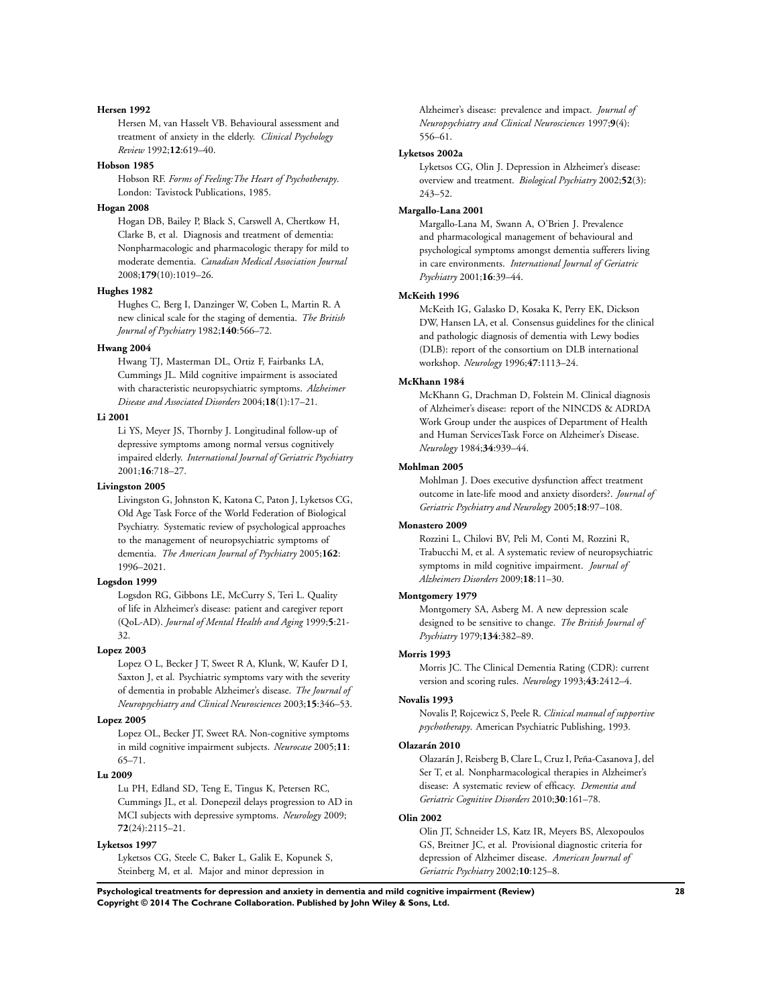#### **Hersen 1992**

Hersen M, van Hasselt VB. Behavioural assessment and treatment of anxiety in the elderly. *Clinical Psychology Review* 1992;**12**:619–40.

#### **Hobson 1985**

Hobson RF. *Forms of Feeling:The Heart of Psychotherapy*. London: Tavistock Publications, 1985.

#### **Hogan 2008**

Hogan DB, Bailey P, Black S, Carswell A, Chertkow H, Clarke B, et al. Diagnosis and treatment of dementia: Nonpharmacologic and pharmacologic therapy for mild to moderate dementia. *Canadian Medical Association Journal* 2008;**179**(10):1019–26.

#### **Hughes 1982**

Hughes C, Berg I, Danzinger W, Coben L, Martin R. A new clinical scale for the staging of dementia. *The British Journal of Psychiatry* 1982;**140**:566–72.

#### **Hwang 2004**

Hwang TJ, Masterman DL, Ortiz F, Fairbanks LA, Cummings JL. Mild cognitive impairment is associated with characteristic neuropsychiatric symptoms. *Alzheimer Disease and Associated Disorders* 2004;**18**(1):17–21.

#### **Li 2001**

Li YS, Meyer JS, Thornby J. Longitudinal follow-up of depressive symptoms among normal versus cognitively impaired elderly. *International Journal of Geriatric Psychiatry* 2001;**16**:718–27.

#### **Livingston 2005**

Livingston G, Johnston K, Katona C, Paton J, Lyketsos CG, Old Age Task Force of the World Federation of Biological Psychiatry. Systematic review of psychological approaches to the management of neuropsychiatric symptoms of dementia. *The American Journal of Psychiatry* 2005;**162**: 1996–2021.

### **Logsdon 1999**

Logsdon RG, Gibbons LE, McCurry S, Teri L. Quality of life in Alzheimer's disease: patient and caregiver report (QoL-AD). *Journal of Mental Health and Aging* 1999;**5**:21- 32.

#### **Lopez 2003**

Lopez O L, Becker J T, Sweet R A, Klunk, W, Kaufer D I, Saxton J, et al. Psychiatric symptoms vary with the severity of dementia in probable Alzheimer's disease. *The Journal of Neuropsychiatry and Clinical Neurosciences* 2003;**15**:346–53.

### **Lopez 2005**

Lopez OL, Becker JT, Sweet RA. Non-cognitive symptoms in mild cognitive impairment subjects. *Neurocase* 2005;**11**: 65–71.

#### **Lu 2009**

Lu PH, Edland SD, Teng E, Tingus K, Petersen RC, Cummings JL, et al. Donepezil delays progression to AD in MCI subjects with depressive symptoms. *Neurology* 2009; **72**(24):2115–21.

### **Lyketsos 1997**

Lyketsos CG, Steele C, Baker L, Galik E, Kopunek S, Steinberg M, et al. Major and minor depression in

Alzheimer's disease: prevalence and impact. *Journal of Neuropsychiatry and Clinical Neurosciences* 1997;**9**(4): 556–61.

#### **Lyketsos 2002a**

Lyketsos CG, Olin J. Depression in Alzheimer's disease: overview and treatment. *Biological Psychiatry* 2002;**52**(3): 243–52.

#### **Margallo-Lana 2001**

Margallo-Lana M, Swann A, O'Brien J. Prevalence and pharmacological management of behavioural and psychological symptoms amongst dementia sufferers living in care environments. *International Journal of Geriatric Psychiatry* 2001;**16**:39–44.

#### **McKeith 1996**

McKeith IG, Galasko D, Kosaka K, Perry EK, Dickson DW, Hansen LA, et al. Consensus guidelines for the clinical and pathologic diagnosis of dementia with Lewy bodies (DLB): report of the consortium on DLB international workshop. *Neurology* 1996;**47**:1113–24.

#### **McKhann 1984**

McKhann G, Drachman D, Folstein M. Clinical diagnosis of Alzheimer's disease: report of the NINCDS & ADRDA Work Group under the auspices of Department of Health and Human ServicesTask Force on Alzheimer's Disease. *Neurology* 1984;**34**:939–44.

#### **Mohlman 2005**

Mohlman J. Does executive dysfunction affect treatment outcome in late-life mood and anxiety disorders?. *Journal of Geriatric Psychiatry and Neurology* 2005;**18**:97–108.

#### **Monastero 2009**

Rozzini L, Chilovi BV, Peli M, Conti M, Rozzini R, Trabucchi M, et al. A systematic review of neuropsychiatric symptoms in mild cognitive impairment. *Journal of Alzheimers Disorders* 2009;**18**:11–30.

#### **Montgomery 1979**

Montgomery SA, Asberg M. A new depression scale designed to be sensitive to change. *The British Journal of Psychiatry* 1979;**134**:382–89.

#### **Morris 1993**

Morris JC. The Clinical Dementia Rating (CDR): current version and scoring rules. *Neurology* 1993;**43**:2412–4.

#### **Novalis 1993**

Novalis P, Rojcewicz S, Peele R. *Clinical manual of supportive psychotherapy*. American Psychiatric Publishing, 1993.

#### **Olazarán 2010**

Olazarán J, Reisberg B, Clare L, Cruz I, Peña-Casanova J, del Ser T, et al. Nonpharmacological therapies in Alzheimer's disease: A systematic review of efficacy. *Dementia and Geriatric Cognitive Disorders* 2010;**30**:161–78.

#### **Olin 2002**

Olin JT, Schneider LS, Katz IR, Meyers BS, Alexopoulos GS, Breitner JC, et al. Provisional diagnostic criteria for depression of Alzheimer disease. *American Journal of Geriatric Psychiatry* 2002;**10**:125–8.

**Psychological treatments for depression and anxiety in dementia and mild cognitive impairment (Review) 28 Copyright © 2014 The Cochrane Collaboration. Published by John Wiley & Sons, Ltd.**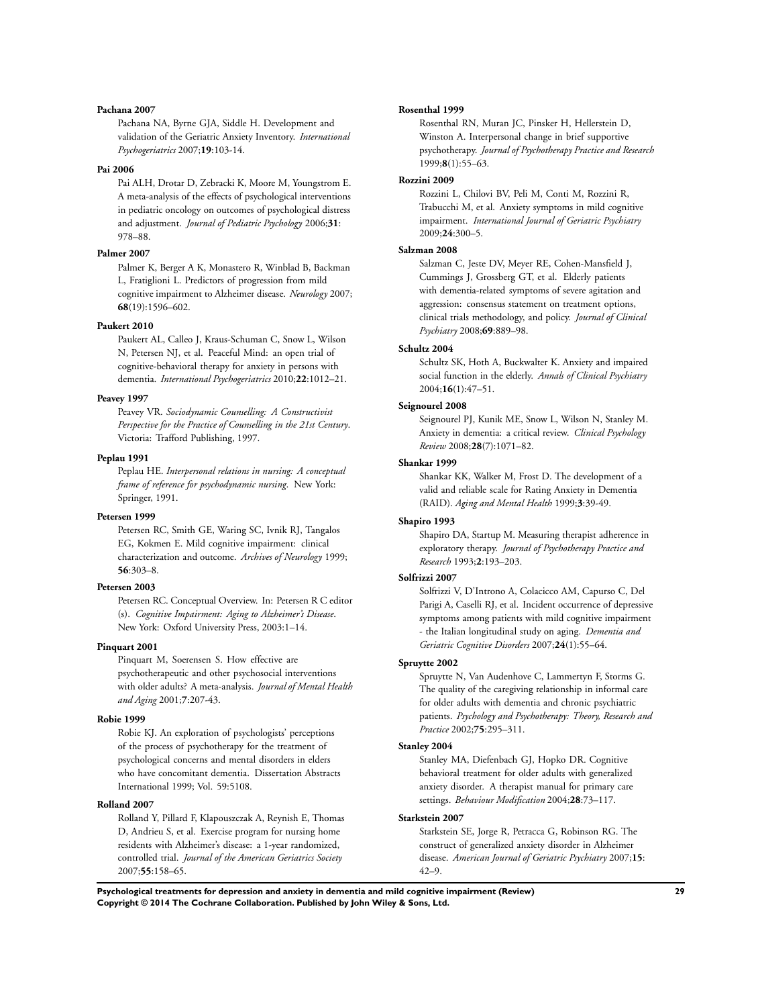#### **Pachana 2007**

Pachana NA, Byrne GJA, Siddle H. Development and validation of the Geriatric Anxiety Inventory. *International Psychogeriatrics* 2007;**19**:103-14.

#### **Pai 2006**

Pai ALH, Drotar D, Zebracki K, Moore M, Youngstrom E. A meta-analysis of the effects of psychological interventions in pediatric oncology on outcomes of psychological distress and adjustment. *Journal of Pediatric Psychology* 2006;**31**: 978–88.

#### **Palmer 2007**

Palmer K, Berger A K, Monastero R, Winblad B, Backman L, Fratiglioni L. Predictors of progression from mild cognitive impairment to Alzheimer disease. *Neurology* 2007; **68**(19):1596–602.

#### **Paukert 2010**

Paukert AL, Calleo J, Kraus-Schuman C, Snow L, Wilson N, Petersen NJ, et al. Peaceful Mind: an open trial of cognitive-behavioral therapy for anxiety in persons with dementia. *International Psychogeriatrics* 2010;**22**:1012–21.

#### **Peavey 1997**

Peavey VR. *Sociodynamic Counselling: A Constructivist Perspective for the Practice of Counselling in the 21st Century*. Victoria: Trafford Publishing, 1997.

#### **Peplau 1991**

Peplau HE. *Interpersonal relations in nursing: A conceptual frame of reference for psychodynamic nursing*. New York: Springer, 1991.

#### **Petersen 1999**

Petersen RC, Smith GE, Waring SC, Ivnik RJ, Tangalos EG, Kokmen E. Mild cognitive impairment: clinical characterization and outcome. *Archives of Neurology* 1999; **56**:303–8.

#### **Petersen 2003**

Petersen RC. Conceptual Overview. In: Petersen R C editor (s). *Cognitive Impairment: Aging to Alzheimer's Disease*. New York: Oxford University Press, 2003:1–14.

#### **Pinquart 2001**

Pinquart M, Soerensen S. How effective are psychotherapeutic and other psychosocial interventions with older adults? A meta-analysis. *Journal of Mental Health and Aging* 2001;**7**:207-43.

#### **Robie 1999**

Robie KJ. An exploration of psychologists' perceptions of the process of psychotherapy for the treatment of psychological concerns and mental disorders in elders who have concomitant dementia. Dissertation Abstracts International 1999; Vol. 59:5108.

### **Rolland 2007**

Rolland Y, Pillard F, Klapouszczak A, Reynish E, Thomas D, Andrieu S, et al. Exercise program for nursing home residents with Alzheimer's disease: a 1-year randomized, controlled trial. *Journal of the American Geriatrics Society* 2007;**55**:158–65.

#### **Rosenthal 1999**

Rosenthal RN, Muran JC, Pinsker H, Hellerstein D, Winston A. Interpersonal change in brief supportive psychotherapy. *Journal of Psychotherapy Practice and Research* 1999;**8**(1):55–63.

### **Rozzini 2009**

Rozzini L, Chilovi BV, Peli M, Conti M, Rozzini R, Trabucchi M, et al. Anxiety symptoms in mild cognitive impairment. *International Journal of Geriatric Psychiatry* 2009;**24**:300–5.

#### **Salzman 2008**

Salzman C, Jeste DV, Meyer RE, Cohen-Mansfield J, Cummings J, Grossberg GT, et al. Elderly patients with dementia-related symptoms of severe agitation and aggression: consensus statement on treatment options, clinical trials methodology, and policy. *Journal of Clinical Psychiatry* 2008;**69**:889–98.

#### **Schultz 2004**

Schultz SK, Hoth A, Buckwalter K. Anxiety and impaired social function in the elderly. *Annals of Clinical Psychiatry* 2004;**16**(1):47–51.

#### **Seignourel 2008**

Seignourel PJ, Kunik ME, Snow L, Wilson N, Stanley M. Anxiety in dementia: a critical review. *Clinical Psychology Review* 2008;**28**(7):1071–82.

#### **Shankar 1999**

Shankar KK, Walker M, Frost D. The development of a valid and reliable scale for Rating Anxiety in Dementia (RAID). *Aging and Mental Health* 1999;**3**:39-49.

### **Shapiro 1993**

Shapiro DA, Startup M. Measuring therapist adherence in exploratory therapy. *Journal of Psychotherapy Practice and Research* 1993;**2**:193–203.

#### **Solfrizzi 2007**

Solfrizzi V, D'Introno A, Colacicco AM, Capurso C, Del Parigi A, Caselli RJ, et al. Incident occurrence of depressive symptoms among patients with mild cognitive impairment - the Italian longitudinal study on aging. *Dementia and Geriatric Cognitive Disorders* 2007;**24**(1):55–64.

#### **Spruytte 2002**

Spruytte N, Van Audenhove C, Lammertyn F, Storms G. The quality of the caregiving relationship in informal care for older adults with dementia and chronic psychiatric patients. *Psychology and Psychotherapy: Theory, Research and Practice* 2002;**75**:295–311.

#### **Stanley 2004**

Stanley MA, Diefenbach GJ, Hopko DR. Cognitive behavioral treatment for older adults with generalized anxiety disorder. A therapist manual for primary care settings. *Behaviour Modification* 2004;**28**:73–117.

### **Starkstein 2007**

Starkstein SE, Jorge R, Petracca G, Robinson RG. The construct of generalized anxiety disorder in Alzheimer disease. *American Journal of Geriatric Psychiatry* 2007;**15**:  $42-9$ 

**Psychological treatments for depression and anxiety in dementia and mild cognitive impairment (Review) 29 Copyright © 2014 The Cochrane Collaboration. Published by John Wiley & Sons, Ltd.**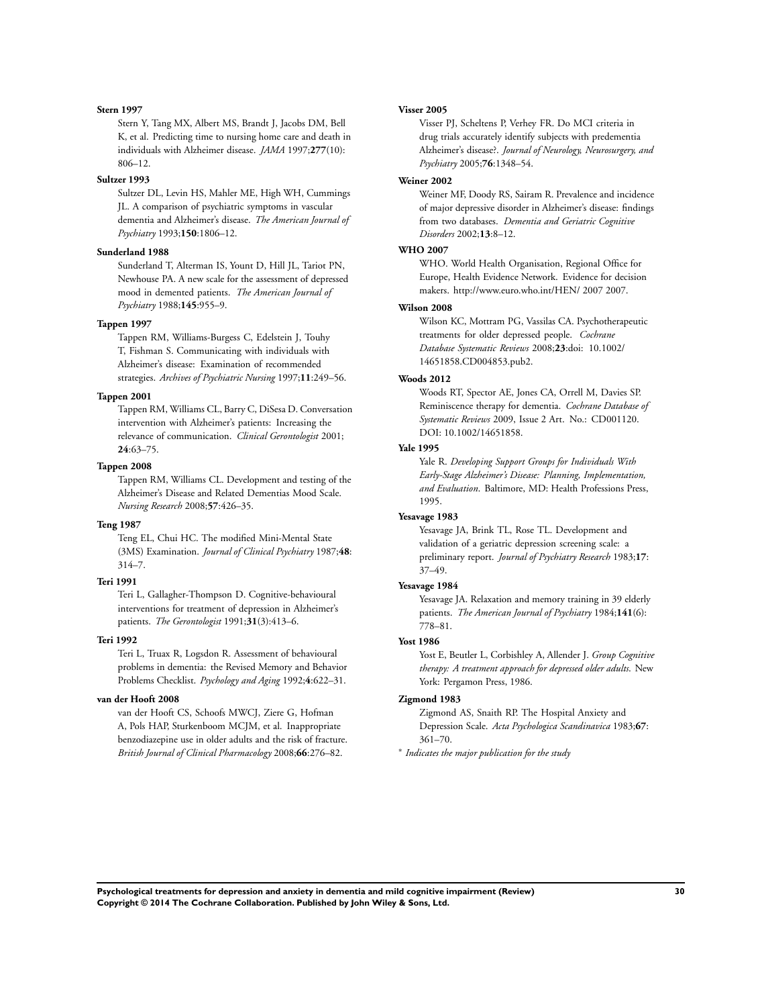#### **Stern 1997**

Stern Y, Tang MX, Albert MS, Brandt J, Jacobs DM, Bell K, et al. Predicting time to nursing home care and death in individuals with Alzheimer disease. *JAMA* 1997;**277**(10): 806–12.

#### **Sultzer 1993**

Sultzer DL, Levin HS, Mahler ME, High WH, Cummings JL. A comparison of psychiatric symptoms in vascular dementia and Alzheimer's disease. *The American Journal of Psychiatry* 1993;**150**:1806–12.

#### **Sunderland 1988**

Sunderland T, Alterman IS, Yount D, Hill JL, Tariot PN, Newhouse PA. A new scale for the assessment of depressed mood in demented patients. *The American Journal of Psychiatry* 1988;**145**:955–9.

#### **Tappen 1997**

Tappen RM, Williams-Burgess C, Edelstein J, Touhy T, Fishman S. Communicating with individuals with Alzheimer's disease: Examination of recommended strategies. *Archives of Psychiatric Nursing* 1997;**11**:249–56.

#### **Tappen 2001**

Tappen RM, Williams CL, Barry C, DiSesa D. Conversation intervention with Alzheimer's patients: Increasing the relevance of communication. *Clinical Gerontologist* 2001; **24**:63–75.

#### **Tappen 2008**

Tappen RM, Williams CL. Development and testing of the Alzheimer's Disease and Related Dementias Mood Scale. *Nursing Research* 2008;**57**:426–35.

### **Teng 1987**

Teng EL, Chui HC. The modified Mini-Mental State (3MS) Examination. *Journal of Clinical Psychiatry* 1987;**48**: 314–7.

#### **Teri 1991**

Teri L, Gallagher-Thompson D. Cognitive-behavioural interventions for treatment of depression in Alzheimer's patients. *The Gerontologist* 1991;**31**(3):413–6.

#### **Teri 1992**

Teri L, Truax R, Logsdon R. Assessment of behavioural problems in dementia: the Revised Memory and Behavior Problems Checklist. *Psychology and Aging* 1992;**4**:622–31.

#### **van der Hooft 2008**

van der Hooft CS, Schoofs MWCJ, Ziere G, Hofman A, Pols HAP, Sturkenboom MCJM, et al. Inappropriate benzodiazepine use in older adults and the risk of fracture. *British Journal of Clinical Pharmacology* 2008;**66**:276–82.

#### **Visser 2005**

Visser PJ, Scheltens P, Verhey FR. Do MCI criteria in drug trials accurately identify subjects with predementia Alzheimer's disease?. *Journal of Neurology, Neurosurgery, and Psychiatry* 2005;**76**:1348–54.

#### **Weiner 2002**

Weiner MF, Doody RS, Sairam R. Prevalence and incidence of major depressive disorder in Alzheimer's disease: findings from two databases. *Dementia and Geriatric Cognitive Disorders* 2002;**13**:8–12.

#### **WHO 2007**

WHO. World Health Organisation, Regional Office for Europe, Health Evidence Network. Evidence for decision makers. http://www.euro.who.int/HEN/ 2007 2007.

### **Wilson 2008**

Wilson KC, Mottram PG, Vassilas CA. Psychotherapeutic treatments for older depressed people. *Cochrane Database Systematic Reviews* 2008;**23**:doi: 10.1002/ 14651858.CD004853.pub2.

#### **Woods 2012**

Woods RT, Spector AE, Jones CA, Orrell M, Davies SP. Reminiscence therapy for dementia. *Cochrane Database of Systematic Reviews* 2009, Issue 2 Art. No.: CD001120. DOI: 10.1002/14651858.

### **Yale 1995**

Yale R. *Developing Support Groups for Individuals With Early-Stage Alzheimer's Disease: Planning, Implementation, and Evaluation*. Baltimore, MD: Health Professions Press, 1995.

#### **Yesavage 1983**

Yesavage JA, Brink TL, Rose TL. Development and validation of a geriatric depression screening scale: a preliminary report. *Journal of Psychiatry Research* 1983;**17**: 37–49.

#### **Yesavage 1984**

Yesavage JA. Relaxation and memory training in 39 elderly patients. *The American Journal of Psychiatry* 1984;**141**(6): 778–81.

#### **Yost 1986**

Yost E, Beutler L, Corbishley A, Allender J. *Group Cognitive therapy: A treatment approach for depressed older adults*. New York: Pergamon Press, 1986.

#### **Zigmond 1983**

Zigmond AS, Snaith RP. The Hospital Anxiety and Depression Scale. *Acta Psychologica Scandinavica* 1983;**67**: 361–70.

∗ *Indicates the major publication for the study*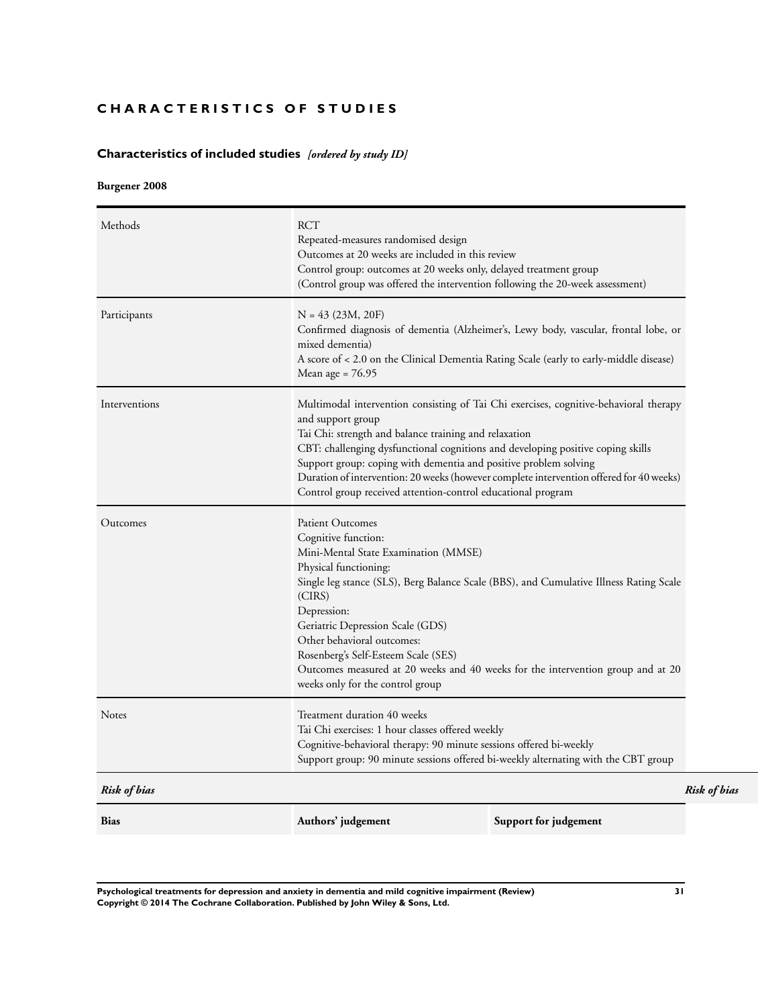### <span id="page-32-0"></span>**CHARACTERISTICS OF STUDIES**

# **Characteristics of included studies** *[ordered by study ID]*

### **Burgener 2008**

| Methods             | <b>RCT</b><br>Repeated-measures randomised design<br>Outcomes at 20 weeks are included in this review<br>Control group: outcomes at 20 weeks only, delayed treatment group<br>(Control group was offered the intervention following the 20-week assessment)                                                                                                                                                                                                                           |                       |              |  |
|---------------------|---------------------------------------------------------------------------------------------------------------------------------------------------------------------------------------------------------------------------------------------------------------------------------------------------------------------------------------------------------------------------------------------------------------------------------------------------------------------------------------|-----------------------|--------------|--|
| Participants        | $N = 43$ (23M, 20F)<br>Confirmed diagnosis of dementia (Alzheimer's, Lewy body, vascular, frontal lobe, or<br>mixed dementia)<br>A score of < 2.0 on the Clinical Dementia Rating Scale (early to early-middle disease)<br>Mean age = $76.95$                                                                                                                                                                                                                                         |                       |              |  |
| Interventions       | Multimodal intervention consisting of Tai Chi exercises, cognitive-behavioral therapy<br>and support group<br>Tai Chi: strength and balance training and relaxation<br>CBT: challenging dysfunctional cognitions and developing positive coping skills<br>Support group: coping with dementia and positive problem solving<br>Duration of intervention: 20 weeks (however complete intervention offered for 40 weeks)<br>Control group received attention-control educational program |                       |              |  |
| Outcomes            | <b>Patient Outcomes</b><br>Cognitive function:<br>Mini-Mental State Examination (MMSE)<br>Physical functioning:<br>Single leg stance (SLS), Berg Balance Scale (BBS), and Cumulative Illness Rating Scale<br>(CIRS)<br>Depression:<br>Geriatric Depression Scale (GDS)<br>Other behavioral outcomes:<br>Rosenberg's Self-Esteem Scale (SES)<br>Outcomes measured at 20 weeks and 40 weeks for the intervention group and at 20<br>weeks only for the control group                    |                       |              |  |
| Notes               | Treatment duration 40 weeks<br>Tai Chi exercises: 1 hour classes offered weekly<br>Cognitive-behavioral therapy: 90 minute sessions offered bi-weekly<br>Support group: 90 minute sessions offered bi-weekly alternating with the CBT group                                                                                                                                                                                                                                           |                       |              |  |
| <b>Risk of bias</b> |                                                                                                                                                                                                                                                                                                                                                                                                                                                                                       |                       | Risk of bias |  |
| <b>Bias</b>         | Authors' judgement                                                                                                                                                                                                                                                                                                                                                                                                                                                                    | Support for judgement |              |  |

**Psychological treatments for depression and anxiety in dementia and mild cognitive impairment (Review) 31 Copyright © 2014 The Cochrane Collaboration. Published by John Wiley & Sons, Ltd.**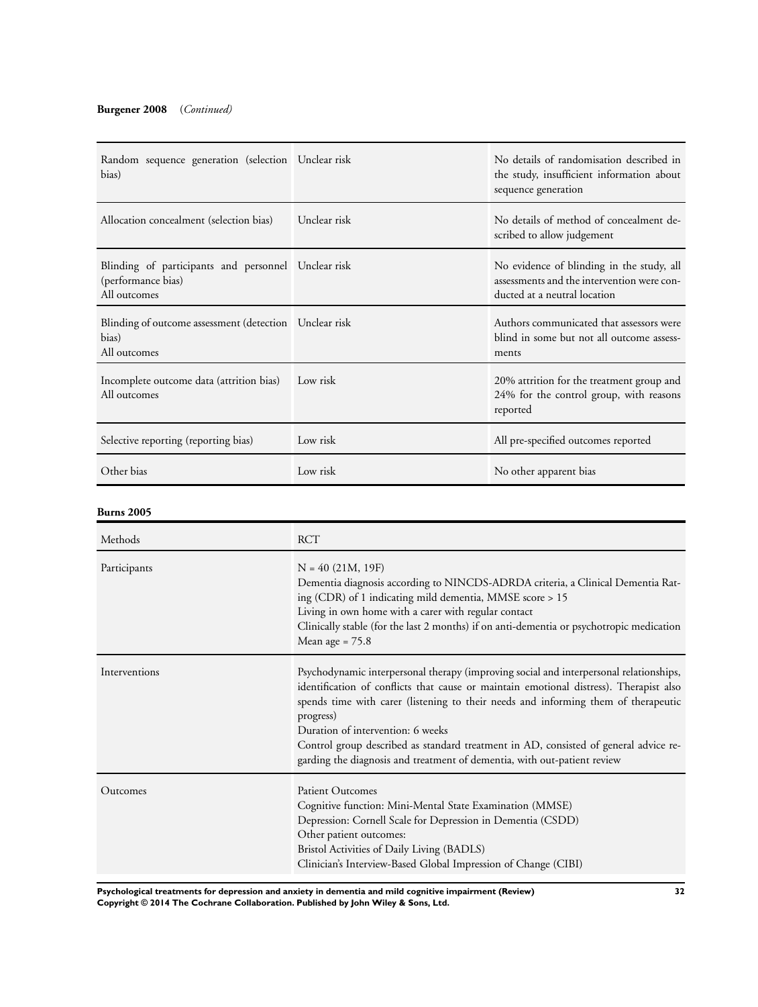### **Burgener 2008** (*Continued)*

| Random sequence generation (selection Unclear risk<br>bias)                               |              | No details of randomisation described in<br>the study, insufficient information about<br>sequence generation            |
|-------------------------------------------------------------------------------------------|--------------|-------------------------------------------------------------------------------------------------------------------------|
| Allocation concealment (selection bias)                                                   | Unclear risk | No details of method of concealment de-<br>scribed to allow judgement                                                   |
| Blinding of participants and personnel Unclear risk<br>(performance bias)<br>All outcomes |              | No evidence of blinding in the study, all<br>assessments and the intervention were con-<br>ducted at a neutral location |
| Blinding of outcome assessment (detection Unclear risk<br>bias)<br>All outcomes           |              | Authors communicated that assessors were<br>blind in some but not all outcome assess-<br>ments                          |
| Incomplete outcome data (attrition bias)<br>All outcomes                                  | Low risk     | 20% attrition for the treatment group and<br>24% for the control group, with reasons<br>reported                        |
| Selective reporting (reporting bias)                                                      | Low risk     | All pre-specified outcomes reported                                                                                     |
| Other bias                                                                                | Low risk     | No other apparent bias                                                                                                  |

### **Burns 2005**

| Methods       | <b>RCT</b>                                                                                                                                                                                                                                                                                                                                                                                                                                                                                   |
|---------------|----------------------------------------------------------------------------------------------------------------------------------------------------------------------------------------------------------------------------------------------------------------------------------------------------------------------------------------------------------------------------------------------------------------------------------------------------------------------------------------------|
| Participants  | $N = 40 (21M, 19F)$<br>Dementia diagnosis according to NINCDS-ADRDA criteria, a Clinical Dementia Rat-<br>ing (CDR) of 1 indicating mild dementia, MMSE score > 15<br>Living in own home with a carer with regular contact<br>Clinically stable (for the last 2 months) if on anti-dementia or psychotropic medication<br>Mean age = $75.8$                                                                                                                                                  |
| Interventions | Psychodynamic interpersonal therapy (improving social and interpersonal relationships,<br>identification of conflicts that cause or maintain emotional distress). Therapist also<br>spends time with carer (listening to their needs and informing them of therapeutic<br>progress)<br>Duration of intervention: 6 weeks<br>Control group described as standard treatment in AD, consisted of general advice re-<br>garding the diagnosis and treatment of dementia, with out-patient review |
| Outcomes      | Patient Outcomes<br>Cognitive function: Mini-Mental State Examination (MMSE)<br>Depression: Cornell Scale for Depression in Dementia (CSDD)<br>Other patient outcomes:<br>Bristol Activities of Daily Living (BADLS)<br>Clinician's Interview-Based Global Impression of Change (CIBI)                                                                                                                                                                                                       |

**Psychological treatments for depression and anxiety in dementia and mild cognitive impairment (Review) 32 Copyright © 2014 The Cochrane Collaboration. Published by John Wiley & Sons, Ltd.**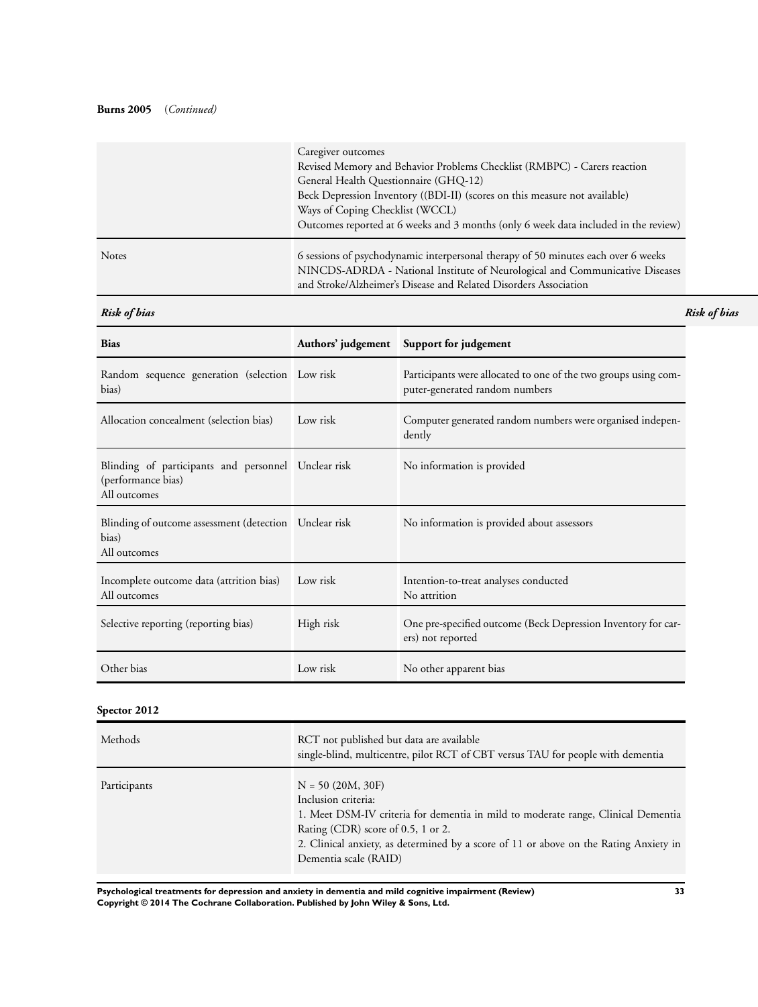### **Burns 2005** (*Continued)*

|              | Caregiver outcomes<br>Revised Memory and Behavior Problems Checklist (RMBPC) - Carers reaction<br>General Health Questionnaire (GHQ-12)<br>Beck Depression Inventory ((BDI-II) (scores on this measure not available)<br>Ways of Coping Checklist (WCCL)<br>Outcomes reported at 6 weeks and 3 months (only 6 week data included in the review) |
|--------------|-------------------------------------------------------------------------------------------------------------------------------------------------------------------------------------------------------------------------------------------------------------------------------------------------------------------------------------------------|
| <b>Notes</b> | 6 sessions of psychodynamic interpersonal therapy of 50 minutes each over 6 weeks<br>NINCDS-ADRDA - National Institute of Neurological and Communicative Diseases<br>and Stroke/Alzheimer's Disease and Related Disorders Association                                                                                                           |

*Risk of bias Risk of bias*

| <b>Bias</b>                                                                               | Authors' judgement | Support for judgement                                                                             |
|-------------------------------------------------------------------------------------------|--------------------|---------------------------------------------------------------------------------------------------|
| Random sequence generation (selection Low risk<br>bias)                                   |                    | Participants were allocated to one of the two groups using com-<br>puter-generated random numbers |
| Allocation concealment (selection bias)                                                   | Low risk           | Computer generated random numbers were organised indepen-<br>dently                               |
| Blinding of participants and personnel Unclear risk<br>(performance bias)<br>All outcomes |                    | No information is provided                                                                        |
| Blinding of outcome assessment (detection Unclear risk<br>bias)<br>All outcomes           |                    | No information is provided about assessors                                                        |
| Incomplete outcome data (attrition bias)<br>All outcomes                                  | Low risk           | Intention-to-treat analyses conducted<br>No attrition                                             |
| Selective reporting (reporting bias)                                                      | High risk          | One pre-specified outcome (Beck Depression Inventory for car-<br>ers) not reported                |
| Other bias                                                                                | Low risk           | No other apparent bias                                                                            |

### **Spector 2012**

| Methods      | RCT not published but data are available<br>single-blind, multicentre, pilot RCT of CBT versus TAU for people with dementia                                                                                                                                                             |
|--------------|-----------------------------------------------------------------------------------------------------------------------------------------------------------------------------------------------------------------------------------------------------------------------------------------|
| Participants | $N = 50 (20M, 30F)$<br>Inclusion criteria:<br>1. Meet DSM-IV criteria for dementia in mild to moderate range, Clinical Dementia<br>Rating (CDR) score of 0.5, 1 or 2.<br>2. Clinical anxiety, as determined by a score of 11 or above on the Rating Anxiety in<br>Dementia scale (RAID) |

**Psychological treatments for depression and anxiety in dementia and mild cognitive impairment (Review) 33 Copyright © 2014 The Cochrane Collaboration. Published by John Wiley & Sons, Ltd.**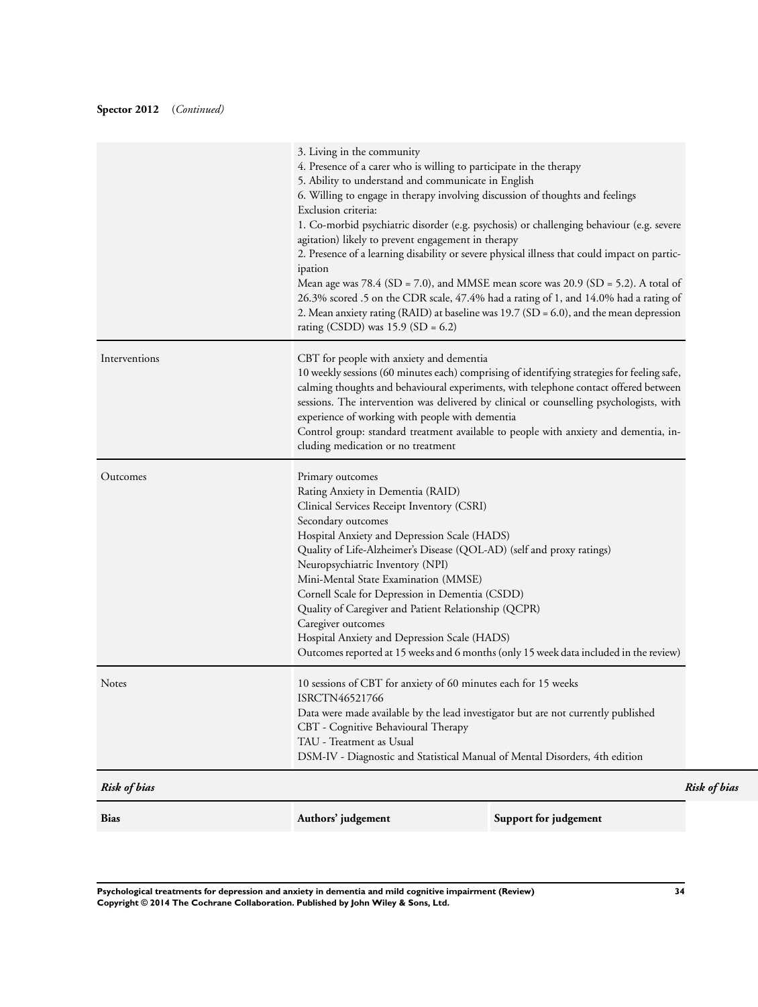### **Spector 2012** (*Continued)*

| Risk of bias                                                                                                                                                                                                                                                                                                                                                                                                                                                                                                                                                                                                                                                                                                                                                                                                                                  | Risk of bias |
|-----------------------------------------------------------------------------------------------------------------------------------------------------------------------------------------------------------------------------------------------------------------------------------------------------------------------------------------------------------------------------------------------------------------------------------------------------------------------------------------------------------------------------------------------------------------------------------------------------------------------------------------------------------------------------------------------------------------------------------------------------------------------------------------------------------------------------------------------|--------------|
| 10 sessions of CBT for anxiety of 60 minutes each for 15 weeks<br>Notes<br>ISRCTN46521766<br>Data were made available by the lead investigator but are not currently published<br>CBT - Cognitive Behavioural Therapy<br>TAU - Treatment as Usual<br>DSM-IV - Diagnostic and Statistical Manual of Mental Disorders, 4th edition                                                                                                                                                                                                                                                                                                                                                                                                                                                                                                              |              |
| Outcomes<br>Primary outcomes<br>Rating Anxiety in Dementia (RAID)<br>Clinical Services Receipt Inventory (CSRI)<br>Secondary outcomes<br>Hospital Anxiety and Depression Scale (HADS)<br>Quality of Life-Alzheimer's Disease (QOL-AD) (self and proxy ratings)<br>Neuropsychiatric Inventory (NPI)<br>Mini-Mental State Examination (MMSE)<br>Cornell Scale for Depression in Dementia (CSDD)<br>Quality of Caregiver and Patient Relationship (QCPR)<br>Caregiver outcomes<br>Hospital Anxiety and Depression Scale (HADS)<br>Outcomes reported at 15 weeks and 6 months (only 15 week data included in the review)                                                                                                                                                                                                                          |              |
| Interventions<br>CBT for people with anxiety and dementia<br>10 weekly sessions (60 minutes each) comprising of identifying strategies for feeling safe,<br>calming thoughts and behavioural experiments, with telephone contact offered between<br>sessions. The intervention was delivered by clinical or counselling psychologists, with<br>experience of working with people with dementia<br>Control group: standard treatment available to people with anxiety and dementia, in-<br>cluding medication or no treatment                                                                                                                                                                                                                                                                                                                  |              |
| 3. Living in the community<br>4. Presence of a carer who is willing to participate in the therapy<br>5. Ability to understand and communicate in English<br>6. Willing to engage in therapy involving discussion of thoughts and feelings<br>Exclusion criteria:<br>1. Co-morbid psychiatric disorder (e.g. psychosis) or challenging behaviour (e.g. severe<br>agitation) likely to prevent engagement in therapy<br>2. Presence of a learning disability or severe physical illness that could impact on partic-<br>ipation<br>Mean age was 78.4 (SD = 7.0), and MMSE mean score was 20.9 (SD = 5.2). A total of<br>26.3% scored .5 on the CDR scale, 47.4% had a rating of 1, and 14.0% had a rating of<br>2. Mean anxiety rating (RAID) at baseline was $19.7$ (SD = 6.0), and the mean depression<br>rating (CSDD) was $15.9$ (SD = 6.2) |              |

**Psychological treatments for depression and anxiety in dementia and mild cognitive impairment (Review) 34 Copyright © 2014 The Cochrane Collaboration. Published by John Wiley & Sons, Ltd.**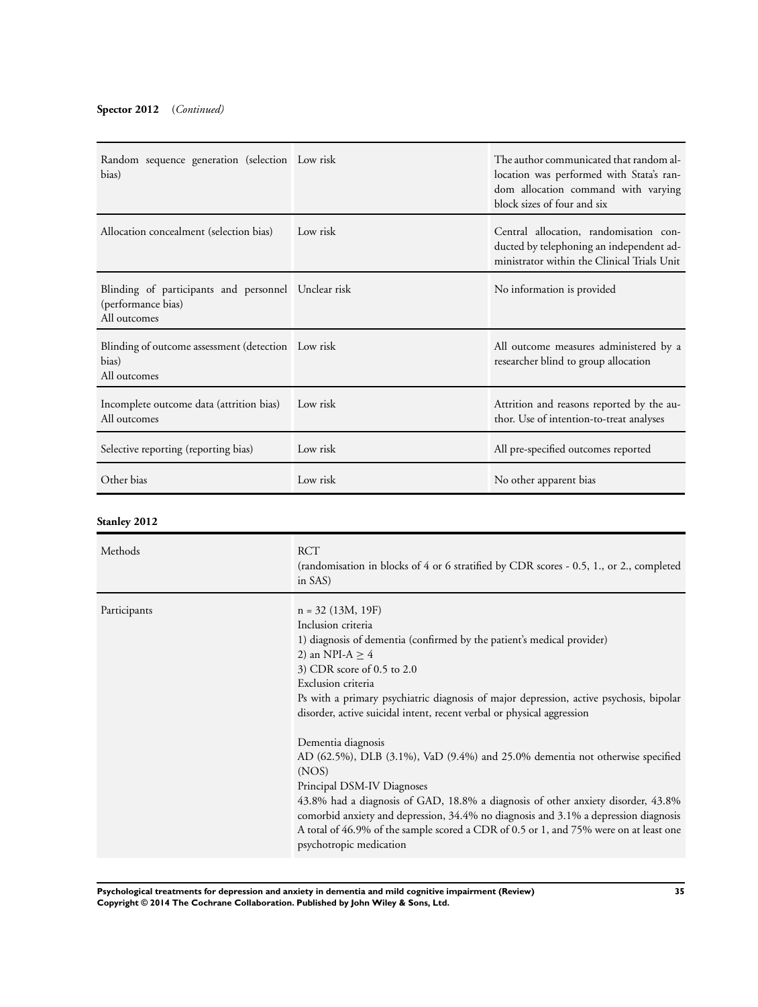### **Spector 2012** (*Continued)*

| Random sequence generation (selection Low risk<br>bias)                                   |          | The author communicated that random al-<br>location was performed with Stata's ran-<br>dom allocation command with varying<br>block sizes of four and six |
|-------------------------------------------------------------------------------------------|----------|-----------------------------------------------------------------------------------------------------------------------------------------------------------|
| Allocation concealment (selection bias)                                                   | Low risk | Central allocation, randomisation con-<br>ducted by telephoning an independent ad-<br>ministrator within the Clinical Trials Unit                         |
| Blinding of participants and personnel Unclear risk<br>(performance bias)<br>All outcomes |          | No information is provided                                                                                                                                |
| Blinding of outcome assessment (detection Low risk<br>bias)<br>All outcomes               |          | All outcome measures administered by a<br>researcher blind to group allocation                                                                            |
| Incomplete outcome data (attrition bias)<br>All outcomes                                  | Low risk | Attrition and reasons reported by the au-<br>thor. Use of intention-to-treat analyses                                                                     |
| Selective reporting (reporting bias)                                                      | Low risk | All pre-specified outcomes reported                                                                                                                       |
| Other bias                                                                                | Low risk | No other apparent bias                                                                                                                                    |

### **Stanley 2012**

| Methods      | <b>RCT</b><br>(randomisation in blocks of 4 or 6 stratified by CDR scores - 0.5, 1., or 2., completed<br>in SAS)                                                                                                                                                                                                                                                                                                                                                                                                                                                                                                                                                                                                                                                                                                             |
|--------------|------------------------------------------------------------------------------------------------------------------------------------------------------------------------------------------------------------------------------------------------------------------------------------------------------------------------------------------------------------------------------------------------------------------------------------------------------------------------------------------------------------------------------------------------------------------------------------------------------------------------------------------------------------------------------------------------------------------------------------------------------------------------------------------------------------------------------|
| Participants | $n = 32$ (13M, 19F)<br>Inclusion criteria<br>1) diagnosis of dementia (confirmed by the patient's medical provider)<br>2) an NPI-A $> 4$<br>3) CDR score of $0.5$ to $2.0$<br>Exclusion criteria<br>Ps with a primary psychiatric diagnosis of major depression, active psychosis, bipolar<br>disorder, active suicidal intent, recent verbal or physical aggression<br>Dementia diagnosis<br>AD $(62.5\%)$ , DLB $(3.1\%)$ , VaD $(9.4\%)$ and 25.0% dementia not otherwise specified<br>(NOS)<br>Principal DSM-IV Diagnoses<br>43.8% had a diagnosis of GAD, 18.8% a diagnosis of other anxiety disorder, 43.8%<br>comorbid anxiety and depression, 34.4% no diagnosis and 3.1% a depression diagnosis<br>A total of 46.9% of the sample scored a CDR of 0.5 or 1, and 75% were on at least one<br>psychotropic medication |

**Psychological treatments for depression and anxiety in dementia and mild cognitive impairment (Review) 35 Copyright © 2014 The Cochrane Collaboration. Published by John Wiley & Sons, Ltd.**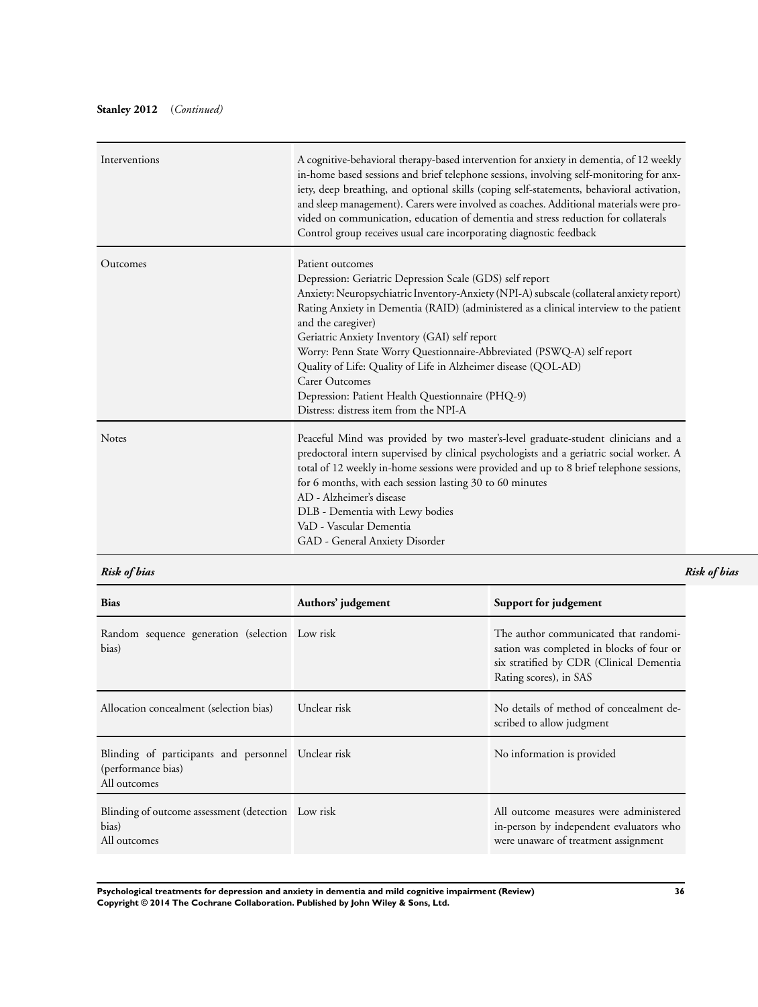### **Stanley 2012** (*Continued)*

| Interventions | A cognitive-behavioral therapy-based intervention for anxiety in dementia, of 12 weekly<br>in-home based sessions and brief telephone sessions, involving self-monitoring for anx-<br>iety, deep breathing, and optional skills (coping self-statements, behavioral activation,<br>and sleep management). Carers were involved as coaches. Additional materials were pro-<br>vided on communication, education of dementia and stress reduction for collaterals<br>Control group receives usual care incorporating diagnostic feedback                                                                       |
|---------------|--------------------------------------------------------------------------------------------------------------------------------------------------------------------------------------------------------------------------------------------------------------------------------------------------------------------------------------------------------------------------------------------------------------------------------------------------------------------------------------------------------------------------------------------------------------------------------------------------------------|
| Outcomes      | Patient outcomes<br>Depression: Geriatric Depression Scale (GDS) self report<br>Anxiety: Neuropsychiatric Inventory-Anxiety (NPI-A) subscale (collateral anxiety report)<br>Rating Anxiety in Dementia (RAID) (administered as a clinical interview to the patient<br>and the caregiver)<br>Geriatric Anxiety Inventory (GAI) self report<br>Worry: Penn State Worry Questionnaire-Abbreviated (PSWQ-A) self report<br>Quality of Life: Quality of Life in Alzheimer disease (QOL-AD)<br><b>Carer Outcomes</b><br>Depression: Patient Health Questionnaire (PHQ-9)<br>Distress: distress item from the NPI-A |
| Notes         | Peaceful Mind was provided by two master's-level graduate-student clinicians and a<br>predoctoral intern supervised by clinical psychologists and a geriatric social worker. A<br>total of 12 weekly in-home sessions were provided and up to 8 brief telephone sessions,<br>for 6 months, with each session lasting 30 to 60 minutes<br>AD - Alzheimer's disease<br>DLB - Dementia with Lewy bodies<br>VaD - Vascular Dementia<br>GAD - General Anxiety Disorder                                                                                                                                            |

*Risk of bias Risk of bias*

| <b>Bias</b>                                                                               | Authors' judgement | Support for judgement                                                                                                                                    |
|-------------------------------------------------------------------------------------------|--------------------|----------------------------------------------------------------------------------------------------------------------------------------------------------|
| Random sequence generation (selection Low risk<br>bias)                                   |                    | The author communicated that randomi-<br>sation was completed in blocks of four or<br>six stratified by CDR (Clinical Dementia<br>Rating scores), in SAS |
| Allocation concealment (selection bias)                                                   | Unclear risk       | No details of method of concealment de-<br>scribed to allow judgment                                                                                     |
| Blinding of participants and personnel Unclear risk<br>(performance bias)<br>All outcomes |                    | No information is provided                                                                                                                               |
| Blinding of outcome assessment (detection Low risk<br>bias)<br>All outcomes               |                    | All outcome measures were administered<br>in-person by independent evaluators who<br>were unaware of treatment assignment                                |

**Psychological treatments for depression and anxiety in dementia and mild cognitive impairment (Review) 36 Copyright © 2014 The Cochrane Collaboration. Published by John Wiley & Sons, Ltd.**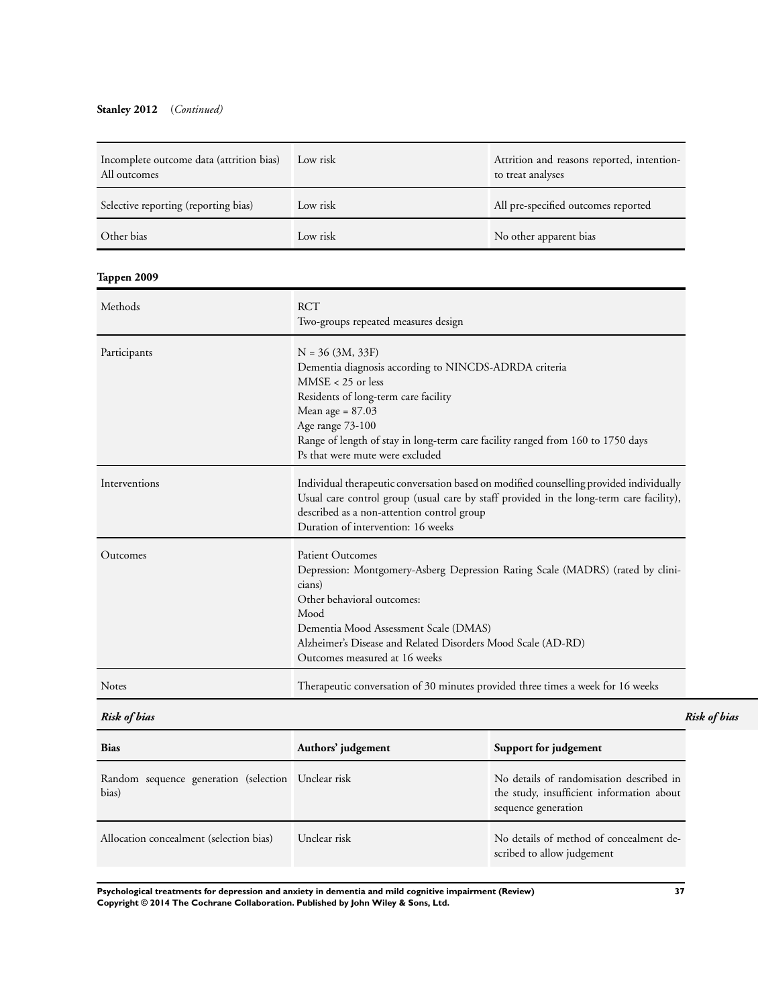### **Stanley 2012** (*Continued)*

| Incomplete outcome data (attrition bias)<br>All outcomes | Low risk | Attrition and reasons reported, intention-<br>to treat analyses |
|----------------------------------------------------------|----------|-----------------------------------------------------------------|
| Selective reporting (reporting bias)                     | Low risk | All pre-specified outcomes reported                             |
| Other bias                                               | Low risk | No other apparent bias                                          |

### **Tappen 2009**

| Methods       | <b>RCT</b><br>Two-groups repeated measures design                                                                                                                                                                                                                                                          |
|---------------|------------------------------------------------------------------------------------------------------------------------------------------------------------------------------------------------------------------------------------------------------------------------------------------------------------|
| Participants  | $N = 36 (3M, 33F)$<br>Dementia diagnosis according to NINCDS-ADRDA criteria<br>$MMSE < 25$ or less<br>Residents of long-term care facility<br>Mean age = $87.03$<br>Age range 73-100<br>Range of length of stay in long-term care facility ranged from 160 to 1750 days<br>Ps that were mute were excluded |
| Interventions | Individual therapeutic conversation based on modified counselling provided individually<br>Usual care control group (usual care by staff provided in the long-term care facility),<br>described as a non-attention control group<br>Duration of intervention: 16 weeks                                     |
| Outcomes      | <b>Patient Outcomes</b><br>Depression: Montgomery-Asberg Depression Rating Scale (MADRS) (rated by clini-<br>cians)<br>Other behavioral outcomes:<br>Mood<br>Dementia Mood Assessment Scale (DMAS)<br>Alzheimer's Disease and Related Disorders Mood Scale (AD-RD)<br>Outcomes measured at 16 weeks        |
| <b>Notes</b>  | Therapeutic conversation of 30 minutes provided three times a week for 16 weeks                                                                                                                                                                                                                            |

| <b>Bias</b>                                                 | Authors' judgement | Support for judgement                                                                                        |
|-------------------------------------------------------------|--------------------|--------------------------------------------------------------------------------------------------------------|
| Random sequence generation (selection Unclear risk<br>bias) |                    | No details of randomisation described in<br>the study, insufficient information about<br>sequence generation |
| Allocation concealment (selection bias)                     | Unclear risk       | No details of method of concealment de-<br>scribed to allow judgement                                        |

**Psychological treatments for depression and anxiety in dementia and mild cognitive impairment (Review) 37 Copyright © 2014 The Cochrane Collaboration. Published by John Wiley & Sons, Ltd.**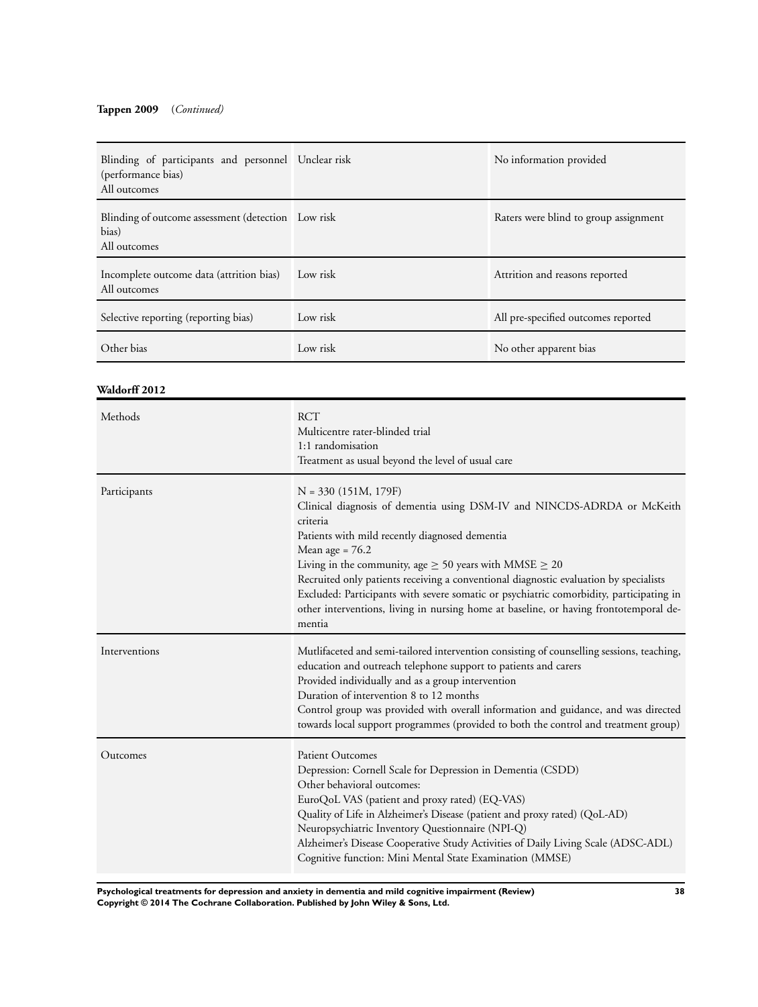### **Tappen 2009** (*Continued)*

| Blinding of participants and personnel Unclear risk<br>(performance bias)<br>All outcomes |          | No information provided               |
|-------------------------------------------------------------------------------------------|----------|---------------------------------------|
| Blinding of outcome assessment (detection Low risk<br>bias)<br>All outcomes               |          | Raters were blind to group assignment |
| Incomplete outcome data (attrition bias)<br>All outcomes                                  | Low risk | Attrition and reasons reported        |
| Selective reporting (reporting bias)                                                      | Low risk | All pre-specified outcomes reported   |
| Other bias                                                                                | Low risk | No other apparent bias                |

### **Waldorff 2012**

| Methods       | <b>RCT</b><br>Multicentre rater-blinded trial<br>1:1 randomisation<br>Treatment as usual beyond the level of usual care                                                                                                                                                                                                                                                                                                                                                                                                                         |
|---------------|-------------------------------------------------------------------------------------------------------------------------------------------------------------------------------------------------------------------------------------------------------------------------------------------------------------------------------------------------------------------------------------------------------------------------------------------------------------------------------------------------------------------------------------------------|
| Participants  | $N = 330$ (151M, 179F)<br>Clinical diagnosis of dementia using DSM-IV and NINCDS-ADRDA or McKeith<br>criteria<br>Patients with mild recently diagnosed dementia<br>Mean age = $76.2$<br>Living in the community, age $\geq$ 50 years with MMSE $\geq$ 20<br>Recruited only patients receiving a conventional diagnostic evaluation by specialists<br>Excluded: Participants with severe somatic or psychiatric comorbidity, participating in<br>other interventions, living in nursing home at baseline, or having frontotemporal de-<br>mentia |
| Interventions | Mutlifaceted and semi-tailored intervention consisting of counselling sessions, teaching,<br>education and outreach telephone support to patients and carers<br>Provided individually and as a group intervention<br>Duration of intervention 8 to 12 months<br>Control group was provided with overall information and guidance, and was directed<br>towards local support programmes (provided to both the control and treatment group)                                                                                                       |
| Outcomes      | <b>Patient Outcomes</b><br>Depression: Cornell Scale for Depression in Dementia (CSDD)<br>Other behavioral outcomes:<br>EuroQoL VAS (patient and proxy rated) (EQ-VAS)<br>Quality of Life in Alzheimer's Disease (patient and proxy rated) (QoL-AD)<br>Neuropsychiatric Inventory Questionnaire (NPI-Q)<br>Alzheimer's Disease Cooperative Study Activities of Daily Living Scale (ADSC-ADL)<br>Cognitive function: Mini Mental State Examination (MMSE)                                                                                        |

**Psychological treatments for depression and anxiety in dementia and mild cognitive impairment (Review) 38 Copyright © 2014 The Cochrane Collaboration. Published by John Wiley & Sons, Ltd.**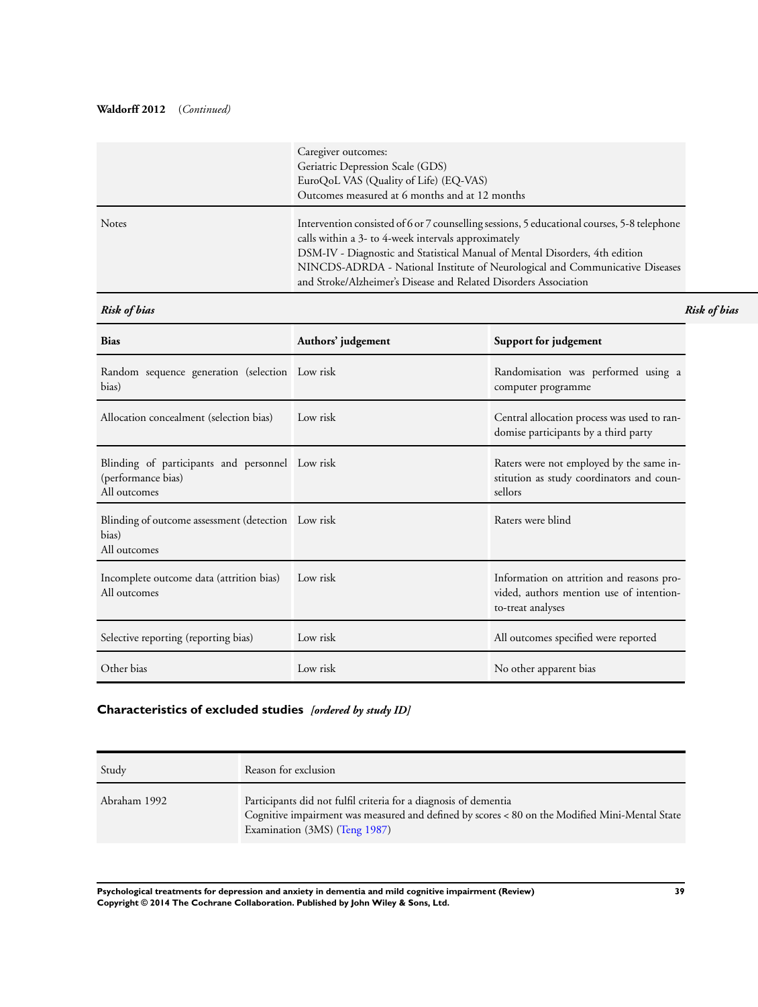### <span id="page-40-0"></span>**Waldorff 2012** (*Continued)*

|              | Caregiver outcomes:<br>Geriatric Depression Scale (GDS)<br>EuroQoL VAS (Quality of Life) (EQ-VAS)<br>Outcomes measured at 6 months and at 12 months                                                                                                                                                                                                                                   |
|--------------|---------------------------------------------------------------------------------------------------------------------------------------------------------------------------------------------------------------------------------------------------------------------------------------------------------------------------------------------------------------------------------------|
| <b>Notes</b> | Intervention consisted of 6 or 7 counselling sessions, 5 educational courses, 5-8 telephone<br>calls within a 3- to 4-week intervals approximately<br>DSM-IV - Diagnostic and Statistical Manual of Mental Disorders, 4th edition<br>NINCDS-ADRDA - National Institute of Neurological and Communicative Diseases<br>and Stroke/Alzheimer's Disease and Related Disorders Association |

### *Risk of bias Risk of bias*

| <b>Bias</b>                                                                           | Authors' judgement | Support for judgement                                                                                      |
|---------------------------------------------------------------------------------------|--------------------|------------------------------------------------------------------------------------------------------------|
| Random sequence generation (selection Low risk<br>bias)                               |                    | Randomisation was performed using a<br>computer programme                                                  |
| Allocation concealment (selection bias)                                               | Low risk           | Central allocation process was used to ran-<br>domise participants by a third party                        |
| Blinding of participants and personnel Low risk<br>(performance bias)<br>All outcomes |                    | Raters were not employed by the same in-<br>stitution as study coordinators and coun-<br>sellors           |
| Blinding of outcome assessment (detection Low risk<br>bias)<br>All outcomes           |                    | Raters were blind                                                                                          |
| Incomplete outcome data (attrition bias) Low risk<br>All outcomes                     |                    | Information on attrition and reasons pro-<br>vided, authors mention use of intention-<br>to-treat analyses |
| Selective reporting (reporting bias)                                                  | Low risk           | All outcomes specified were reported                                                                       |
| Other bias                                                                            | Low risk           | No other apparent bias                                                                                     |

## **Characteristics of excluded studies** *[ordered by study ID]*

| Study        | Reason for exclusion                                                                                                                                                                                |
|--------------|-----------------------------------------------------------------------------------------------------------------------------------------------------------------------------------------------------|
| Abraham 1992 | Participants did not fulfil criteria for a diagnosis of dementia<br>Cognitive impairment was measured and defined by scores < 80 on the Modified Mini-Mental State<br>Examination (3MS) (Teng 1987) |

**Psychological treatments for depression and anxiety in dementia and mild cognitive impairment (Review) 39 Copyright © 2014 The Cochrane Collaboration. Published by John Wiley & Sons, Ltd.**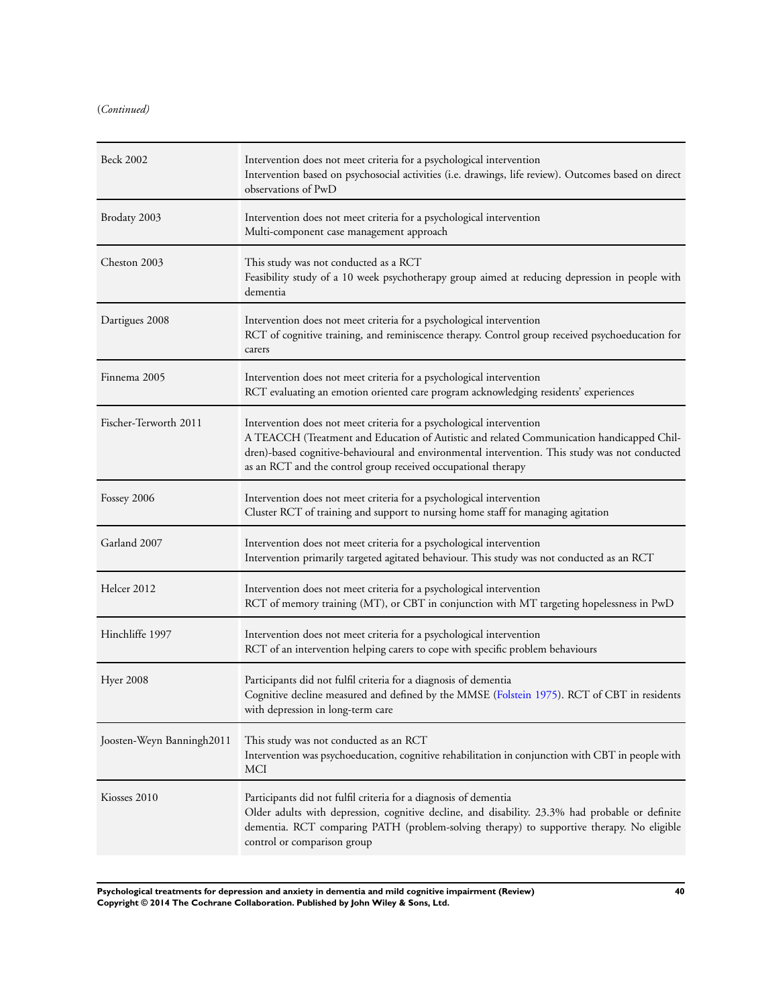### (*Continued)*

| Beck 2002                 | Intervention does not meet criteria for a psychological intervention<br>Intervention based on psychosocial activities (i.e. drawings, life review). Outcomes based on direct<br>observations of PwD                                                                                                                                  |
|---------------------------|--------------------------------------------------------------------------------------------------------------------------------------------------------------------------------------------------------------------------------------------------------------------------------------------------------------------------------------|
| Brodaty 2003              | Intervention does not meet criteria for a psychological intervention<br>Multi-component case management approach                                                                                                                                                                                                                     |
| Cheston 2003              | This study was not conducted as a RCT<br>Feasibility study of a 10 week psychotherapy group aimed at reducing depression in people with<br>dementia                                                                                                                                                                                  |
| Dartigues 2008            | Intervention does not meet criteria for a psychological intervention<br>RCT of cognitive training, and reminiscence therapy. Control group received psychoeducation for<br>carers                                                                                                                                                    |
| Finnema 2005              | Intervention does not meet criteria for a psychological intervention<br>RCT evaluating an emotion oriented care program acknowledging residents' experiences                                                                                                                                                                         |
| Fischer-Terworth 2011     | Intervention does not meet criteria for a psychological intervention<br>A TEACCH (Treatment and Education of Autistic and related Communication handicapped Chil-<br>dren)-based cognitive-behavioural and environmental intervention. This study was not conducted<br>as an RCT and the control group received occupational therapy |
| Fossey 2006               | Intervention does not meet criteria for a psychological intervention<br>Cluster RCT of training and support to nursing home staff for managing agitation                                                                                                                                                                             |
| Garland 2007              | Intervention does not meet criteria for a psychological intervention<br>Intervention primarily targeted agitated behaviour. This study was not conducted as an RCT                                                                                                                                                                   |
| Helcer 2012               | Intervention does not meet criteria for a psychological intervention<br>RCT of memory training (MT), or CBT in conjunction with MT targeting hopelessness in PwD                                                                                                                                                                     |
| Hinchliffe 1997           | Intervention does not meet criteria for a psychological intervention<br>RCT of an intervention helping carers to cope with specific problem behaviours                                                                                                                                                                               |
| <b>Hyer 2008</b>          | Participants did not fulfil criteria for a diagnosis of dementia<br>Cognitive decline measured and defined by the MMSE (Folstein 1975). RCT of CBT in residents<br>with depression in long-term care                                                                                                                                 |
| Joosten-Weyn Banningh2011 | This study was not conducted as an RCT<br>Intervention was psychoeducation, cognitive rehabilitation in conjunction with CBT in people with<br><b>MCI</b>                                                                                                                                                                            |
| Kiosses 2010              | Participants did not fulfil criteria for a diagnosis of dementia<br>Older adults with depression, cognitive decline, and disability. 23.3% had probable or definite<br>dementia. RCT comparing PATH (problem-solving therapy) to supportive therapy. No eligible<br>control or comparison group                                      |

**Psychological treatments for depression and anxiety in dementia and mild cognitive impairment (Review) 40 Copyright © 2014 The Cochrane Collaboration. Published by John Wiley & Sons, Ltd.**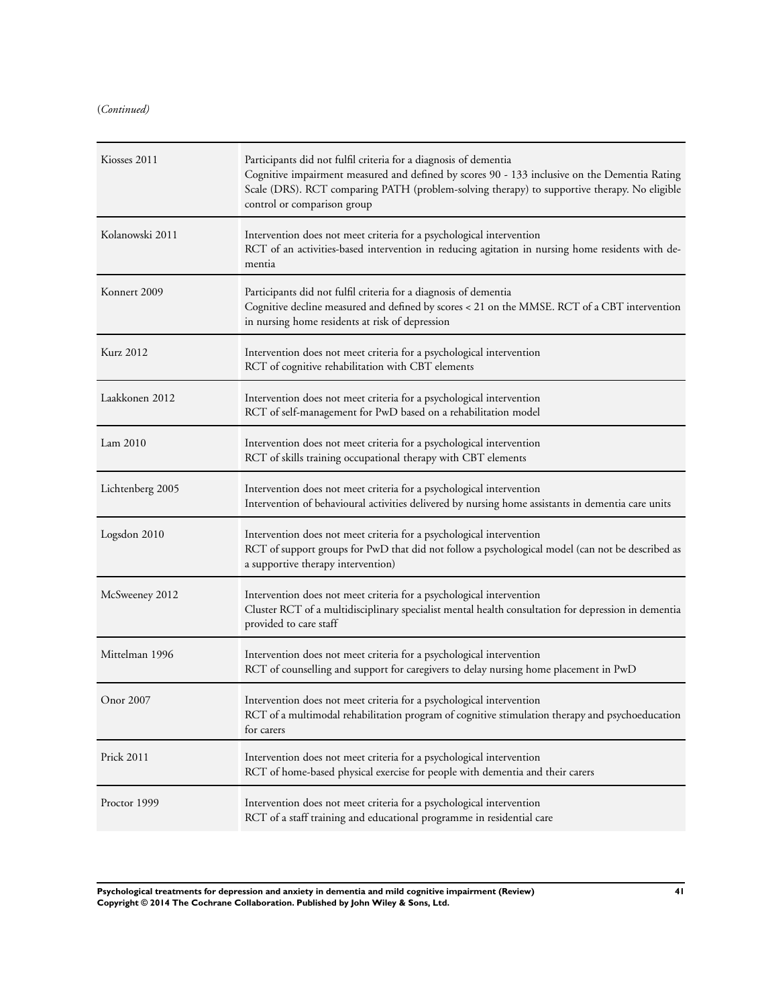| Kiosses 2011      | Participants did not fulfil criteria for a diagnosis of dementia<br>Cognitive impairment measured and defined by scores 90 - 133 inclusive on the Dementia Rating<br>Scale (DRS). RCT comparing PATH (problem-solving therapy) to supportive therapy. No eligible<br>control or comparison group |
|-------------------|--------------------------------------------------------------------------------------------------------------------------------------------------------------------------------------------------------------------------------------------------------------------------------------------------|
| Kolanowski 2011   | Intervention does not meet criteria for a psychological intervention<br>RCT of an activities-based intervention in reducing agitation in nursing home residents with de-<br>mentia                                                                                                               |
| Konnert 2009      | Participants did not fulfil criteria for a diagnosis of dementia<br>Cognitive decline measured and defined by scores < 21 on the MMSE. RCT of a CBT intervention<br>in nursing home residents at risk of depression                                                                              |
| <b>Kurz</b> 2012  | Intervention does not meet criteria for a psychological intervention<br>RCT of cognitive rehabilitation with CBT elements                                                                                                                                                                        |
| Laakkonen 2012    | Intervention does not meet criteria for a psychological intervention<br>RCT of self-management for PwD based on a rehabilitation model                                                                                                                                                           |
| Lam 2010          | Intervention does not meet criteria for a psychological intervention<br>RCT of skills training occupational therapy with CBT elements                                                                                                                                                            |
| Lichtenberg 2005  | Intervention does not meet criteria for a psychological intervention<br>Intervention of behavioural activities delivered by nursing home assistants in dementia care units                                                                                                                       |
| Logsdon 2010      | Intervention does not meet criteria for a psychological intervention<br>RCT of support groups for PwD that did not follow a psychological model (can not be described as<br>a supportive therapy intervention)                                                                                   |
| McSweeney 2012    | Intervention does not meet criteria for a psychological intervention<br>Cluster RCT of a multidisciplinary specialist mental health consultation for depression in dementia<br>provided to care staff                                                                                            |
| Mittelman 1996    | Intervention does not meet criteria for a psychological intervention<br>RCT of counselling and support for caregivers to delay nursing home placement in PwD                                                                                                                                     |
| Onor 2007         | Intervention does not meet criteria for a psychological intervention<br>RCT of a multimodal rehabilitation program of cognitive stimulation therapy and psychoeducation<br>for carers                                                                                                            |
| <b>Prick 2011</b> | Intervention does not meet criteria for a psychological intervention<br>RCT of home-based physical exercise for people with dementia and their carers                                                                                                                                            |
| Proctor 1999      | Intervention does not meet criteria for a psychological intervention<br>RCT of a staff training and educational programme in residential care                                                                                                                                                    |

**Psychological treatments for depression and anxiety in dementia and mild cognitive impairment (Review) 41 Copyright © 2014 The Cochrane Collaboration. Published by John Wiley & Sons, Ltd.**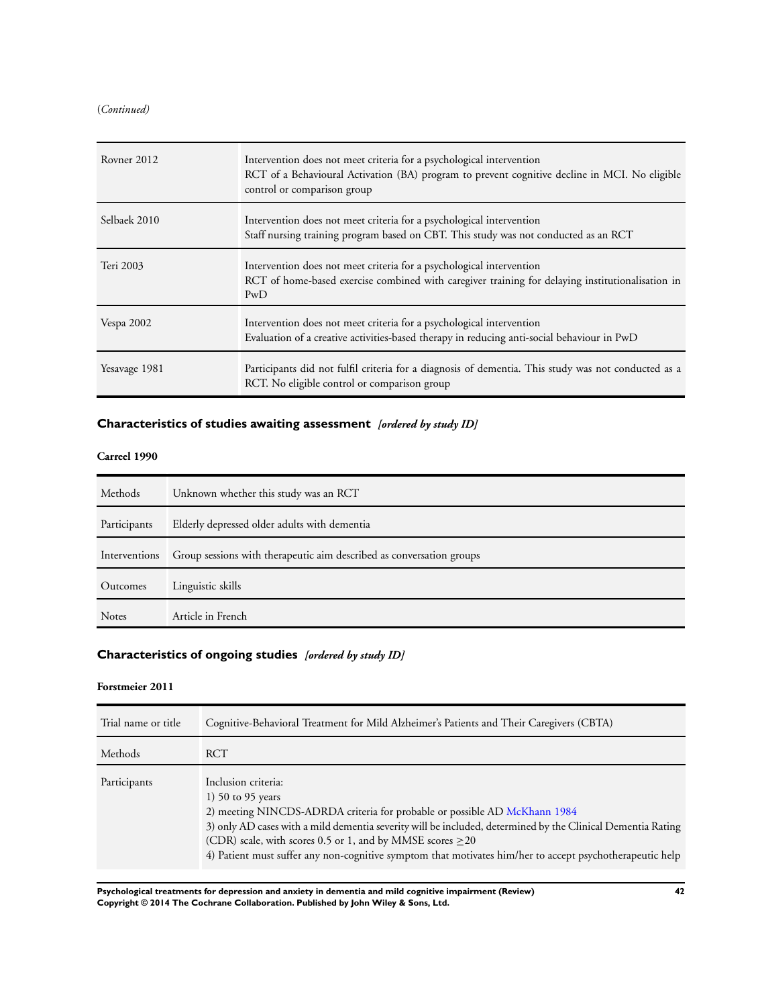<span id="page-43-0"></span>(*Continued)*

| Rovner 2012   | Intervention does not meet criteria for a psychological intervention<br>RCT of a Behavioural Activation (BA) program to prevent cognitive decline in MCI. No eligible<br>control or comparison group |
|---------------|------------------------------------------------------------------------------------------------------------------------------------------------------------------------------------------------------|
| Selbaek 2010  | Intervention does not meet criteria for a psychological intervention<br>Staff nursing training program based on CBT. This study was not conducted as an RCT                                          |
| Teri 2003     | Intervention does not meet criteria for a psychological intervention<br>RCT of home-based exercise combined with caregiver training for delaying institutionalisation in<br>PwD                      |
| Vespa 2002    | Intervention does not meet criteria for a psychological intervention<br>Evaluation of a creative activities-based therapy in reducing anti-social behaviour in PwD                                   |
| Yesavage 1981 | Participants did not fulfil criteria for a diagnosis of dementia. This study was not conducted as a<br>RCT. No eligible control or comparison group                                                  |

# **Characteristics of studies awaiting assessment** *[ordered by study ID]*

**Carreel 1990**

| Methods       | Unknown whether this study was an RCT                                |
|---------------|----------------------------------------------------------------------|
| Participants  | Elderly depressed older adults with dementia                         |
| Interventions | Group sessions with therapeutic aim described as conversation groups |
| Outcomes      | Linguistic skills                                                    |
| <b>Notes</b>  | Article in French                                                    |

## **Characteristics of ongoing studies** *[ordered by study ID]*

### **Forstmeier 2011**

| Trial name or title | Cognitive-Behavioral Treatment for Mild Alzheimer's Patients and Their Caregivers (CBTA)                                                                                                                                                                                                                                                                                                                            |
|---------------------|---------------------------------------------------------------------------------------------------------------------------------------------------------------------------------------------------------------------------------------------------------------------------------------------------------------------------------------------------------------------------------------------------------------------|
| Methods             | RCT                                                                                                                                                                                                                                                                                                                                                                                                                 |
| Participants        | Inclusion criteria:<br>1) 50 to 95 years<br>2) meeting NINCDS-ADRDA criteria for probable or possible AD McKhann 1984<br>3) only AD cases with a mild dementia severity will be included, determined by the Clinical Dementia Rating<br>(CDR) scale, with scores 0.5 or 1, and by MMSE scores $\geq$ 20<br>4) Patient must suffer any non-cognitive symptom that motivates him/her to accept psychotherapeutic help |

**Psychological treatments for depression and anxiety in dementia and mild cognitive impairment (Review) 42 Copyright © 2014 The Cochrane Collaboration. Published by John Wiley & Sons, Ltd.**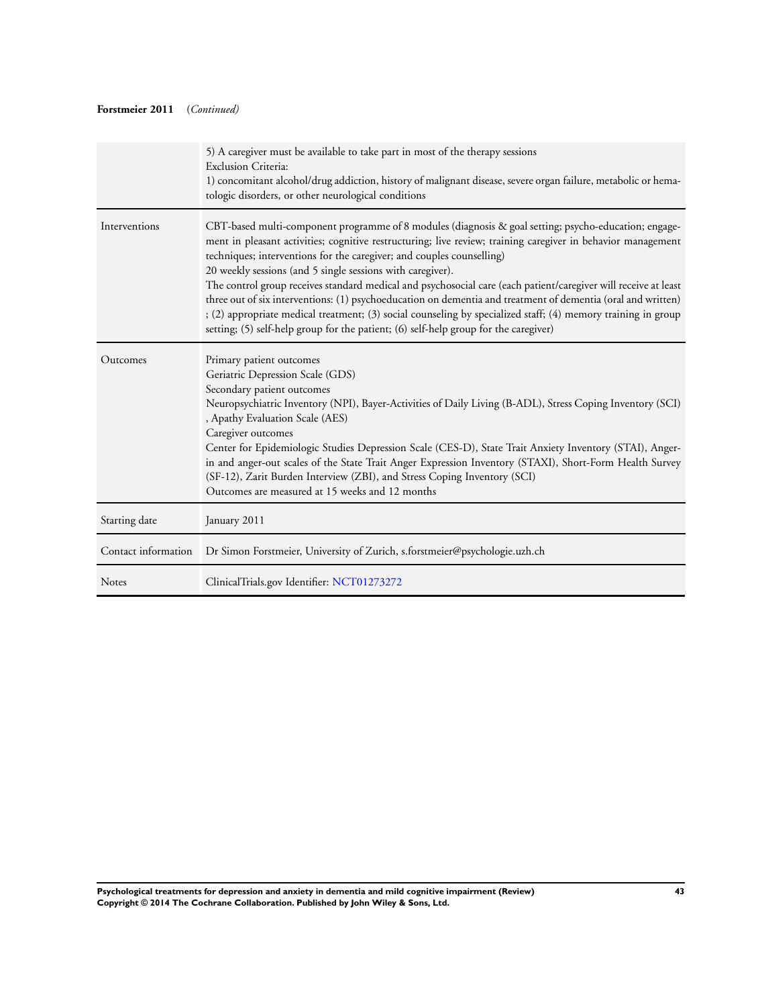### **Forstmeier 2011** (*Continued)*

|                     | 5) A caregiver must be available to take part in most of the therapy sessions<br><b>Exclusion Criteria:</b><br>1) concomitant alcohol/drug addiction, history of malignant disease, severe organ failure, metabolic or hema-<br>tologic disorders, or other neurological conditions                                                                                                                                                                                                                                                                                                                                                                                                                                                                                                                      |
|---------------------|----------------------------------------------------------------------------------------------------------------------------------------------------------------------------------------------------------------------------------------------------------------------------------------------------------------------------------------------------------------------------------------------------------------------------------------------------------------------------------------------------------------------------------------------------------------------------------------------------------------------------------------------------------------------------------------------------------------------------------------------------------------------------------------------------------|
| Interventions       | CBT-based multi-component programme of 8 modules (diagnosis & goal setting; psycho-education; engage-<br>ment in pleasant activities; cognitive restructuring; live review; training caregiver in behavior management<br>techniques; interventions for the caregiver; and couples counselling)<br>20 weekly sessions (and 5 single sessions with caregiver).<br>The control group receives standard medical and psychosocial care (each patient/caregiver will receive at least<br>three out of six interventions: (1) psychoeducation on dementia and treatment of dementia (oral and written)<br>; (2) appropriate medical treatment; (3) social counseling by specialized staff; (4) memory training in group<br>setting; (5) self-help group for the patient; (6) self-help group for the caregiver) |
| Outcomes            | Primary patient outcomes<br>Geriatric Depression Scale (GDS)<br>Secondary patient outcomes<br>Neuropsychiatric Inventory (NPI), Bayer-Activities of Daily Living (B-ADL), Stress Coping Inventory (SCI)<br>, Apathy Evaluation Scale (AES)<br>Caregiver outcomes<br>Center for Epidemiologic Studies Depression Scale (CES-D), State Trait Anxiety Inventory (STAI), Anger-<br>in and anger-out scales of the State Trait Anger Expression Inventory (STAXI), Short-Form Health Survey<br>(SF-12), Zarit Burden Interview (ZBI), and Stress Coping Inventory (SCI)<br>Outcomes are measured at 15 weeks and 12 months                                                                                                                                                                                    |
| Starting date       | January 2011                                                                                                                                                                                                                                                                                                                                                                                                                                                                                                                                                                                                                                                                                                                                                                                             |
| Contact information | Dr Simon Forstmeier, University of Zurich, s.forstmeier@psychologie.uzh.ch                                                                                                                                                                                                                                                                                                                                                                                                                                                                                                                                                                                                                                                                                                                               |
| <b>Notes</b>        | ClinicalTrials.gov Identifier: NCT01273272                                                                                                                                                                                                                                                                                                                                                                                                                                                                                                                                                                                                                                                                                                                                                               |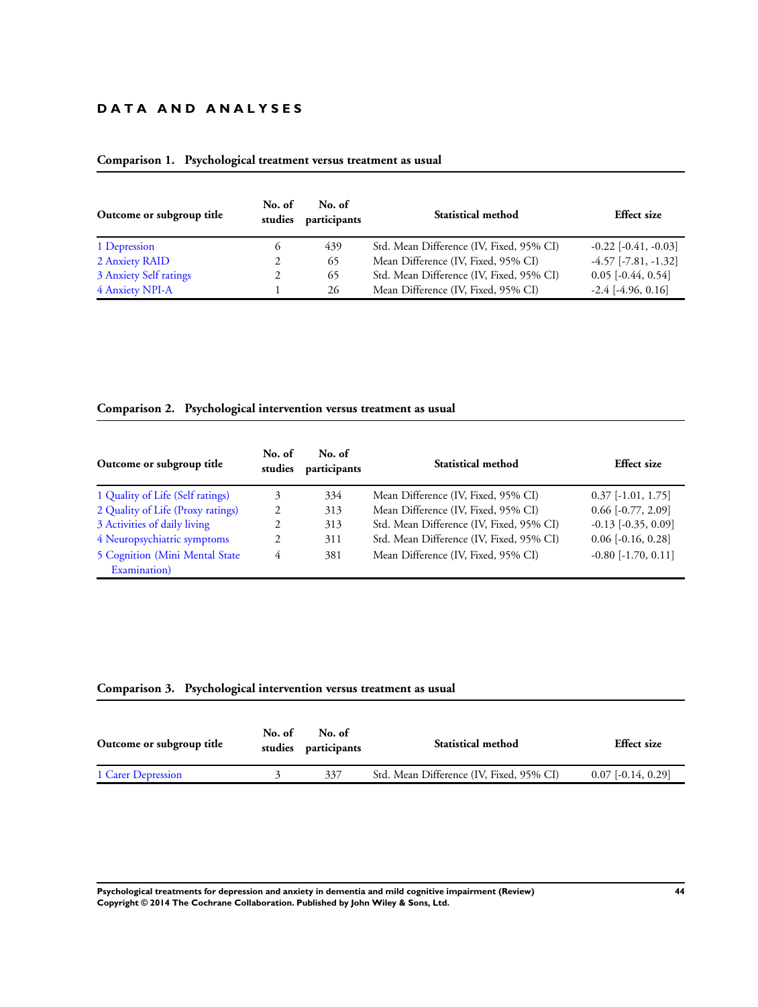### **D A T A A N D A N A L Y S E S**

| Outcome or subgroup title | No. of<br>studies | No. of<br>participants | <b>Statistical method</b>                | <b>Effect</b> size            |
|---------------------------|-------------------|------------------------|------------------------------------------|-------------------------------|
| 1 Depression              | $\mathfrak{g}$    | 439                    | Std. Mean Difference (IV, Fixed, 95% CI) | $-0.22$ $[-0.41, -0.03]$      |
| 2 Anxiety RAID            | 2                 | 65                     | Mean Difference (IV, Fixed, 95% CI)      | $-4.57$ [ $-7.81$ , $-1.32$ ] |
| 3 Anxiety Self ratings    | 2                 | 65                     | Std. Mean Difference (IV, Fixed, 95% CI) | $0.05$ [-0.44, 0.54]          |
| 4 Anxiety NPI-A           |                   | 26                     | Mean Difference (IV, Fixed, 95% CI)      | $-2.4$ [ $-4.96$ , 0.16]      |

### **Comparison 1. Psychological treatment versus treatment as usual**

### **Comparison 2. Psychological intervention versus treatment as usual**

| Outcome or subgroup title                       | No. of<br>studies | No. of<br>participants | Statistical method                       | <b>Effect</b> size           |
|-------------------------------------------------|-------------------|------------------------|------------------------------------------|------------------------------|
| 1 Quality of Life (Self ratings)                | 3                 | 334                    | Mean Difference (IV, Fixed, 95% CI)      | $0.37$ [-1.01, 1.75]         |
| 2 Quality of Life (Proxy ratings)               | ∍                 | 313                    | Mean Difference (IV, Fixed, 95% CI)      | $0.66$ [-0.77, 2.09]         |
| 3 Activities of daily living                    | າ                 | 313                    | Std. Mean Difference (IV, Fixed, 95% CI) | $-0.13$ $[-0.35, 0.09]$      |
| 4 Neuropsychiatric symptoms                     | 2                 | 311                    | Std. Mean Difference (IV, Fixed, 95% CI) | $0.06$ [-0.16, 0.28]         |
| 5 Cognition (Mini Mental State)<br>Examination) | 4                 | 381                    | Mean Difference (IV, Fixed, 95% CI)      | $-0.80$ [ $-1.70$ , $0.11$ ] |

### **Comparison 3. Psychological intervention versus treatment as usual**

| Outcome or subgroup title | No. of | No. of<br>studies participants | <b>Statistical method</b>                | <b>Effect</b> size   |
|---------------------------|--------|--------------------------------|------------------------------------------|----------------------|
| 1 Carer Depression        |        | 337                            | Std. Mean Difference (IV, Fixed, 95% CI) | $0.07$ [-0.14, 0.29] |

**Psychological treatments for depression and anxiety in dementia and mild cognitive impairment (Review) 44 Copyright © 2014 The Cochrane Collaboration. Published by John Wiley & Sons, Ltd.**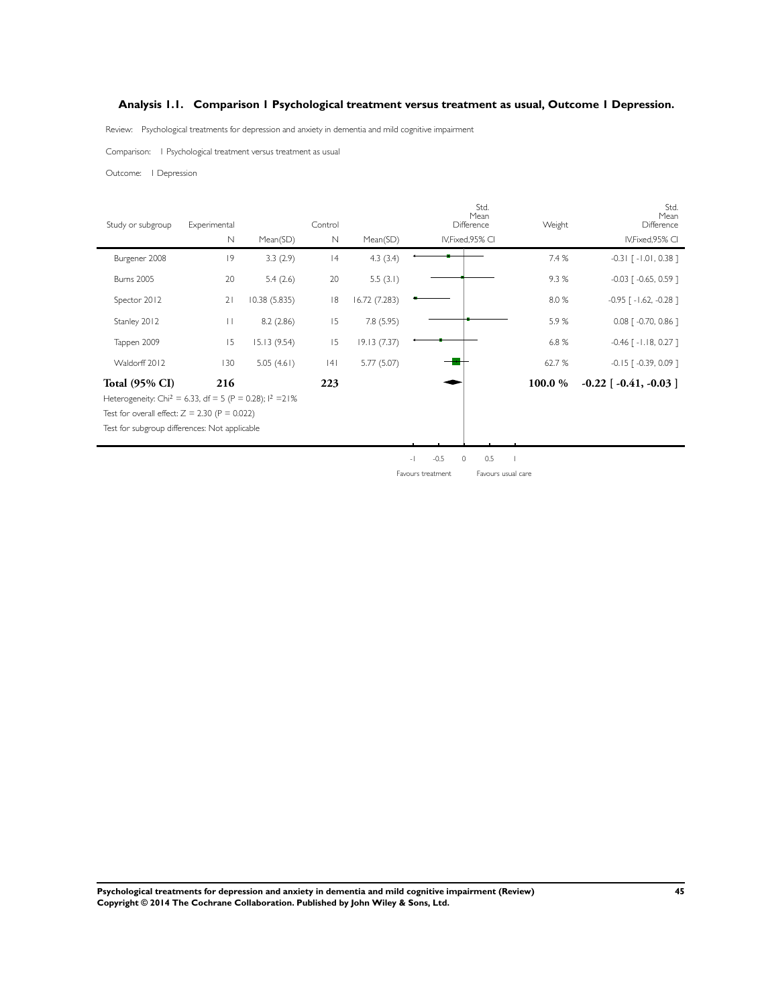### <span id="page-46-0"></span>**Analysis 1.1. Comparison 1 Psychological treatment versus treatment as usual, Outcome 1 Depression.**

Review: Psychological treatments for depression and anxiety in dementia and mild cognitive impairment

Comparison: 1 Psychological treatment versus treatment as usual

Outcome: 1 Depression

| Study or subgroup                                                      | Experimental |              | Control     |               | Std.<br>Mean<br>Difference       | Weight | Std.<br>Mean<br>Difference           |
|------------------------------------------------------------------------|--------------|--------------|-------------|---------------|----------------------------------|--------|--------------------------------------|
|                                                                        | N            | Mean(SD)     | $\mathbb N$ | Mean(SD)      | IV, Fixed, 95% CI                |        | IV, Fixed, 95% CI                    |
| Burgener 2008                                                          | 9            | 3.3(2.9)     | 4           | 4.3(3.4)      |                                  | 7.4 %  | $-0.3$   $[-1.01, 0.38]$             |
| <b>Burns 2005</b>                                                      | 20           | 5.4(2.6)     | 20          | 5.5(3.1)      |                                  | 9.3%   | $-0.03$ [ $-0.65$ , 0.59]            |
| Spector 2012                                                           | 21           | 10.38(5.835) | 8           | 16.72 (7.283) |                                  | 8.0 %  | $-0.95$ $\lceil -1.62, -0.28 \rceil$ |
| Stanley 2012                                                           | $\mathbf{H}$ | 8.2(2.86)    | 15          | 7.8(5.95)     |                                  | 5.9%   | $0.08$ $\lceil -0.70, 0.86 \rceil$   |
| Tappen 2009                                                            | 15           | 15.13(9.54)  | 15          | 19.13(7.37)   |                                  | 6.8%   | $-0.46$ $\lceil -1.18, 0.27 \rceil$  |
| Waldorff 2012                                                          | 130          | 5.05(4.61)   | 4           | 5.77 (5.07)   |                                  | 62.7 % | $-0.15$ $\lceil -0.39, 0.09 \rceil$  |
| <b>Total (95% CI)</b>                                                  | 216          |              | 223         |               |                                  | 100.0% | $-0.22$ [ $-0.41, -0.03$ ]           |
| Heterogeneity: Chi <sup>2</sup> = 6.33, df = 5 (P = 0.28); $1^2$ = 21% |              |              |             |               |                                  |        |                                      |
| Test for overall effect: $Z = 2.30$ (P = 0.022)                        |              |              |             |               |                                  |        |                                      |
| Test for subgroup differences: Not applicable                          |              |              |             |               |                                  |        |                                      |
|                                                                        |              |              |             |               |                                  |        |                                      |
|                                                                        |              |              |             |               | $-0.5$<br>0.5<br>$\circ$<br>$-1$ |        |                                      |

Favours treatment Favours usual care

**Psychological treatments for depression and anxiety in dementia and mild cognitive impairment (Review) 45 Copyright © 2014 The Cochrane Collaboration. Published by John Wiley & Sons, Ltd.**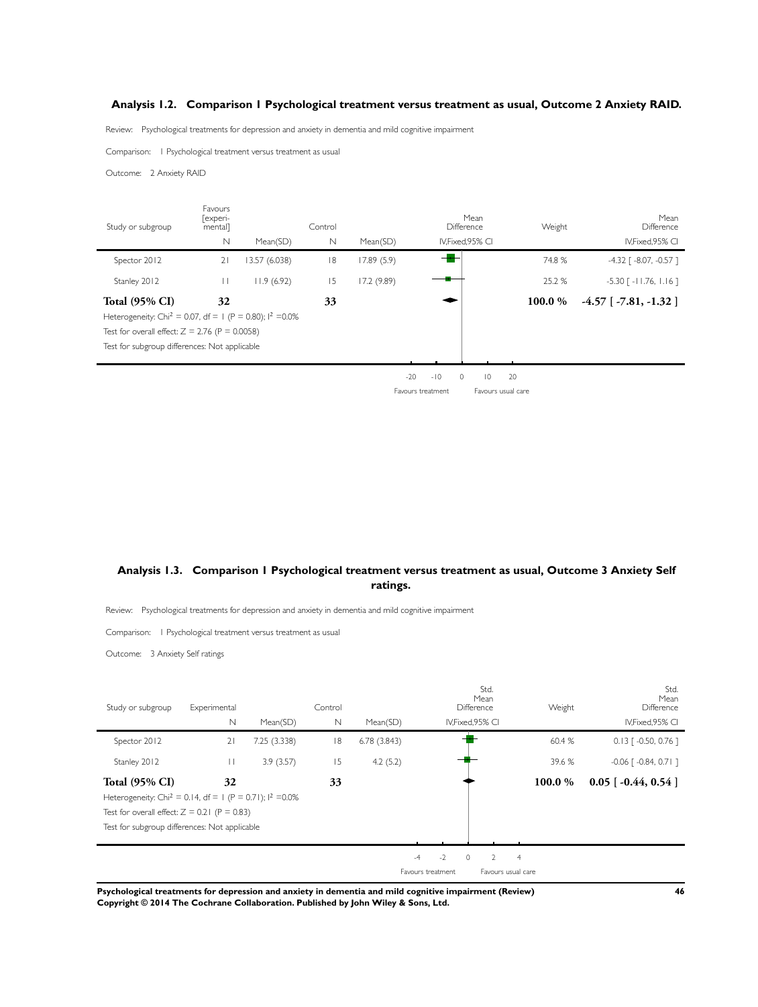### <span id="page-47-0"></span>**Analysis 1.2. Comparison 1 Psychological treatment versus treatment as usual, Outcome 2 Anxiety RAID.**

Review: Psychological treatments for depression and anxiety in dementia and mild cognitive impairment

Comparison: 1 Psychological treatment versus treatment as usual

Outcome: 2 Anxiety RAID

| Study or subgroup                                                       | Favours<br>Fexperi-<br>mental |               | Control |             |                           | Mean<br>Difference | Weight  | Mean<br>Difference            |  |  |  |                   |
|-------------------------------------------------------------------------|-------------------------------|---------------|---------|-------------|---------------------------|--------------------|---------|-------------------------------|--|--|--|-------------------|
|                                                                         | $\mathbb N$                   | Mean(SD)      | N       | Mean(SD)    |                           | IV, Fixed, 95% CI  |         |                               |  |  |  | IV, Fixed, 95% CI |
| Spector 2012                                                            | 21                            | 13.57 (6.038) | 18      | 17.89(5.9)  |                           |                    | 74.8%   | $-4.32$ [ $-8.07$ , $-0.57$ ] |  |  |  |                   |
| Stanley 2012                                                            | $\perp$                       | 11.9(6.92)    | 15      | 17.2 (9.89) |                           |                    | 25.2 %  | $-5.30$ [ $-11.76$ , $1.16$ ] |  |  |  |                   |
| <b>Total (95% CI)</b>                                                   | 32                            |               | 33      |             |                           |                    | 100.0 % | $-4.57$ [ $-7.81, -1.32$ ]    |  |  |  |                   |
| Heterogeneity: Chi <sup>2</sup> = 0.07, df = 1 (P = 0.80); $1^2$ = 0.0% |                               |               |         |             |                           |                    |         |                               |  |  |  |                   |
| Test for overall effect: $Z = 2.76$ (P = 0.0058)                        |                               |               |         |             |                           |                    |         |                               |  |  |  |                   |
| Test for subgroup differences: Not applicable                           |                               |               |         |             |                           |                    |         |                               |  |  |  |                   |
|                                                                         |                               |               |         |             |                           |                    |         |                               |  |  |  |                   |
|                                                                         |                               |               |         |             | $-20$<br>$-10$<br>$\circ$ | $\overline{0}$     | 20      |                               |  |  |  |                   |

Favours treatment Favours usual care

### **Analysis 1.3. Comparison 1 Psychological treatment versus treatment as usual, Outcome 3 Anxiety Self ratings.**

Review: Psychological treatments for depression and anxiety in dementia and mild cognitive impairment

Comparison: 1 Psychological treatment versus treatment as usual

Outcome: 3 Anxiety Self ratings

| Study or subgroup                                                                               | Experimental |              | Control     |              |      |                   | Mean<br>Difference | Std.               | Weight         | Std.<br>Mean<br>Difference          |
|-------------------------------------------------------------------------------------------------|--------------|--------------|-------------|--------------|------|-------------------|--------------------|--------------------|----------------|-------------------------------------|
|                                                                                                 | N            | Mean(SD)     | $\mathbb N$ | Mean(SD)     |      |                   | IV, Fixed, 95% CI  |                    |                | IV, Fixed, 95% CI                   |
| Spector 2012                                                                                    | 21           | 7.25 (3.338) | 8           | 6.78 (3.843) |      |                   |                    |                    | 60.4 %         | $0.13$ [ -0.50, 0.76 ]              |
| Stanley 2012                                                                                    | $\perp$      | 3.9(3.57)    | 15          | 4.2(5.2)     |      |                   |                    |                    | 39.6 %         | $-0.06$ $\lceil -0.84, 0.71 \rceil$ |
| <b>Total (95% CI)</b><br>Heterogeneity: Chi <sup>2</sup> = 0.14, df = 1 (P = 0.71); $1^2$ =0.0% | 32           |              | 33          |              |      |                   |                    |                    | 100.0 %        | $0.05$ [ -0.44, 0.54 ]              |
| Test for overall effect: $Z = 0.21$ (P = 0.83)                                                  |              |              |             |              |      |                   |                    |                    |                |                                     |
| Test for subgroup differences: Not applicable                                                   |              |              |             |              |      |                   |                    |                    |                |                                     |
|                                                                                                 |              |              |             |              |      |                   |                    |                    |                |                                     |
|                                                                                                 |              |              |             |              | $-4$ | $-2$              | $\circ$            | $\mathcal{D}$      | $\overline{4}$ |                                     |
|                                                                                                 |              |              |             |              |      | Favours treatment |                    | Favours usual care |                |                                     |

**Psychological treatments for depression and anxiety in dementia and mild cognitive impairment (Review) 46 Copyright © 2014 The Cochrane Collaboration. Published by John Wiley & Sons, Ltd.**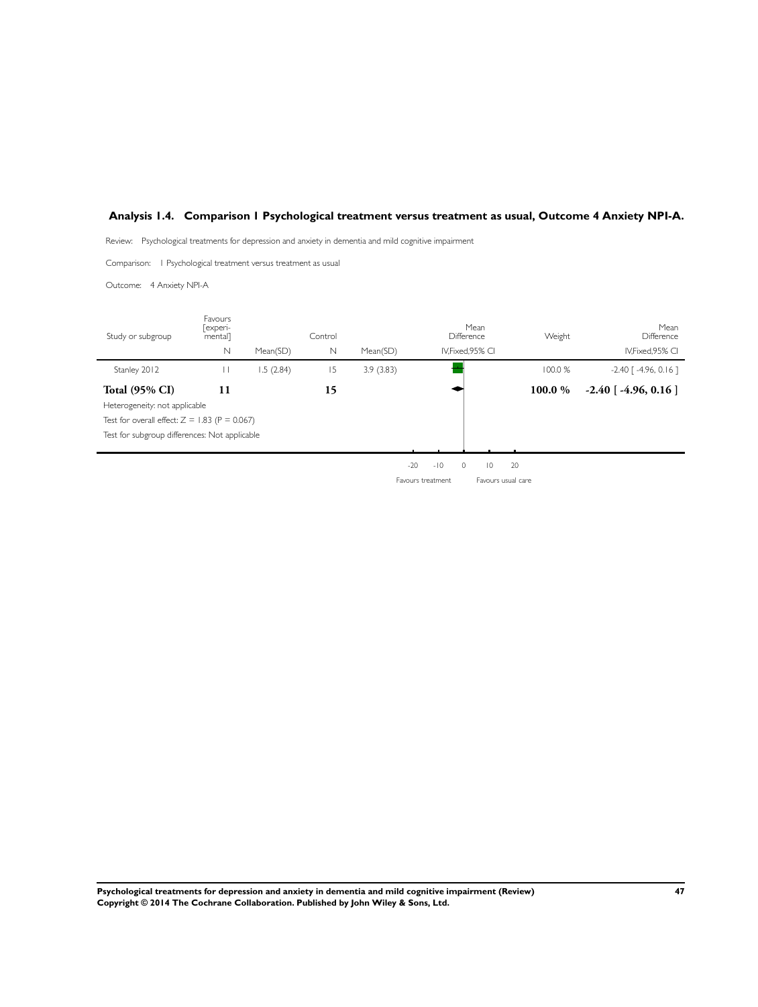### <span id="page-48-0"></span>**Analysis 1.4. Comparison 1 Psychological treatment versus treatment as usual, Outcome 4 Anxiety NPI-A.**

Review: Psychological treatments for depression and anxiety in dementia and mild cognitive impairment

Comparison: 1 Psychological treatment versus treatment as usual

Outcome: 4 Anxiety NPI-A

| Study or subgroup                               | Favours<br>[experi-<br>mental |           | Control |           |       |                   | Difference | Mean               |    | Weight  | Mean<br>Difference         |
|-------------------------------------------------|-------------------------------|-----------|---------|-----------|-------|-------------------|------------|--------------------|----|---------|----------------------------|
|                                                 | $\mathbb N$                   | Mean(SD)  | N       | Mean(SD)  |       |                   |            | IV, Fixed, 95% CI  |    |         | IV, Fixed, 95% CI          |
| Stanley 2012                                    | $\perp$                       | 1.5(2.84) | 15      | 3.9(3.83) |       |                   |            |                    |    | 100.0%  | $-2.40$ $[-4.96, 0.16]$    |
| <b>Total (95% CI)</b>                           | 11                            |           | 15      |           |       |                   |            |                    |    | 100.0 % | $-2.40$ [ $-4.96$ , 0.16 ] |
| Heterogeneity: not applicable                   |                               |           |         |           |       |                   |            |                    |    |         |                            |
| Test for overall effect: $Z = 1.83$ (P = 0.067) |                               |           |         |           |       |                   |            |                    |    |         |                            |
| Test for subgroup differences: Not applicable   |                               |           |         |           |       |                   |            |                    |    |         |                            |
|                                                 |                               |           |         |           |       |                   |            |                    |    |         |                            |
|                                                 |                               |           |         |           | $-20$ | $-10$             | $\Omega$   | $\overline{0}$     | 20 |         |                            |
|                                                 |                               |           |         |           |       | Favours treatment |            | Favours usual care |    |         |                            |

**Psychological treatments for depression and anxiety in dementia and mild cognitive impairment (Review) 47 Copyright © 2014 The Cochrane Collaboration. Published by John Wiley & Sons, Ltd.**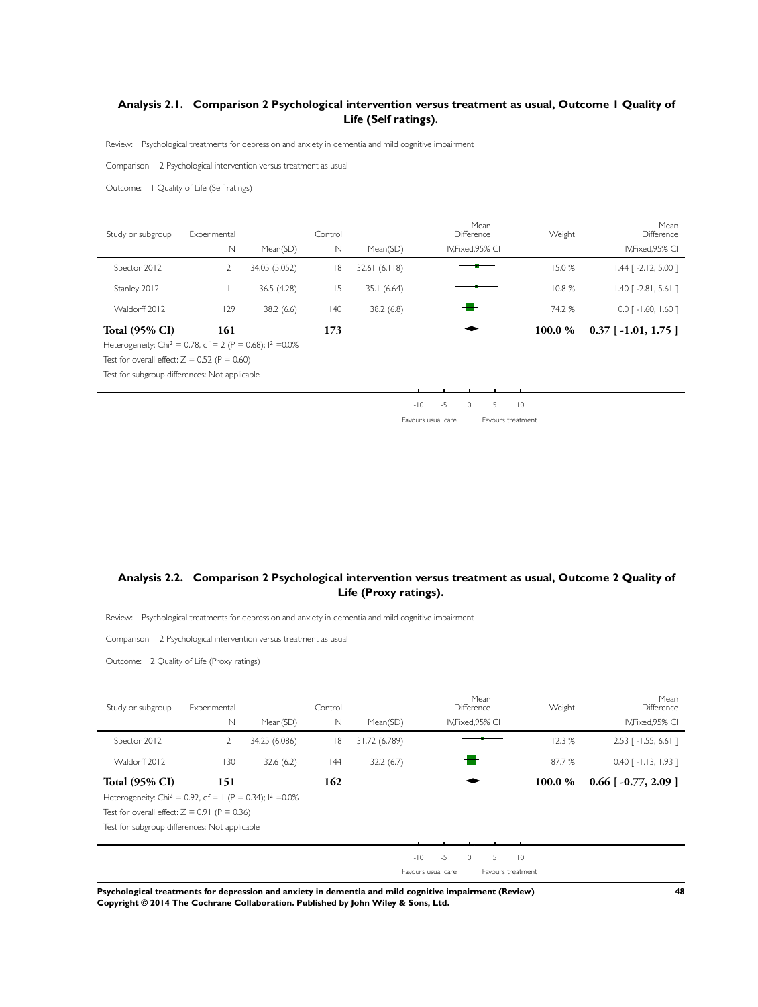### <span id="page-49-0"></span>**Analysis 2.1. Comparison 2 Psychological intervention versus treatment as usual, Outcome 1 Quality of Life (Self ratings).**

Review: Psychological treatments for depression and anxiety in dementia and mild cognitive impairment

Comparison: 2 Psychological intervention versus treatment as usual

Outcome: 1 Quality of Life (Self ratings)

l.

| Study or subgroup                                                                                                                                           | Experimental |               | Control     |              |       |      | Mean<br>Difference |             | Weight | Mean<br>Difference                 |
|-------------------------------------------------------------------------------------------------------------------------------------------------------------|--------------|---------------|-------------|--------------|-------|------|--------------------|-------------|--------|------------------------------------|
|                                                                                                                                                             | $\mathbb N$  | Mean(SD)      | $\mathbb N$ | Mean(SD)     |       |      | IV, Fixed, 95% CI  |             |        | IV, Fixed, 95% CI                  |
| Spector 2012                                                                                                                                                | 21           | 34.05 (5.052) | 8           | 32.61(6.118) |       |      |                    |             | 15.0%  | $1.44$ [ -2.12, 5.00 ]             |
| Stanley 2012                                                                                                                                                | П            | 36.5 (4.28)   | 15          | 35.1(6.64)   |       |      |                    |             | 10.8%  | $1.40$ $\lceil -2.81, 5.61 \rceil$ |
| Waldorff 2012                                                                                                                                               | 129          | 38.2(6.6)     | 140         | 38.2(6.8)    |       |      |                    |             | 74.2 % | $0.0$ $\lceil -1.60, 1.60 \rceil$  |
| <b>Total (95% CI)</b><br>Heterogeneity: Chi <sup>2</sup> = 0.78, df = 2 (P = 0.68); l <sup>2</sup> = 0.0%<br>Test for overall effect: $Z = 0.52$ (P = 0.60) | 161          |               | 173         |              |       |      |                    |             | 100.0% | $0.37$ [ -1.01, 1.75 ]             |
| Test for subgroup differences: Not applicable                                                                                                               |              |               |             |              |       |      |                    |             |        |                                    |
|                                                                                                                                                             |              |               |             |              | $-10$ | $-5$ | 5<br>$\Omega$      | $ 0\rangle$ |        |                                    |

Favours usual care Favours treatment

### **Analysis 2.2. Comparison 2 Psychological intervention versus treatment as usual, Outcome 2 Quality of Life (Proxy ratings).**

Review: Psychological treatments for depression and anxiety in dementia and mild cognitive impairment

Comparison: 2 Psychological intervention versus treatment as usual

Outcome: 2 Quality of Life (Proxy ratings)

| Study or subgroup                                                      | Experimental |               | Control     |               |                    | Mean<br>Difference | Weight         | Mean<br>Difference          |
|------------------------------------------------------------------------|--------------|---------------|-------------|---------------|--------------------|--------------------|----------------|-----------------------------|
|                                                                        | $\mathsf{N}$ | Mean(SD)      | $\mathbb N$ | Mean(SD)      |                    | IV, Fixed, 95% CI  |                | IV, Fixed, 95% CI           |
| Spector 2012                                                           | 21           | 34.25 (6.086) | 18          | 31.72 (6.789) |                    |                    | 12.3%          | $2.53$ [ $-1.55$ , 6.61]    |
| Waldorff 2012                                                          | 130          | 32.6(6.2)     | 144         | 32.2(6.7)     |                    |                    | 87.7 %         | $0.40$ [ $-1.13$ , $1.93$ ] |
| <b>Total (95% CI)</b>                                                  | 151          |               | 162         |               |                    |                    | 100.0 %        | $0.66$ [ -0.77, 2.09 ]      |
| Heterogeneity: Chi <sup>2</sup> = 0.92, df = 1 (P = 0.34); $1^2$ =0.0% |              |               |             |               |                    |                    |                |                             |
| Test for overall effect: $Z = 0.91$ (P = 0.36)                         |              |               |             |               |                    |                    |                |                             |
| Test for subgroup differences: Not applicable                          |              |               |             |               |                    |                    |                |                             |
|                                                                        |              |               |             |               |                    |                    |                |                             |
|                                                                        |              |               |             |               | $-5$<br>$-10$      | 5<br>$\Omega$      | $\overline{0}$ |                             |
|                                                                        |              |               |             |               | Favours usual care | Favours treatment  |                |                             |

**Psychological treatments for depression and anxiety in dementia and mild cognitive impairment (Review) 48 Copyright © 2014 The Cochrane Collaboration. Published by John Wiley & Sons, Ltd.**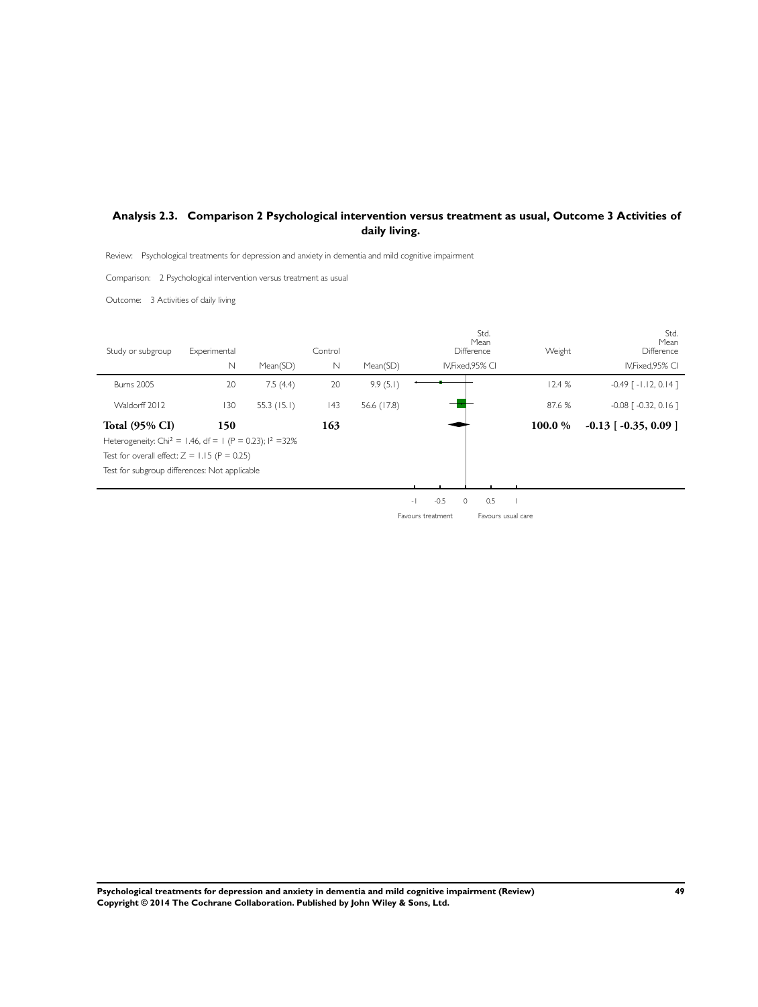### <span id="page-50-0"></span>**Analysis 2.3. Comparison 2 Psychological intervention versus treatment as usual, Outcome 3 Activities of daily living.**

Review: Psychological treatments for depression and anxiety in dementia and mild cognitive impairment

Comparison: 2 Psychological intervention versus treatment as usual

Outcome: 3 Activities of daily living

| Study or subgroup                                                                                                                                                                                 | Experimental<br>$\mathbb N$ | Mean(SD)      | Control<br>$\mathbb N$ | Mean(SD)    | Std.<br>Mean<br>Difference<br>IV.Fixed.95% CI         | Weight  | Std.<br>Mean<br>Difference<br>IV, Fixed, 95% CI |
|---------------------------------------------------------------------------------------------------------------------------------------------------------------------------------------------------|-----------------------------|---------------|------------------------|-------------|-------------------------------------------------------|---------|-------------------------------------------------|
| <b>Burns 2005</b>                                                                                                                                                                                 | 20                          | 7.5(4.4)      | 20                     | 9.9(5.1)    |                                                       | 12.4%   | $-0.49$ $[-1.12, 0.14]$                         |
| Waldorff 2012                                                                                                                                                                                     | 130                         | $55.3$ (15.1) | 43                     | 56.6 (17.8) |                                                       | 87.6 %  | $-0.08$ $\lceil -0.32, 0.16 \rceil$             |
| <b>Total (95% CI)</b><br>Heterogeneity: Chi <sup>2</sup> = 1.46, df = 1 (P = 0.23); $1^2$ =32%<br>Test for overall effect: $Z = 1.15$ (P = 0.25)<br>Test for subgroup differences: Not applicable | 150                         |               | 163                    |             | 0.5<br>$-0.5$<br>$\Omega$<br>$\overline{\phantom{a}}$ | 100.0 % | $-0.13$ [ $-0.35$ , 0.09 ]                      |

Favours treatment Favours usual care

**Psychological treatments for depression and anxiety in dementia and mild cognitive impairment (Review) 49 Copyright © 2014 The Cochrane Collaboration. Published by John Wiley & Sons, Ltd.**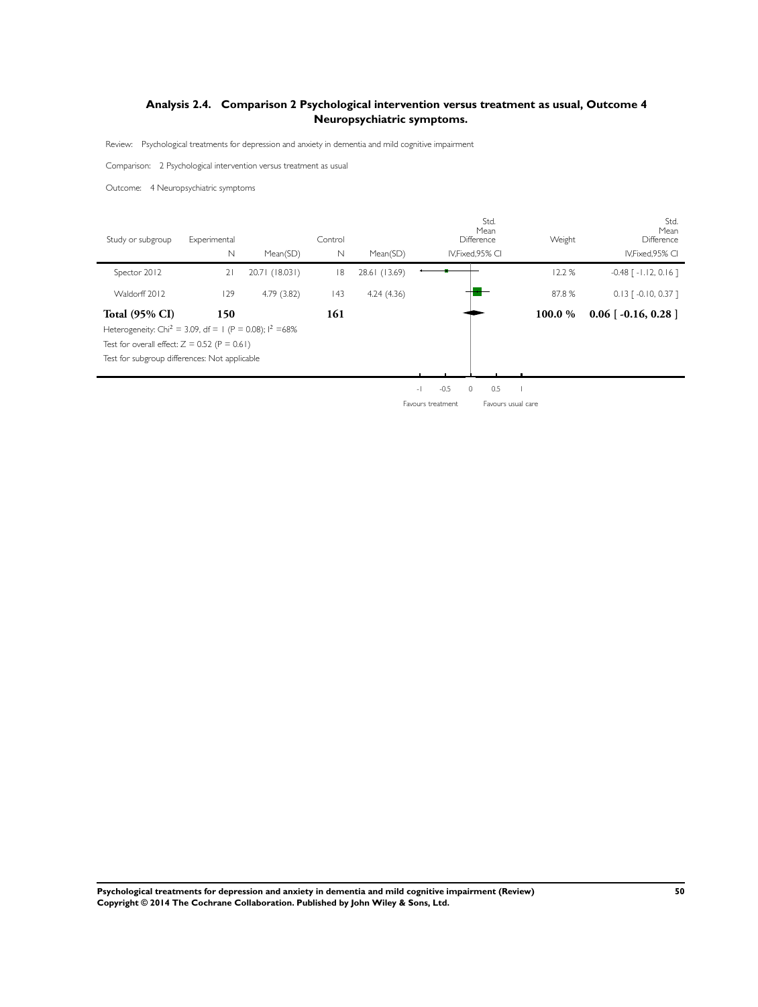### **Analysis 2.4. Comparison 2 Psychological intervention versus treatment as usual, Outcome 4 Neuropsychiatric symptoms.**

<span id="page-51-0"></span>Review: Psychological treatments for depression and anxiety in dementia and mild cognitive impairment

Comparison: 2 Psychological intervention versus treatment as usual

Outcome: 4 Neuropsychiatric symptoms

| Study or subgroup                                                                                                                                                                                 | Experimental<br>$\mathbb N$ | Mean(SD)       | Control<br>$\mathbb N$ | Mean(SD)      |                                    | Std.<br>Mean<br>Difference<br>IV, Fixed, 95% CI | Weight | Std.<br>Mean<br>Difference<br>IV, Fixed, 95% CI |
|---------------------------------------------------------------------------------------------------------------------------------------------------------------------------------------------------|-----------------------------|----------------|------------------------|---------------|------------------------------------|-------------------------------------------------|--------|-------------------------------------------------|
| Spector 2012                                                                                                                                                                                      | 21                          | 20.71 (18.031) | 8                      | 28.61 (13.69) |                                    |                                                 | 12.2%  | $-0.48$ $[-1.12, 0.16]$                         |
| Waldorff 2012                                                                                                                                                                                     | 129                         | 4.79(3.82)     | 43                     | 4.24(4.36)    |                                    |                                                 | 87.8%  | $0.13$ $\lceil -0.10, 0.37 \rceil$              |
| <b>Total (95% CI)</b><br>Heterogeneity: Chi <sup>2</sup> = 3.09, df = 1 (P = 0.08); $1^2$ =68%<br>Test for overall effect: $Z = 0.52$ (P = 0.61)<br>Test for subgroup differences: Not applicable | 150                         |                | 161                    |               |                                    |                                                 | 100.0% | $0.06$ [ -0.16, 0.28 ]                          |
|                                                                                                                                                                                                   |                             |                |                        |               | $-0.5$<br>$\overline{\phantom{a}}$ | 0.5<br>$\Omega$                                 |        |                                                 |

Favours treatment Favours usual care

**Psychological treatments for depression and anxiety in dementia and mild cognitive impairment (Review) 50 Copyright © 2014 The Cochrane Collaboration. Published by John Wiley & Sons, Ltd.**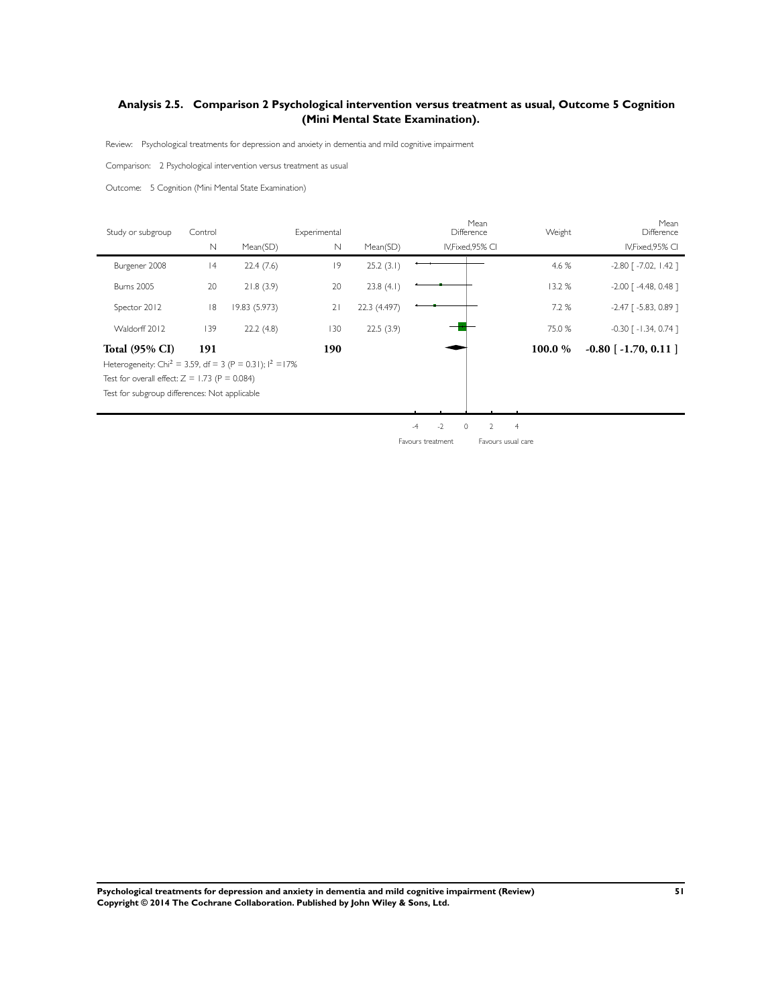### <span id="page-52-0"></span>**Analysis 2.5. Comparison 2 Psychological intervention versus treatment as usual, Outcome 5 Cognition (Mini Mental State Examination).**

Review: Psychological treatments for depression and anxiety in dementia and mild cognitive impairment

Comparison: 2 Psychological intervention versus treatment as usual

Outcome: 5 Cognition (Mini Mental State Examination)

| Study or subgroup                                                      | Control     |               | Experimental |              | Mean<br>Difference                        | Weight             | Mean<br>Difference                  |
|------------------------------------------------------------------------|-------------|---------------|--------------|--------------|-------------------------------------------|--------------------|-------------------------------------|
|                                                                        | $\mathbb N$ | Mean(SD)      | $\mathbb N$  | Mean(SD)     | IV, Fixed, 95% CI                         |                    | IV, Fixed, 95% CI                   |
| Burgener 2008                                                          | 4           | 22.4(7.6)     | 9            | 25.2(3.1)    |                                           | 4.6 %              | $-2.80$ $\lceil -7.02, 1.42 \rceil$ |
| <b>Burns 2005</b>                                                      | 20          | 21.8(3.9)     | 20           | 23.8(4.1)    |                                           | 13.2 %             | $-2.00$ $\lceil -4.48, 0.48 \rceil$ |
| Spector 2012                                                           | 8           | 19.83 (5.973) | 21           | 22.3 (4.497) |                                           | 7.2 %              | $-2.47$ [ $-5.83$ , 0.89 ]          |
| Waldorff 2012                                                          | 139         | 22.2(4.8)     | 130          | 22.5(3.9)    |                                           | 75.0 %             | $-0.30$ $\lceil -1.34, 0.74 \rceil$ |
| <b>Total (95% CI)</b>                                                  | 191         |               | 190          |              |                                           | 100.0 %            | $-0.80$ [ $-1.70$ , $0.11$ ]        |
| Heterogeneity: Chi <sup>2</sup> = 3.59, df = 3 (P = 0.31); $1^2$ = 17% |             |               |              |              |                                           |                    |                                     |
| Test for overall effect: $Z = 1.73$ (P = 0.084)                        |             |               |              |              |                                           |                    |                                     |
| Test for subgroup differences: Not applicable                          |             |               |              |              |                                           |                    |                                     |
|                                                                        |             |               |              |              |                                           |                    |                                     |
|                                                                        |             |               |              |              | $-2$<br>$\overline{2}$<br>$\circ$<br>$-4$ | $\overline{4}$     |                                     |
|                                                                        |             |               |              |              | <b>Favours treatment</b>                  | Favours usual care |                                     |

**Psychological treatments for depression and anxiety in dementia and mild cognitive impairment (Review) 51 Copyright © 2014 The Cochrane Collaboration. Published by John Wiley & Sons, Ltd.**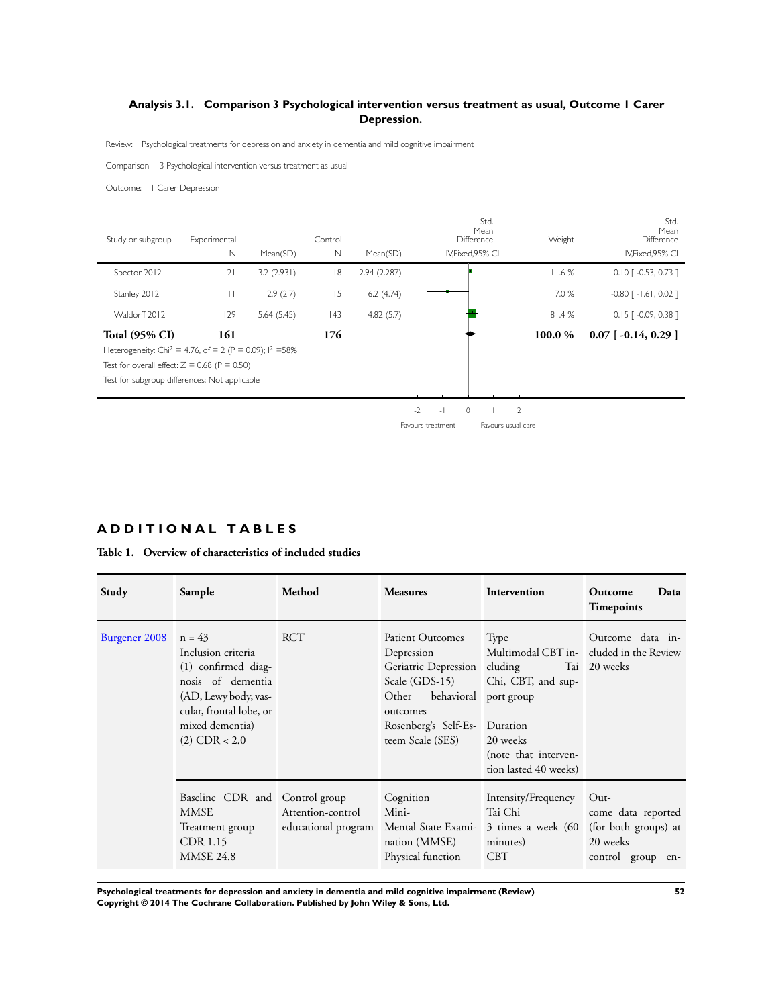### <span id="page-53-0"></span>**Analysis 3.1. Comparison 3 Psychological intervention versus treatment as usual, Outcome 1 Carer Depression.**

Review: Psychological treatments for depression and anxiety in dementia and mild cognitive impairment

Comparison: 3 Psychological intervention versus treatment as usual

Outcome: 1 Carer Depression

| Study or subgroup                                                                                                                                                                                 | Experimental |            | Control |             | Std.<br>Mean<br>Difference              | Weight         | Std.<br>Mean<br>Difference |
|---------------------------------------------------------------------------------------------------------------------------------------------------------------------------------------------------|--------------|------------|---------|-------------|-----------------------------------------|----------------|----------------------------|
|                                                                                                                                                                                                   | $\mathbb N$  | Mean(SD)   | N       | Mean(SD)    | IV, Fixed, 95% CI                       |                | IV, Fixed, 95% CI          |
| Spector 2012                                                                                                                                                                                      | 21           | 3.2(2.931) | 18      | 2.94(2.287) |                                         | 11.6%          | $0.10$ [ -0.53, 0.73 ]     |
| Stanley 2012                                                                                                                                                                                      | $\mathbf{1}$ | 2.9(2.7)   | 15      | 6.2(4.74)   |                                         | 7.0 %          | $-0.80$ [ $-1.61$ , 0.02]  |
| Waldorff 2012                                                                                                                                                                                     | 129          | 5.64(5.45) | 43      | 4.82(5.7)   |                                         | 81.4%          | $0.15$ [ -0.09, 0.38 ]     |
| <b>Total (95% CI)</b><br>Heterogeneity: Chi <sup>2</sup> = 4.76, df = 2 (P = 0.09); $1^2$ =58%<br>Test for overall effect: $Z = 0.68$ (P = 0.50)<br>Test for subgroup differences: Not applicable | 161          |            | 176     |             |                                         | 100.0 %        | $0.07$ [ -0.14, 0.29 ]     |
|                                                                                                                                                                                                   |              |            |         |             | $\circ$<br>$-2$<br>$\frac{1}{2}$        | $\overline{2}$ |                            |
|                                                                                                                                                                                                   |              |            |         |             | Favours usual care<br>Favours treatment |                |                            |

### **A D D I T I O N A L T A B L E S**

### **Table 1. Overview of characteristics of included studies**

| Study         | Sample                                                                                                                                                                | Method                                   | <b>Measures</b>                                                                                                                                           | Intervention                                                                                                                                                            | Outcome<br>Data<br><b>Timepoints</b>                                                     |
|---------------|-----------------------------------------------------------------------------------------------------------------------------------------------------------------------|------------------------------------------|-----------------------------------------------------------------------------------------------------------------------------------------------------------|-------------------------------------------------------------------------------------------------------------------------------------------------------------------------|------------------------------------------------------------------------------------------|
| Burgener 2008 | $n = 43$<br>Inclusion criteria<br>$(1)$ confirmed diag-<br>nosis of dementia<br>(AD, Lewy body, vas-<br>cular, frontal lobe, or<br>mixed dementia)<br>$(2)$ CDR < 2.0 | <b>RCT</b>                               | Patient Outcomes<br>Depression<br>Geriatric Depression<br>Scale $(GDS-15)$<br>Other<br>behavioral<br>outcomes<br>Rosenberg's Self-Es-<br>teem Scale (SES) | Type<br>Multimodal CBT in- cluded in the Review<br>cluding<br>Chi, CBT, and sup-<br>port group<br>Duration<br>20 weeks<br>(note that interven-<br>tion lasted 40 weeks) | Outcome data in-<br>Tai 20 weeks                                                         |
|               | Baseline CDR and Control group<br><b>MMSE</b><br>Treatment group<br>CDR 1.15<br><b>MMSE 24.8</b>                                                                      | Attention-control<br>educational program | Cognition<br>Mini-<br>Mental State Exami-<br>nation (MMSE)<br>Physical function                                                                           | Intensity/Frequency<br>Tai Chi<br>3 times a week (60<br>minutes)<br><b>CBT</b>                                                                                          | $Out-$<br>come data reported<br>(for both groups) at<br>20 weeks<br>control group<br>en- |

**Psychological treatments for depression and anxiety in dementia and mild cognitive impairment (Review) 52 Copyright © 2014 The Cochrane Collaboration. Published by John Wiley & Sons, Ltd.**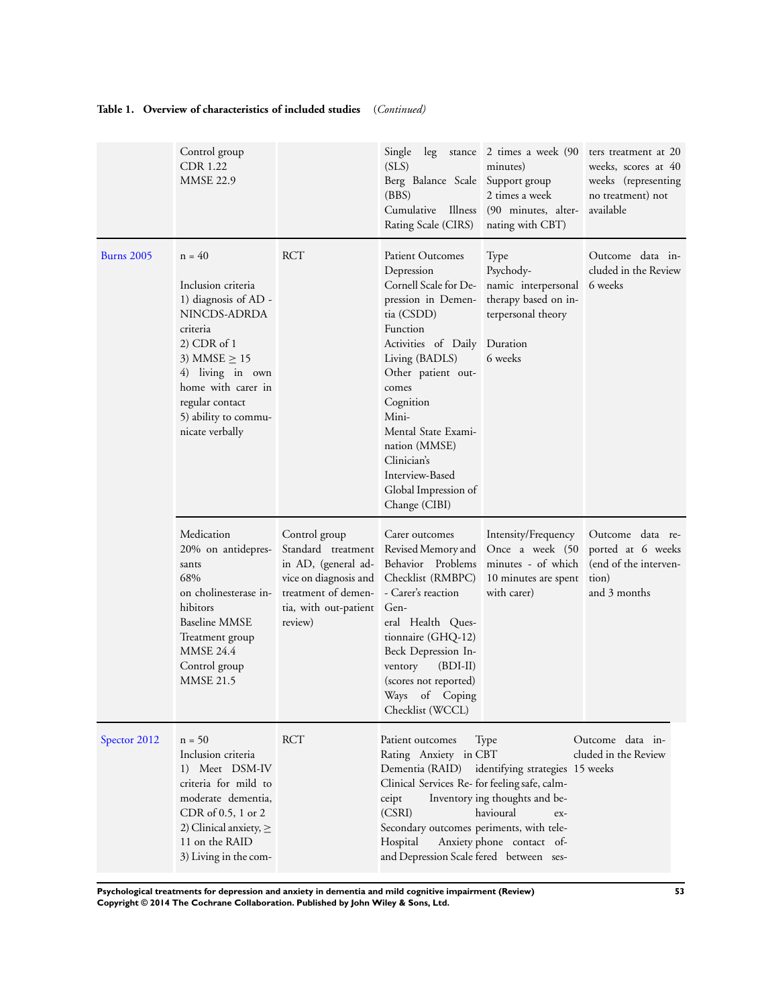|  |  | Table 1. Overview of characteristics of included studies (Continued) |  |
|--|--|----------------------------------------------------------------------|--|
|--|--|----------------------------------------------------------------------|--|

|                   | Control group<br>CDR 1.22<br><b>MMSE 22.9</b>                                                                                                                                                                                    |                                                                                                                                                     | Single<br>leg<br>stance<br>(SLS)<br>Berg Balance Scale<br>(BBS)<br>Cumulative<br>Illness<br>Rating Scale (CIRS)                                                                                                                                                                                                                   | 2 times a week (90<br>minutes)<br>Support group<br>2 times a week<br>(90 minutes, alter-<br>nating with CBT)               | ters treatment at 20<br>weeks, scores at 40<br>weeks (representing<br>no treatment) not<br>available |
|-------------------|----------------------------------------------------------------------------------------------------------------------------------------------------------------------------------------------------------------------------------|-----------------------------------------------------------------------------------------------------------------------------------------------------|-----------------------------------------------------------------------------------------------------------------------------------------------------------------------------------------------------------------------------------------------------------------------------------------------------------------------------------|----------------------------------------------------------------------------------------------------------------------------|------------------------------------------------------------------------------------------------------|
| <b>Burns 2005</b> | $n = 40$<br>Inclusion criteria<br>1) diagnosis of AD -<br>NINCDS-ADRDA<br>criteria<br>$2)$ CDR of 1<br>3) MMSE $\geq$ 15<br>4) living in own<br>home with carer in<br>regular contact<br>5) ability to commu-<br>nicate verbally | <b>RCT</b>                                                                                                                                          | Patient Outcomes<br>Depression<br>Cornell Scale for De-<br>pression in Demen-<br>tia (CSDD)<br>Function<br>Activities of Daily Duration<br>Living (BADLS)<br>Other patient out-<br>comes<br>Cognition<br>Mini-<br>Mental State Exami-<br>nation (MMSE)<br>Clinician's<br>Interview-Based<br>Global Impression of<br>Change (CIBI) | Type<br>Psychody-<br>namic interpersonal<br>therapy based on in-<br>terpersonal theory<br>6 weeks                          | Outcome data in-<br>cluded in the Review<br>6 weeks                                                  |
|                   | Medication<br>20% on antidepres-<br>sants<br>68%<br>on cholinesterase in-<br>hibitors<br><b>Baseline MMSE</b><br>Treatment group<br><b>MMSE 24.4</b><br>Control group<br><b>MMSE 21.5</b>                                        | Control group<br>Standard treatment<br>in AD, (general ad-<br>vice on diagnosis and<br>treatment of demen-<br>tia, with out-patient Gen-<br>review) | Carer outcomes<br>Revised Memory and<br>Behavior Problems<br>Checklist (RMBPC)<br>- Carer's reaction<br>eral Health Ques-<br>tionnaire (GHQ-12)<br>Beck Depression In-<br>$(BDI-II)$<br>ventory<br>(scores not reported)<br>Ways of Coping<br>Checklist (WCCL)                                                                    | Intensity/Frequency<br>Once a week (50<br>minutes - of which<br>10 minutes are spent<br>with carer)                        | Outcome data re-<br>ported at 6 weeks<br>(end of the interven-<br>tion)<br>and 3 months              |
| Spector 2012      | $n = 50$<br>Inclusion criteria<br>1) Meet DSM-IV<br>criteria for mild to<br>moderate dementia,<br>CDR of $0.5$ , 1 or 2<br>2) Clinical anxiety, $\geq$<br>11 on the RAID<br>3) Living in the com-                                | <b>RCT</b>                                                                                                                                          | Patient outcomes<br>Rating Anxiety in CBT<br>Dementia (RAID)<br>Clinical Services Re-for feeling safe, calm-<br>ceipt<br>(CSRI)<br>Secondary outcomes periments, with tele-<br>Hospital<br>and Depression Scale fered between ses-                                                                                                | Type<br>identifying strategies 15 weeks<br>Inventory ing thoughts and be-<br>havioural<br>ex-<br>Anxiety phone contact of- | Outcome data in-<br>cluded in the Review                                                             |

**Psychological treatments for depression and anxiety in dementia and mild cognitive impairment (Review) 53 Copyright © 2014 The Cochrane Collaboration. Published by John Wiley & Sons, Ltd.**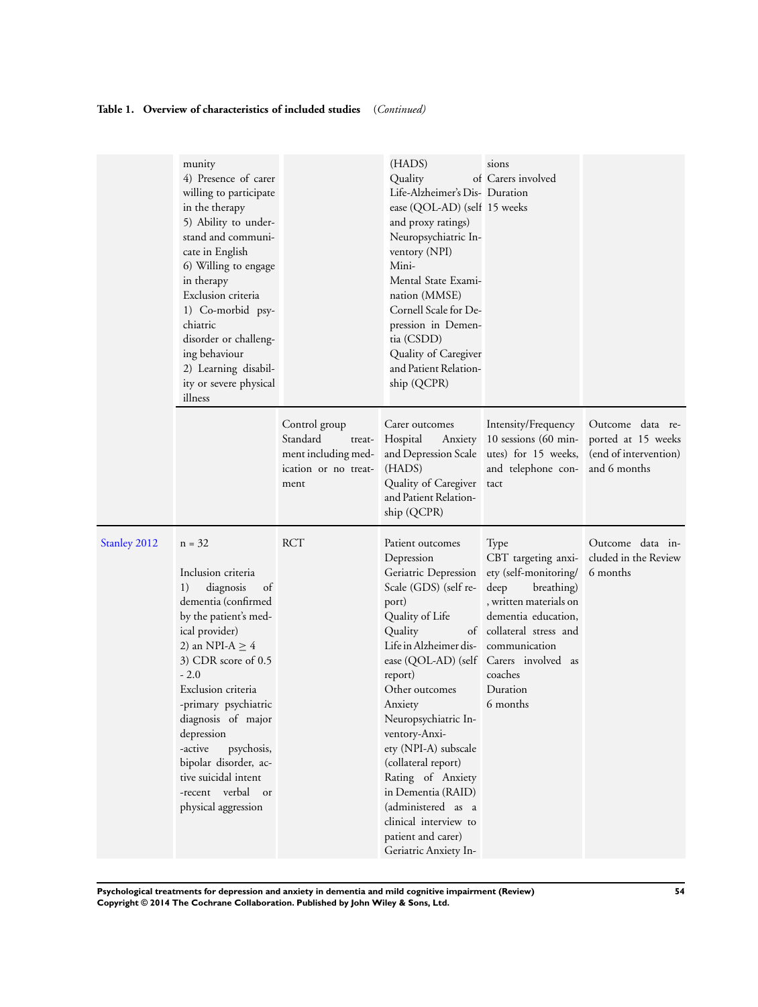|              | munity<br>4) Presence of carer<br>willing to participate<br>in the therapy<br>5) Ability to under-<br>stand and communi-<br>cate in English<br>6) Willing to engage<br>in therapy<br>Exclusion criteria<br>1) Co-morbid psy-<br>chiatric<br>disorder or challeng-<br>ing behaviour<br>2) Learning disabil-<br>ity or severe physical<br>illness                                            |                                                                                            | (HADS)<br>Quality<br>Life-Alzheimer's Dis- Duration<br>ease (QOL-AD) (self 15 weeks<br>and proxy ratings)<br>Neuropsychiatric In-<br>ventory (NPI)<br>Mini-<br>Mental State Exami-<br>nation (MMSE)<br>Cornell Scale for De-<br>pression in Demen-<br>tia (CSDD)<br>Quality of Caregiver<br>and Patient Relation-<br>ship (QCPR)                                                                                                                                                  | sions<br>of Carers involved                                                                                                                                                                |                                                                                 |
|--------------|--------------------------------------------------------------------------------------------------------------------------------------------------------------------------------------------------------------------------------------------------------------------------------------------------------------------------------------------------------------------------------------------|--------------------------------------------------------------------------------------------|-----------------------------------------------------------------------------------------------------------------------------------------------------------------------------------------------------------------------------------------------------------------------------------------------------------------------------------------------------------------------------------------------------------------------------------------------------------------------------------|--------------------------------------------------------------------------------------------------------------------------------------------------------------------------------------------|---------------------------------------------------------------------------------|
|              |                                                                                                                                                                                                                                                                                                                                                                                            | Control group<br>Standard<br>treat-<br>ment including med-<br>ication or no treat-<br>ment | Carer outcomes<br>Hospital<br>Anxiety<br>and Depression Scale utes) for 15 weeks,<br>(HADS)<br>Quality of Caregiver<br>and Patient Relation-<br>ship (QCPR)                                                                                                                                                                                                                                                                                                                       | Intensity/Frequency<br>$10$ sessions (60 min-<br>and telephone con-<br>tact                                                                                                                | Outcome data re-<br>ported at 15 weeks<br>(end of intervention)<br>and 6 months |
| Stanley 2012 | $n = 32$<br>Inclusion criteria<br>diagnosis<br>1)<br>of<br>dementia (confirmed<br>by the patient's med-<br>ical provider)<br>2) an NPI-A $\geq$ 4<br>3) CDR score of 0.5<br>$-2.0$<br>Exclusion criteria<br>-primary psychiatric<br>diagnosis of major<br>depression<br>-active<br>psychosis,<br>bipolar disorder, ac-<br>tive suicidal intent<br>-recent verbal or<br>physical aggression | <b>RCT</b>                                                                                 | Patient outcomes<br>Depression<br>Geriatric Depression<br>Scale (GDS) (self re-<br>port)<br>Quality of Life<br>Quality<br>Life in Alzheimer dis- communication<br>ease (QOL-AD) (self Carers involved as<br>report)<br>Other outcomes<br>Anxiety<br>Neuropsychiatric In-<br>ventory-Anxi-<br>ety (NPI-A) subscale<br>(collateral report)<br>Rating of Anxiety<br>in Dementia (RAID)<br>(administered as a<br>clinical interview to<br>patient and carer)<br>Geriatric Anxiety In- | Type<br>CBT targeting anxi-<br>ety (self-monitoring/<br>deep<br>breathing)<br>, written materials on<br>dementia education,<br>of collateral stress and<br>coaches<br>Duration<br>6 months | Outcome data in-<br>cluded in the Review<br>6 months                            |

**Psychological treatments for depression and anxiety in dementia and mild cognitive impairment (Review) 54 Copyright © 2014 The Cochrane Collaboration. Published by John Wiley & Sons, Ltd.**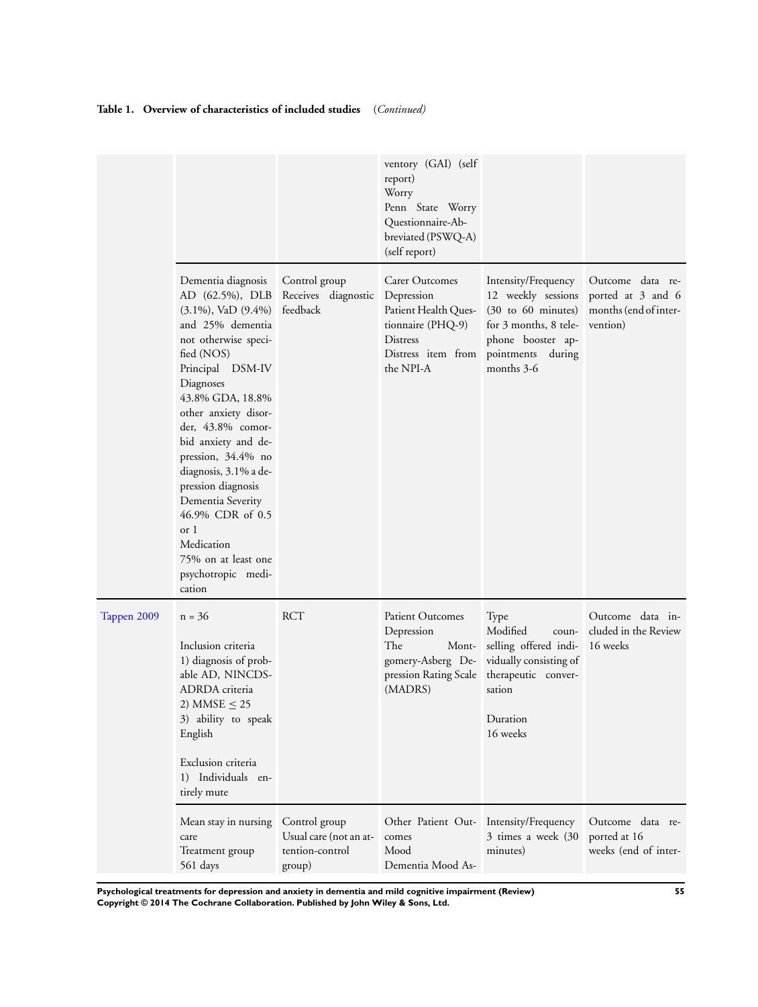|             |                                                                                                                                                                                                                                                                                                                                                                                                                                                  |                                                                      | ventory (GAI) (self<br>report)<br>Worry<br>Penn State Worry<br>Questionnaire-Ab-<br>breviated (PSWQ-A)<br>(self report)  |                                                                                                                                                                     |                                                                            |
|-------------|--------------------------------------------------------------------------------------------------------------------------------------------------------------------------------------------------------------------------------------------------------------------------------------------------------------------------------------------------------------------------------------------------------------------------------------------------|----------------------------------------------------------------------|--------------------------------------------------------------------------------------------------------------------------|---------------------------------------------------------------------------------------------------------------------------------------------------------------------|----------------------------------------------------------------------------|
|             | Dementia diagnosis<br>AD (62.5%), DLB<br>$(3.1\%)$ , VaD $(9.4\%)$<br>and 25% dementia<br>not otherwise speci-<br>fied (NOS)<br>Principal DSM-IV<br>Diagnoses<br>43.8% GDA, 18.8%<br>other anxiety disor-<br>der, 43.8% comor-<br>bid anxiety and de-<br>pression, 34.4% no<br>diagnosis, 3.1% a de-<br>pression diagnosis<br>Dementia Severity<br>46.9% CDR of 0.5<br>or 1<br>Medication<br>75% on at least one<br>psychotropic medi-<br>cation | Control group<br>Receives diagnostic<br>feedback                     | Carer Outcomes<br>Depression<br>Patient Health Ques-<br>tionnaire (PHQ-9)<br>Distress<br>Distress item from<br>the NPI-A | Intensity/Frequency<br>12 weekly sessions<br>$(30 \text{ to } 60 \text{ minutes})$<br>for 3 months, 8 tele-<br>phone booster ap-<br>pointments during<br>months 3-6 | Outcome data re-<br>ported at 3 and 6<br>months (end of inter-<br>vention) |
| Tappen 2009 | $n = 36$<br>Inclusion criteria<br>1) diagnosis of prob-<br>able AD, NINCDS-<br>ADRDA criteria<br>2) MMSE $\leq$ 25<br>3) ability to speak<br>English<br>Exclusion criteria<br>1) Individuals en-<br>tirely mute                                                                                                                                                                                                                                  | <b>RCT</b>                                                           | Patient Outcomes<br>Depression<br>The<br>Mont-<br>gomery-Asberg De-<br>pression Rating Scale<br>(MADRS)                  | Type<br>Modified<br>coun-<br>selling offered indi-<br>vidually consisting of<br>therapeutic conver-<br>sation<br>Duration<br>16 weeks                               | Outcome data in-<br>cluded in the Review<br>16 weeks                       |
|             | Mean stay in nursing<br>care<br>Treatment group<br>561 days                                                                                                                                                                                                                                                                                                                                                                                      | Control group<br>Usual care (not an at-<br>tention-control<br>group) | Other Patient Out- Intensity/Frequency<br>comes<br>Mood<br>Dementia Mood As-                                             | 3 times a week (30<br>minutes)                                                                                                                                      | Outcome data re-<br>ported at 16<br>weeks (end of inter-                   |

**Psychological treatments for depression and anxiety in dementia and mild cognitive impairment (Review) 55 Copyright © 2014 The Cochrane Collaboration. Published by John Wiley & Sons, Ltd.**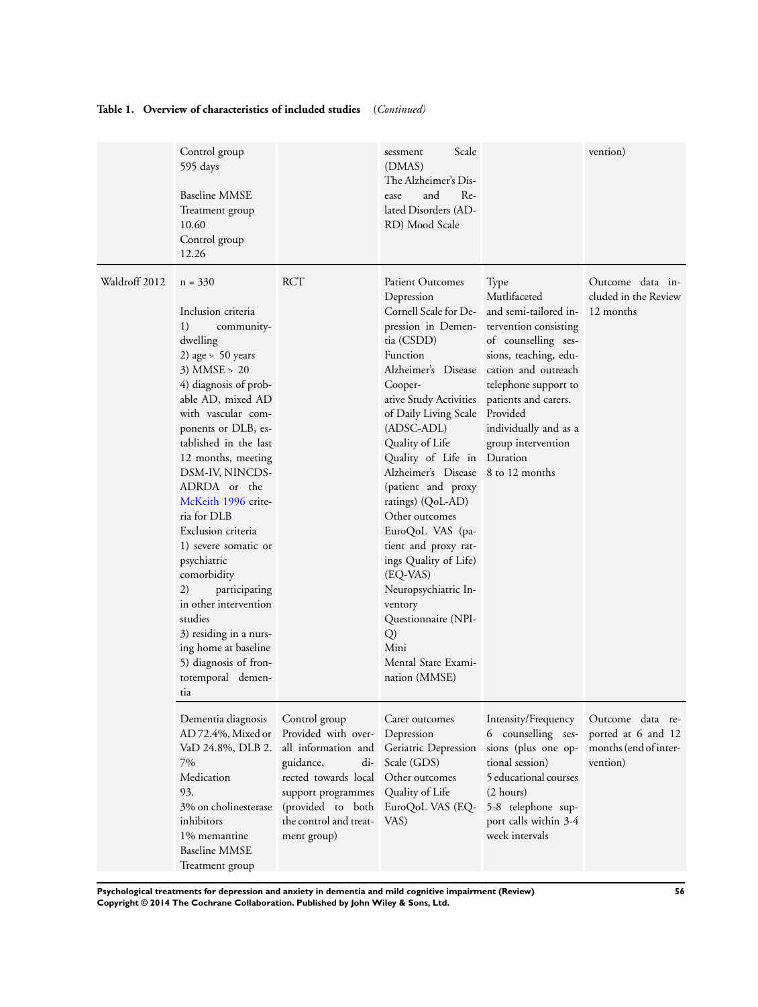|               | Control group<br>595 days<br><b>Baseline MMSE</b><br>Treatment group<br>10.60<br>Control group<br>12.26                                                                                                                                                                                                                                                                                                                                                                                                                                                                    |                                                                                                                                                                                             | Scale<br>sessment<br>(DMAS)<br>The Alzheimer's Dis-<br>and<br>Re-<br>ease<br>lated Disorders (AD-<br>RD) Mood Scale                                                                                                                                                                                                                                                                                                                                                                                                                                              |                                                                                                                                                                                                                                                                   | vention)                                                                    |
|---------------|----------------------------------------------------------------------------------------------------------------------------------------------------------------------------------------------------------------------------------------------------------------------------------------------------------------------------------------------------------------------------------------------------------------------------------------------------------------------------------------------------------------------------------------------------------------------------|---------------------------------------------------------------------------------------------------------------------------------------------------------------------------------------------|------------------------------------------------------------------------------------------------------------------------------------------------------------------------------------------------------------------------------------------------------------------------------------------------------------------------------------------------------------------------------------------------------------------------------------------------------------------------------------------------------------------------------------------------------------------|-------------------------------------------------------------------------------------------------------------------------------------------------------------------------------------------------------------------------------------------------------------------|-----------------------------------------------------------------------------|
| Waldroff 2012 | $n = 330$<br>Inclusion criteria<br>1)<br>community-<br>dwelling<br>2) age $\geq 50$ years<br>3) MMSE > 20<br>4) diagnosis of prob-<br>able AD, mixed AD<br>with vascular com-<br>ponents or DLB, es-<br>tablished in the last<br>12 months, meeting<br>DSM-IV, NINCDS-<br>ADRDA or the<br>McKeith 1996 crite-<br>ria for DLB<br>Exclusion criteria<br>1) severe somatic or<br>psychiatric<br>comorbidity<br>participating<br>2)<br>in other intervention<br>studies<br>3) residing in a nurs-<br>ing home at baseline<br>5) diagnosis of fron-<br>totemporal demen-<br>tia | <b>RCT</b>                                                                                                                                                                                  | Patient Outcomes<br>Depression<br>Cornell Scale for De-<br>pression in Demen-<br>tia (CSDD)<br>Function<br>Alzheimer's Disease<br>Cooper-<br>ative Study Activities<br>of Daily Living Scale<br>(ADSC-ADL)<br>Quality of Life<br>Quality of Life in Duration<br>Alzheimer's Disease 8 to 12 months<br>(patient and proxy<br>ratings) (QoL-AD)<br>Other outcomes<br>EuroQoL VAS (pa-<br>tient and proxy rat-<br>ings Quality of Life)<br>(EQ-VAS)<br>Neuropsychiatric In-<br>ventory<br>Questionnaire (NPI-<br>Q)<br>Mini<br>Mental State Exami-<br>nation (MMSE) | Type<br>Mutlifaceted<br>and semi-tailored in-12 months<br>tervention consisting<br>of counselling ses-<br>sions, teaching, edu-<br>cation and outreach<br>telephone support to<br>patients and carers.<br>Provided<br>individually and as a<br>group intervention | Outcome data in-<br>cluded in the Review                                    |
|               | Dementia diagnosis<br>AD 72.4%, Mixed or<br>VaD 24.8%, DLB 2.<br>7%<br>Medication<br>93.<br>3% on cholinesterase<br>inhibitors<br>1% memantine<br><b>Baseline MMSE</b><br>Treatment group                                                                                                                                                                                                                                                                                                                                                                                  | Control group<br>Provided with over-<br>all information and<br>di-<br>guidance,<br>rected towards local<br>support programmes<br>(provided to both<br>the control and treat-<br>ment group) | Carer outcomes<br>Depression<br>Geriatric Depression<br>Scale (GDS)<br>Other outcomes<br>Quality of Life<br>EuroQoL VAS (EQ-<br>VAS)                                                                                                                                                                                                                                                                                                                                                                                                                             | Intensity/Frequency<br>6 counselling ses-<br>sions (plus one op-<br>tional session)<br>5 educational courses<br>(2 hours)<br>5-8 telephone sup-<br>port calls within 3-4<br>week intervals                                                                        | Outcome data re-<br>ported at 6 and 12<br>months (end of inter-<br>vention) |

**Psychological treatments for depression and anxiety in dementia and mild cognitive impairment (Review) 56 Copyright © 2014 The Cochrane Collaboration. Published by John Wiley & Sons, Ltd.**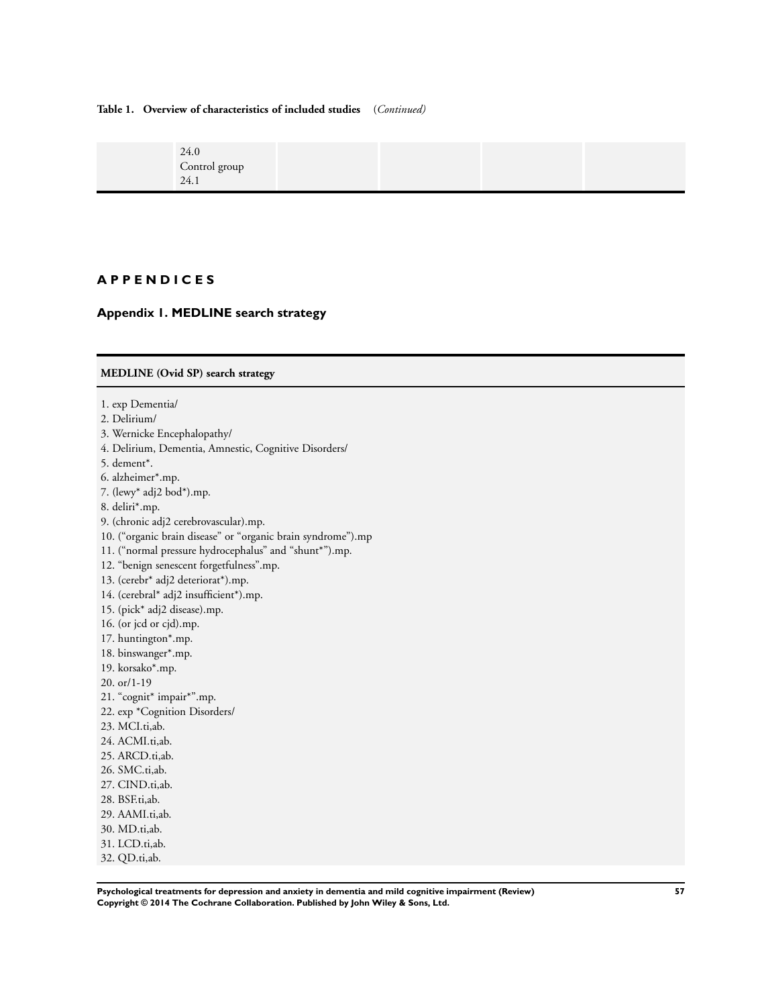<span id="page-58-0"></span>

| 24.0          |  |  |
|---------------|--|--|
| Control group |  |  |
| 24.1          |  |  |

### **A P P E N D I C E S**

### **Appendix 1. MEDLINE search strategy**

### **MEDLINE (Ovid SP) search strategy**

1. exp Dementia/

2. Delirium/

3. Wernicke Encephalopathy/

4. Delirium, Dementia, Amnestic, Cognitive Disorders/

5. dement\*.

6. alzheimer\*.mp.

7. (lewy\* adj2 bod\*).mp.

8. deliri\*.mp.

- 9. (chronic adj2 cerebrovascular).mp.
- 10. ("organic brain disease" or "organic brain syndrome").mp

11. ("normal pressure hydrocephalus" and "shunt\*").mp.

12. "benign senescent forgetfulness".mp.

- 13. (cerebr\* adj2 deteriorat\*).mp.
- 14. (cerebral\* adj2 insufficient\*).mp.
- 15. (pick\* adj2 disease).mp.
- 16. (or jcd or cjd).mp.
- 17. huntington\*.mp.
- 18. binswanger\*.mp.
- 19. korsako\*.mp.
- 20. or/1-19
- 21. "cognit\* impair\*".mp.
- 22. exp \*Cognition Disorders/
- 23. MCI.ti,ab.
- 24. ACMI.ti,ab.
- 25. ARCD.ti,ab.
- 26. SMC.ti,ab.
- 27. CIND.ti,ab.
- 28. BSF.ti,ab.
- 29. AAMI.ti,ab.
- 30. MD.ti,ab.
- 31. LCD.ti,ab. 32. QD.ti,ab.

**Psychological treatments for depression and anxiety in dementia and mild cognitive impairment (Review) 57 Copyright © 2014 The Cochrane Collaboration. Published by John Wiley & Sons, Ltd.**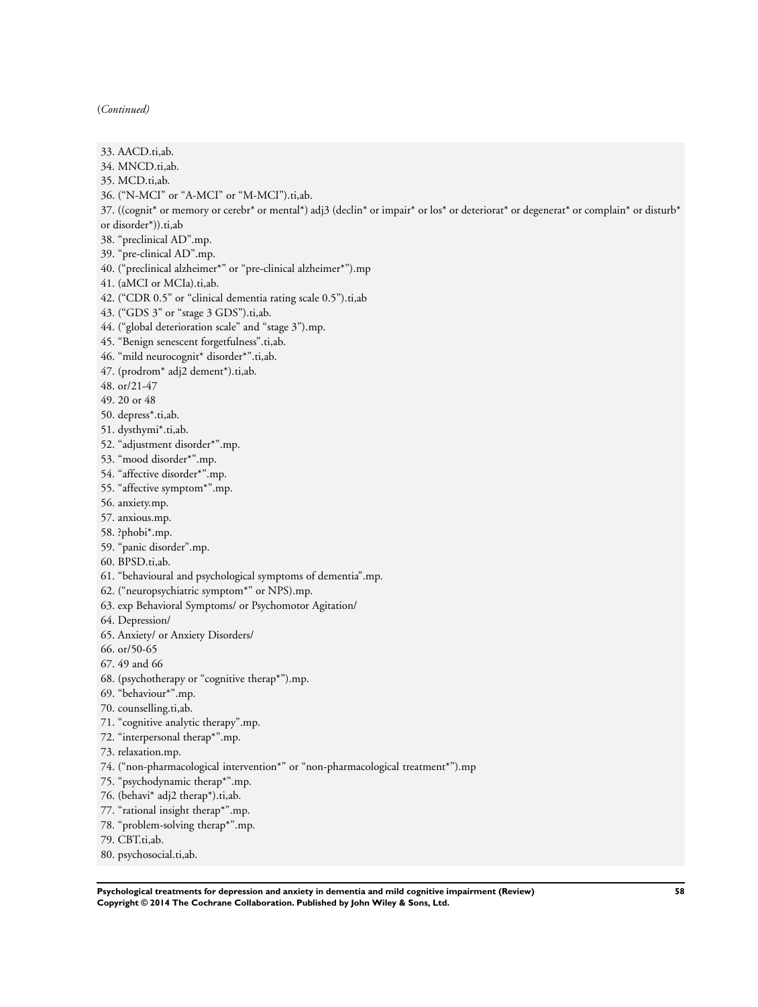#### (*Continued)*

33. AACD.ti,ab. 34. MNCD.ti,ab. 35. MCD.ti,ab. 36. ("N-MCI" or "A-MCI" or "M-MCI").ti,ab. 37. ((cognit\* or memory or cerebr\* or mental\*) adj3 (declin\* or impair\* or los\* or deteriorat\* or degenerat\* or complain\* or disturb\* or disorder\*)).ti,ab 38. "preclinical AD".mp. 39. "pre-clinical AD".mp. 40. ("preclinical alzheimer\*" or "pre-clinical alzheimer\*").mp 41. (aMCI or MCIa).ti,ab. 42. ("CDR 0.5" or "clinical dementia rating scale 0.5").ti,ab 43. ("GDS 3" or "stage 3 GDS").ti,ab. 44. ("global deterioration scale" and "stage 3").mp. 45. "Benign senescent forgetfulness".ti,ab. 46. "mild neurocognit\* disorder\*".ti,ab. 47. (prodrom\* adj2 dement\*).ti,ab. 48. or/21-47 49. 20 or 48 50. depress\*.ti,ab. 51. dysthymi\*.ti,ab. 52. "adjustment disorder\*".mp. 53. "mood disorder\*".mp. 54. "affective disorder\*".mp. 55. "affective symptom\*".mp. 56. anxiety.mp. 57. anxious.mp. 58. ?phobi\*.mp. 59. "panic disorder".mp. 60. BPSD.ti,ab. 61. "behavioural and psychological symptoms of dementia".mp. 62. ("neuropsychiatric symptom\*" or NPS).mp. 63. exp Behavioral Symptoms/ or Psychomotor Agitation/ 64. Depression/ 65. Anxiety/ or Anxiety Disorders/ 66. or/50-65 67. 49 and 66 68. (psychotherapy or "cognitive therap\*").mp. 69. "behaviour\*".mp. 70. counselling.ti,ab. 71. "cognitive analytic therapy".mp. 72. "interpersonal therap\*".mp. 73. relaxation.mp. 74. ("non-pharmacological intervention\*" or "non-pharmacological treatment\*").mp 75. "psychodynamic therap\*".mp. 76. (behavi\* adj2 therap\*).ti,ab. 77. "rational insight therap\*".mp.

- 78. "problem-solving therap\*".mp.
- 79. CBT.ti,ab.
- 80. psychosocial.ti,ab.

**Psychological treatments for depression and anxiety in dementia and mild cognitive impairment (Review) 58 Copyright © 2014 The Cochrane Collaboration. Published by John Wiley & Sons, Ltd.**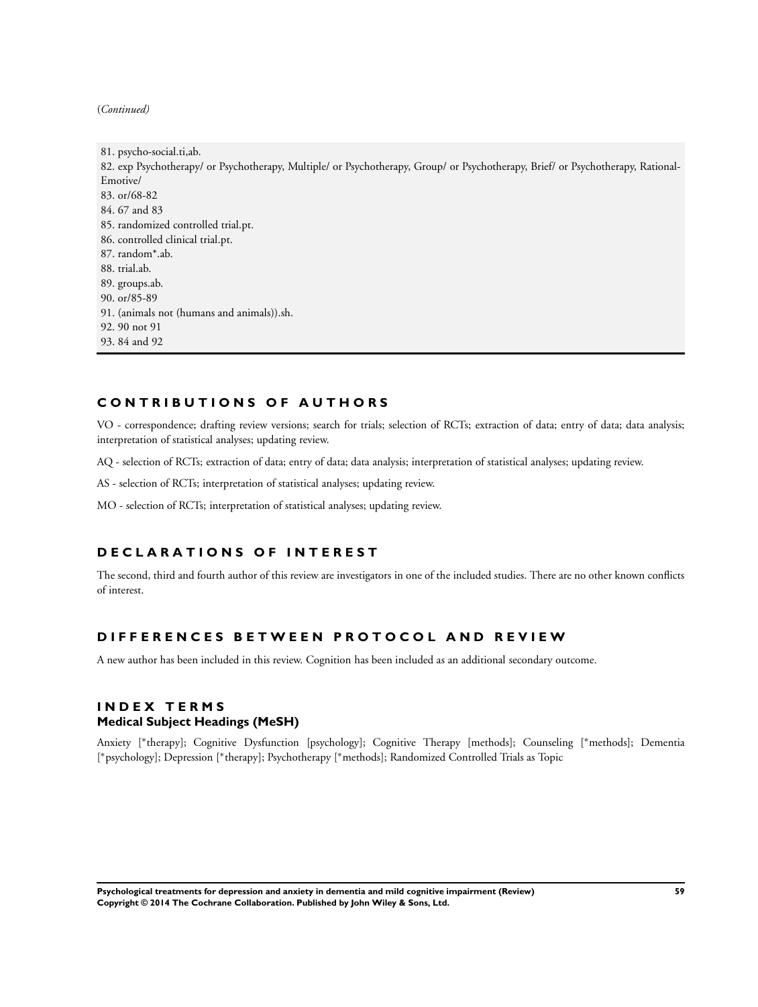(*Continued)*

81. psycho-social.ti,ab. 82. exp Psychotherapy/ or Psychotherapy, Multiple/ or Psychotherapy, Group/ or Psychotherapy, Brief/ or Psychotherapy, Rational-Emotive/ 83. or/68-82 84. 67 and 83 85. randomized controlled trial.pt. 86. controlled clinical trial.pt. 87. random\*.ab. 88. trial.ab. 89. groups.ab. 90. or/85-89 91. (animals not (humans and animals)).sh. 92. 90 not 91 93. 84 and 92

### **C O N T R I B U T I O N S O F A U T H O R S**

VO - correspondence; drafting review versions; search for trials; selection of RCTs; extraction of data; entry of data; data analysis; interpretation of statistical analyses; updating review.

AQ - selection of RCTs; extraction of data; entry of data; data analysis; interpretation of statistical analyses; updating review.

AS - selection of RCTs; interpretation of statistical analyses; updating review.

MO - selection of RCTs; interpretation of statistical analyses; updating review.

### **D E C L A R A T I O N S O F I N T E R E S T**

The second, third and fourth author of this review are investigators in one of the included studies. There are no other known conflicts of interest.

#### **DIFFERENCES BETWEEN PROTOCOL AND REVIEW**

A new author has been included in this review. Cognition has been included as an additional secondary outcome.

### **I N D E X T E R M S Medical Subject Headings (MeSH)**

Anxiety [<sup>∗</sup> therapy]; Cognitive Dysfunction [psychology]; Cognitive Therapy [methods]; Counseling [∗methods]; Dementia [\*psychology]; Depression [\*therapy]; Psychotherapy [\*methods]; Randomized Controlled Trials as Topic